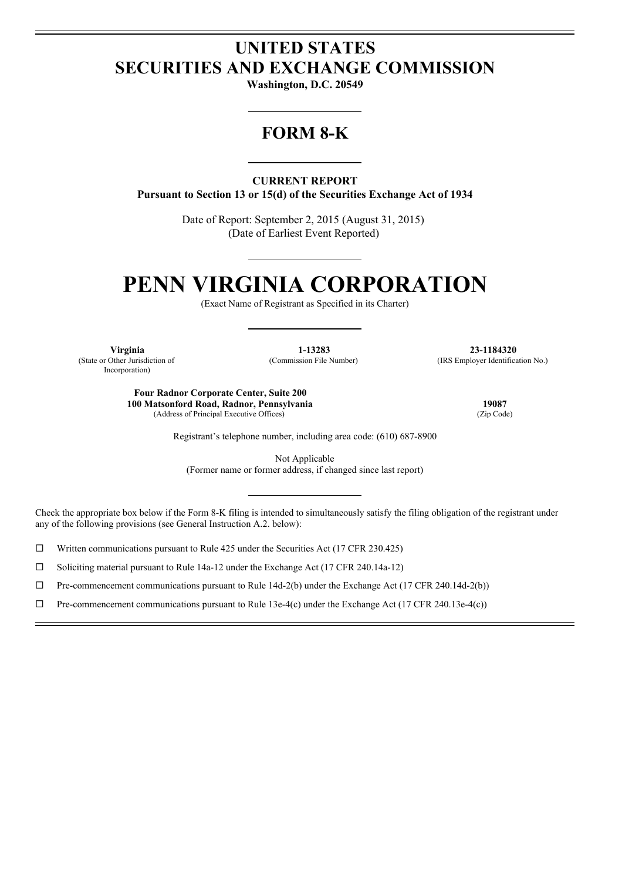# **UNITED STATES SECURITIES AND EXCHANGE COMMISSION**

**Washington, D.C. 20549**

# **FORM 8-K**

**CURRENT REPORT Pursuant to Section 13 or 15(d) of the Securities Exchange Act of 1934**

> Date of Report: September 2, 2015 (August 31, 2015) (Date of Earliest Event Reported)

# **PENN VIRGINIA CORPORATION**

(Exact Name of Registrant as Specified in its Charter)

(State or Other Jurisdiction of Incorporation)

(Commission File Number) (IRS Employer Identification No.)

**Virginia 1-13283 23-1184320**

**Four Radnor Corporate Center, Suite 200 100 Matsonford Road, Radnor, Pennsylvania 19087** (Address of Principal Executive Offices)

Registrant's telephone number, including area code: (610) 687-8900

Not Applicable (Former name or former address, if changed since last report)

Check the appropriate box below if the Form 8-K filing is intended to simultaneously satisfy the filing obligation of the registrant under any of the following provisions (see General Instruction A.2. below):

 $\Box$  Written communications pursuant to Rule 425 under the Securities Act (17 CFR 230.425)

 $\square$  Soliciting material pursuant to Rule 14a-12 under the Exchange Act (17 CFR 240.14a-12)

 $\Box$  Pre-commencement communications pursuant to Rule 14d-2(b) under the Exchange Act (17 CFR 240.14d-2(b))

 $\Box$  Pre-commencement communications pursuant to Rule 13e-4(c) under the Exchange Act (17 CFR 240.13e-4(c))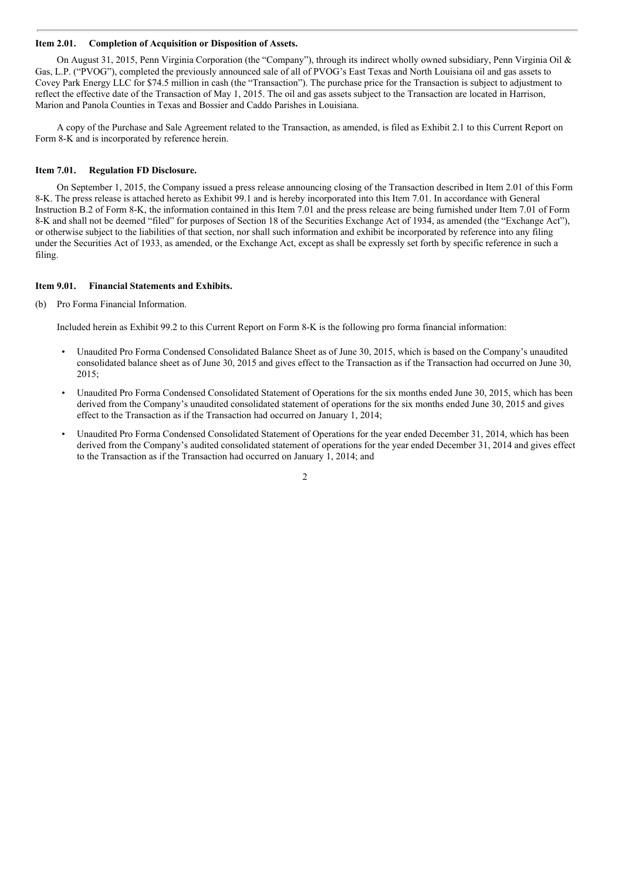#### **Item 2.01. Completion of Acquisition or Disposition of Assets.**

On August 31, 2015, Penn Virginia Corporation (the "Company"), through its indirect wholly owned subsidiary, Penn Virginia Oil & Gas, L.P. ("PVOG"), completed the previously announced sale of all of PVOG's East Texas and North Louisiana oil and gas assets to Covey Park Energy LLC for \$74.5 million in cash (the "Transaction"). The purchase price for the Transaction is subject to adjustment to reflect the effective date of the Transaction of May 1, 2015. The oil and gas assets subject to the Transaction are located in Harrison, Marion and Panola Counties in Texas and Bossier and Caddo Parishes in Louisiana.

A copy of the Purchase and Sale Agreement related to the Transaction, as amended, is filed as Exhibit 2.1 to this Current Report on Form 8-K and is incorporated by reference herein.

#### **Item 7.01. Regulation FD Disclosure.**

On September 1, 2015, the Company issued a press release announcing closing of the Transaction described in Item 2.01 of this Form 8-K. The press release is attached hereto as Exhibit 99.1 and is hereby incorporated into this Item 7.01. In accordance with General Instruction B.2 of Form 8-K, the information contained in this Item 7.01 and the press release are being furnished under Item 7.01 of Form 8-K and shall not be deemed "filed" for purposes of Section 18 of the Securities Exchange Act of 1934, as amended (the "Exchange Act"), or otherwise subject to the liabilities of that section, nor shall such information and exhibit be incorporated by reference into any filing under the Securities Act of 1933, as amended, or the Exchange Act, except as shall be expressly set forth by specific reference in such a filing.

#### **Item 9.01. Financial Statements and Exhibits.**

(b) Pro Forma Financial Information.

Included herein as Exhibit 99.2 to this Current Report on Form 8-K is the following pro forma financial information:

- Unaudited Pro Forma Condensed Consolidated Balance Sheet as of June 30, 2015, which is based on the Company's unaudited consolidated balance sheet as of June 30, 2015 and gives effect to the Transaction as if the Transaction had occurred on June 30, 2015;
- Unaudited Pro Forma Condensed Consolidated Statement of Operations for the six months ended June 30, 2015, which has been derived from the Company's unaudited consolidated statement of operations for the six months ended June 30, 2015 and gives effect to the Transaction as if the Transaction had occurred on January 1, 2014;
- Unaudited Pro Forma Condensed Consolidated Statement of Operations for the year ended December 31, 2014, which has been derived from the Company's audited consolidated statement of operations for the year ended December 31, 2014 and gives effect to the Transaction as if the Transaction had occurred on January 1, 2014; and

 $\mathcal{L}$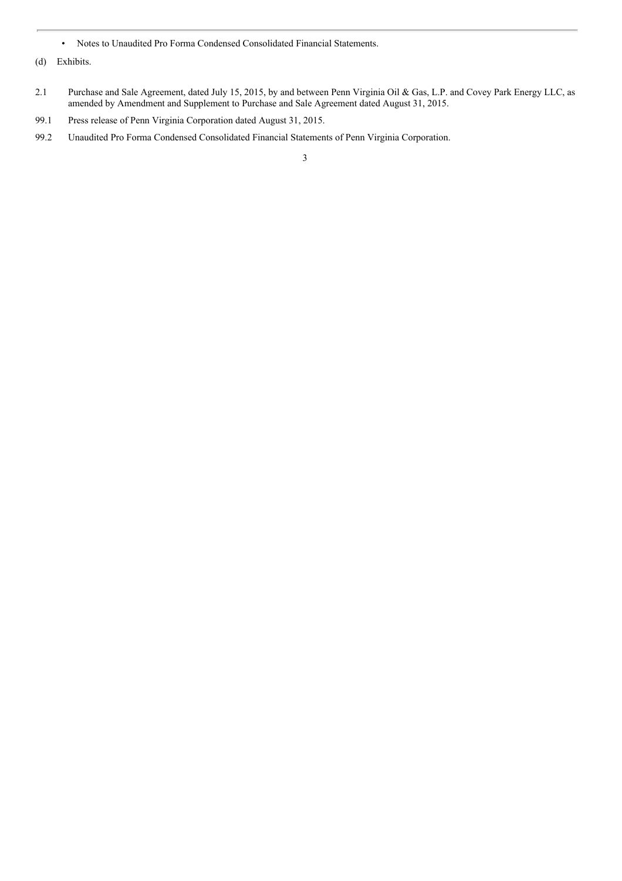- Notes to Unaudited Pro Forma Condensed Consolidated Financial Statements.
- (d) Exhibits.
- 2.1 Purchase and Sale Agreement, dated July 15, 2015, by and between Penn Virginia Oil & Gas, L.P. and Covey Park Energy LLC, as amended by Amendment and Supplement to Purchase and Sale Agreement dated August 31, 2015.
- 99.1 Press release of Penn Virginia Corporation dated August 31, 2015.
- 99.2 Unaudited Pro Forma Condensed Consolidated Financial Statements of Penn Virginia Corporation.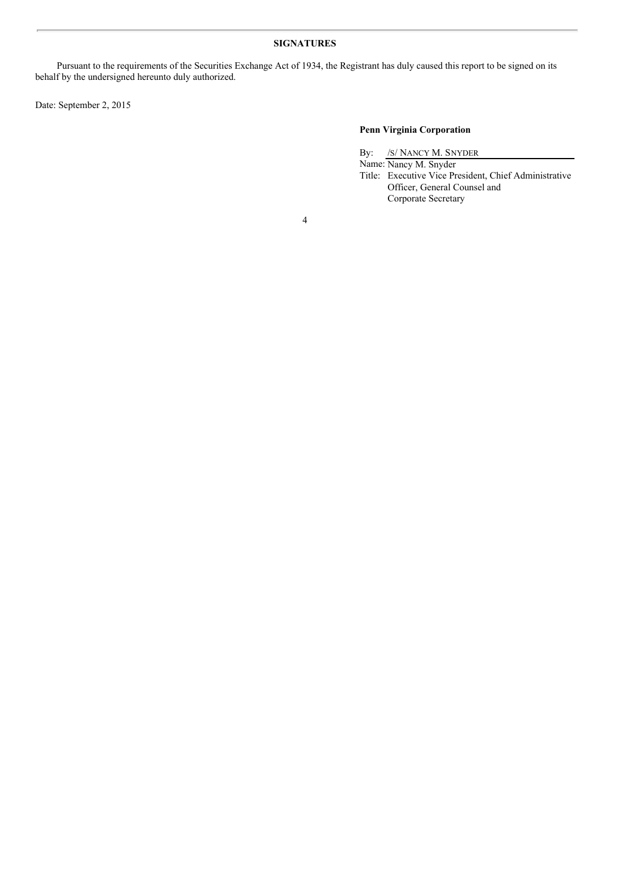# **SIGNATURES**

Pursuant to the requirements of the Securities Exchange Act of 1934, the Registrant has duly caused this report to be signed on its behalf by the undersigned hereunto duly authorized.

Date: September 2, 2015

# **Penn Virginia Corporation**

By: /S/ NANCY M. SNYDER

Name: Nancy M. Snyder Title: Executive Vice President, Chief Administrative Officer, General Counsel and Corporate Secretary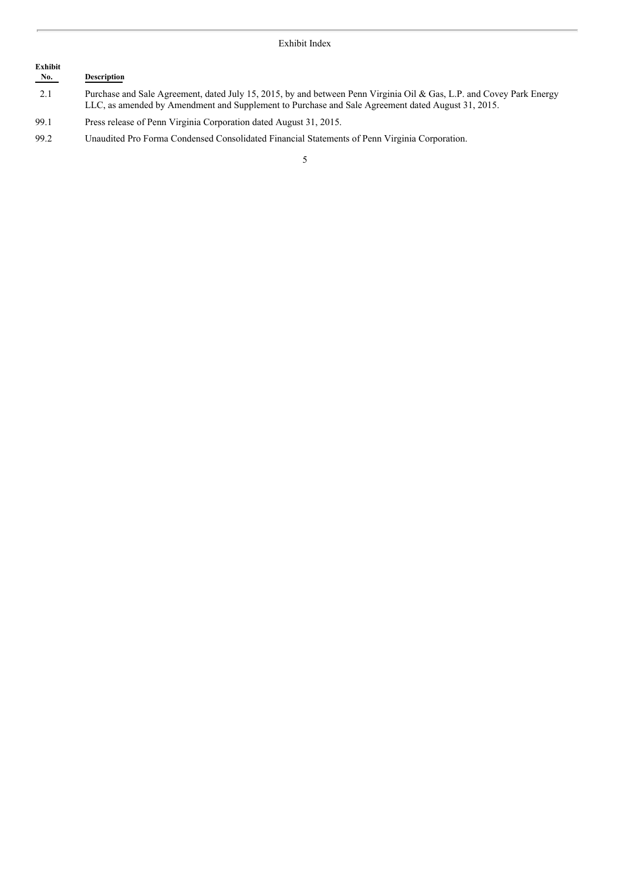# Exhibit<br>No. **No. Description** 2.1 Purchase and Sale Agreement, dated July 15, 2015, by and between Penn Virginia Oil & Gas, L.P. and Covey Park Energy LLC, as amended by Amendment and Supplement to Purchase and Sale Agreement dated August 31, 2015.

99.1 Press release of Penn Virginia Corporation dated August 31, 2015.

99.2 Unaudited Pro Forma Condensed Consolidated Financial Statements of Penn Virginia Corporation.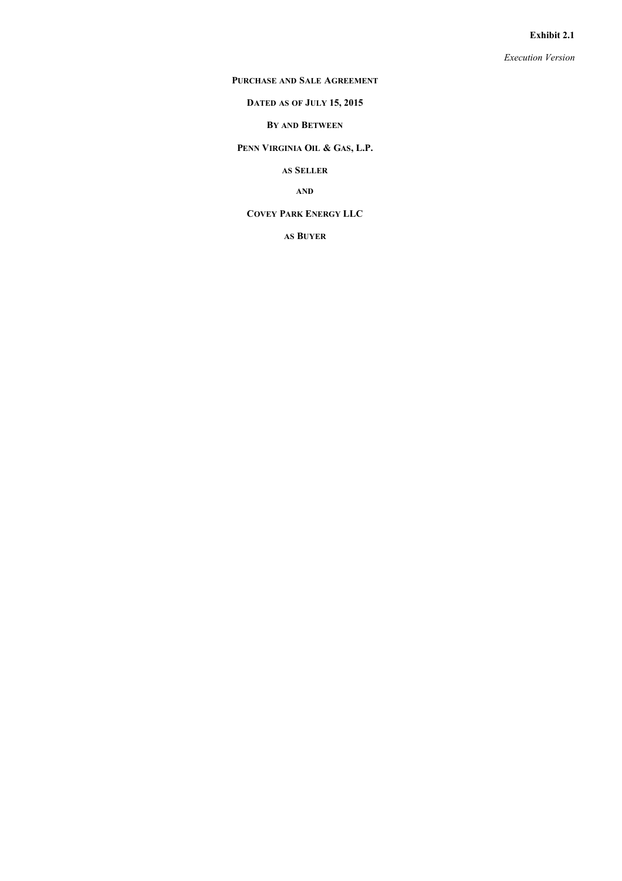#### **Exhibit 2.1**

*Execution Version*

#### **PURCHASE AND SALE AGREEMENT**

# **DATED AS OF JULY 15, 2015**

# **BY AND BETWEEN**

**PENN VIRGINIA OIL & GAS, L.P.**

**AS SELLER**

**AND**

# **COVEY PARK ENERGY LLC**

**AS BUYER**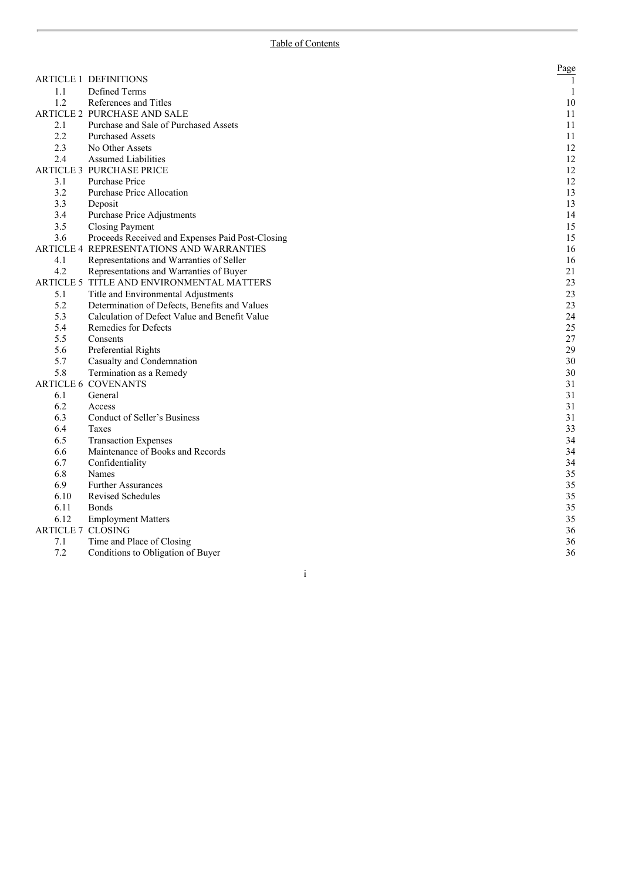|                          |                                                  | Page         |
|--------------------------|--------------------------------------------------|--------------|
|                          | <b>ARTICLE 1 DEFINITIONS</b>                     | $\mathbf{1}$ |
| 1.1                      | Defined Terms                                    | 1            |
| 1.2                      | References and Titles                            | 10           |
|                          | ARTICLE 2 PURCHASE AND SALE                      | 11           |
| 2.1                      | Purchase and Sale of Purchased Assets            | 11           |
| 2.2                      | <b>Purchased Assets</b>                          | 11           |
| 2.3                      | No Other Assets                                  | 12           |
| 2.4                      | <b>Assumed Liabilities</b>                       | 12           |
|                          | <b>ARTICLE 3 PURCHASE PRICE</b>                  | 12           |
| 3.1                      | Purchase Price                                   | 12           |
| 3.2                      | Purchase Price Allocation                        | 13           |
| 3.3                      | Deposit                                          | 13           |
| 3.4                      | Purchase Price Adjustments                       | 14           |
| 3.5                      | <b>Closing Payment</b>                           | 15           |
| 3.6                      | Proceeds Received and Expenses Paid Post-Closing | 15           |
|                          | ARTICLE 4 REPRESENTATIONS AND WARRANTIES         | 16           |
| 4.1                      | Representations and Warranties of Seller         | 16           |
| 4.2                      | Representations and Warranties of Buyer          | 21           |
|                          | ARTICLE 5 TITLE AND ENVIRONMENTAL MATTERS        | 23           |
| 5.1                      | Title and Environmental Adjustments              | 23           |
| 5.2                      | Determination of Defects, Benefits and Values    | 23           |
| 5.3                      | Calculation of Defect Value and Benefit Value    | 24           |
| 5.4                      | Remedies for Defects                             | 25           |
| 5.5                      | Consents                                         | $27\,$       |
| 5.6                      | Preferential Rights                              | 29           |
| 5.7                      | Casualty and Condemnation                        | 30           |
| 5.8                      | Termination as a Remedy                          | 30           |
|                          | <b>ARTICLE 6 COVENANTS</b>                       | 31           |
| 6.1                      | General                                          | 31           |
| 6.2                      | Access                                           | 31           |
| 6.3                      | Conduct of Seller's Business                     | 31           |
| 6.4                      | Taxes                                            | 33           |
| 6.5                      | <b>Transaction Expenses</b>                      | 34           |
| 6.6                      | Maintenance of Books and Records                 | 34           |
| 6.7                      | Confidentiality                                  | 34           |
| 6.8                      | Names                                            | 35           |
| 6.9                      | <b>Further Assurances</b>                        | 35           |
| 6.10                     | Revised Schedules                                | 35           |
| 6.11                     | <b>Bonds</b>                                     | 35           |
| 6.12                     | <b>Employment Matters</b>                        | 35           |
| <b>ARTICLE 7 CLOSING</b> |                                                  | 36           |
| 7.1                      | Time and Place of Closing                        | 36           |
| 7.2                      | Conditions to Obligation of Buyer                | 36           |

i

7.2 Conditions to Obligation of Buyer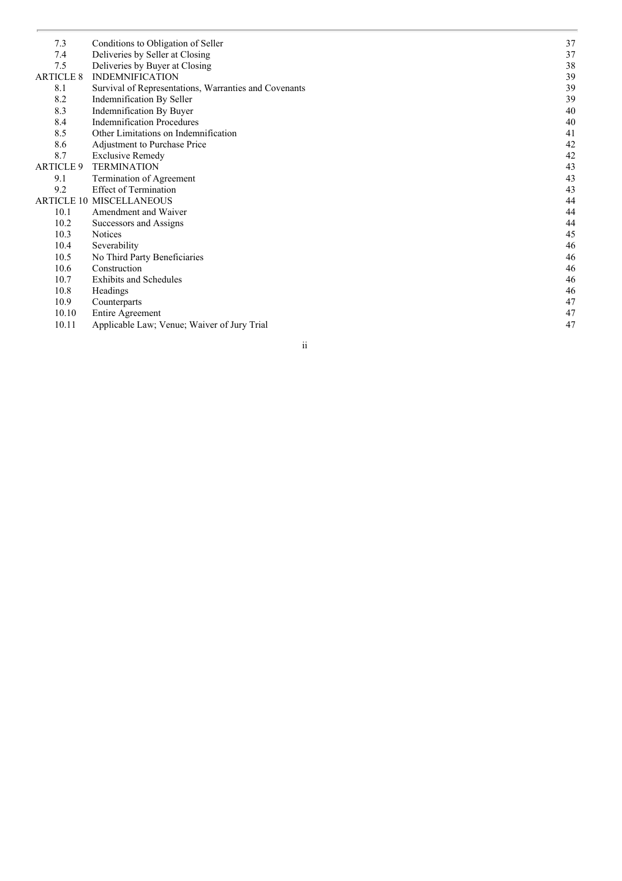| 7.3              | Conditions to Obligation of Seller                    | 37 |
|------------------|-------------------------------------------------------|----|
| 7.4              | Deliveries by Seller at Closing                       | 37 |
| 7.5              | Deliveries by Buyer at Closing                        | 38 |
| <b>ARTICLE 8</b> | <b>INDEMNIFICATION</b>                                | 39 |
| 8.1              | Survival of Representations, Warranties and Covenants | 39 |
| 8.2              | Indemnification By Seller                             | 39 |
| 8.3              | Indemnification By Buyer                              | 40 |
| 8.4              | <b>Indemnification Procedures</b>                     | 40 |
| 8.5              | Other Limitations on Indemnification                  | 41 |
| 8.6              | Adjustment to Purchase Price                          | 42 |
| 8.7              | <b>Exclusive Remedy</b>                               | 42 |
| <b>ARTICLE 9</b> | <b>TERMINATION</b>                                    | 43 |
| 9.1              | Termination of Agreement                              | 43 |
| 9.2              | <b>Effect of Termination</b>                          | 43 |
|                  | <b>ARTICLE 10 MISCELLANEOUS</b>                       | 44 |
| 10.1             | Amendment and Waiver                                  | 44 |
| 10.2             | Successors and Assigns                                | 44 |
| 10.3             | <b>Notices</b>                                        | 45 |
| 10.4             | Severability                                          | 46 |
| 10.5             | No Third Party Beneficiaries                          | 46 |
| 10.6             | Construction                                          | 46 |
| 10.7             | <b>Exhibits and Schedules</b>                         | 46 |
| 10.8             | Headings                                              | 46 |
| 10.9             | Counterparts                                          | 47 |
| 10.10            | <b>Entire Agreement</b>                               | 47 |
| 10.11            | Applicable Law; Venue; Waiver of Jury Trial           | 47 |
|                  |                                                       |    |

i i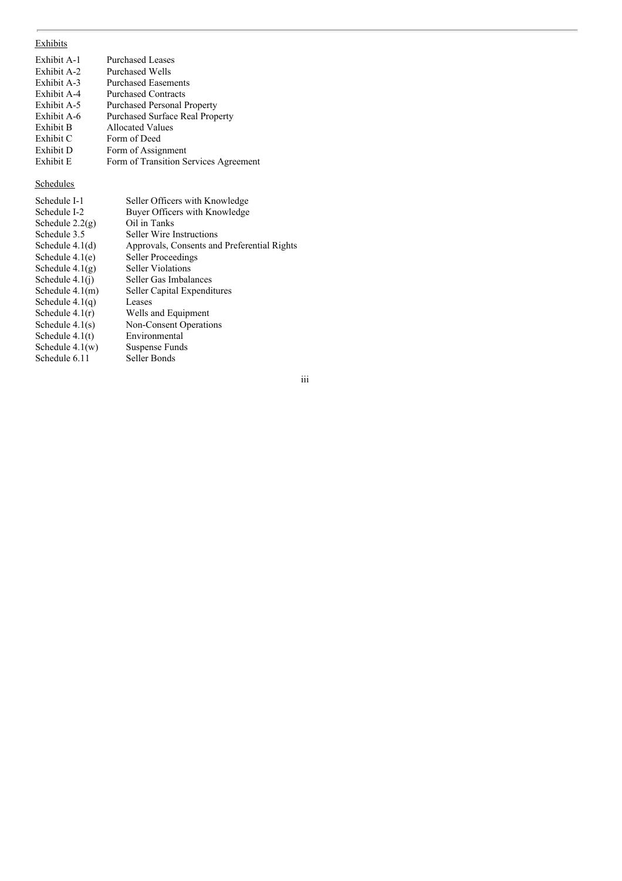# Exhibits

| Exhibit A-1 | <b>Purchased Leases</b>                |
|-------------|----------------------------------------|
| Exhibit A-2 | Purchased Wells                        |
| Exhibit A-3 | <b>Purchased Easements</b>             |
| Exhibit A-4 | <b>Purchased Contracts</b>             |
| Exhibit A-5 | <b>Purchased Personal Property</b>     |
| Exhibit A-6 | <b>Purchased Surface Real Property</b> |
| Exhibit B   | Allocated Values                       |
| Exhibit C   | Form of Deed                           |
| Exhibit D   | Form of Assignment                     |
| Exhibit E   | Form of Transition Services Agreement  |
|             |                                        |

# Schedules

| Schedule I-1      | Seller Officers with Knowledge              |
|-------------------|---------------------------------------------|
| Schedule I-2      | Buyer Officers with Knowledge               |
| Schedule $2.2(g)$ | Oil in Tanks                                |
| Schedule 3.5      | <b>Seller Wire Instructions</b>             |
| Schedule $4.1(d)$ | Approvals, Consents and Preferential Rights |
| Schedule $4.1(e)$ | Seller Proceedings                          |
| Schedule $4.1(g)$ | Seller Violations                           |
| Schedule $4.1(i)$ | Seller Gas Imbalances                       |
| Schedule $4.1(m)$ | Seller Capital Expenditures                 |
| Schedule $4.1(q)$ | Leases                                      |
| Schedule $4.1(r)$ | Wells and Equipment                         |
| Schedule $4.1(s)$ | <b>Non-Consent Operations</b>               |
| Schedule $4.1(t)$ | Environmental                               |
| Schedule $4.1(w)$ | Suspense Funds                              |
| Schedule 6.11     | Seller Bonds                                |

iii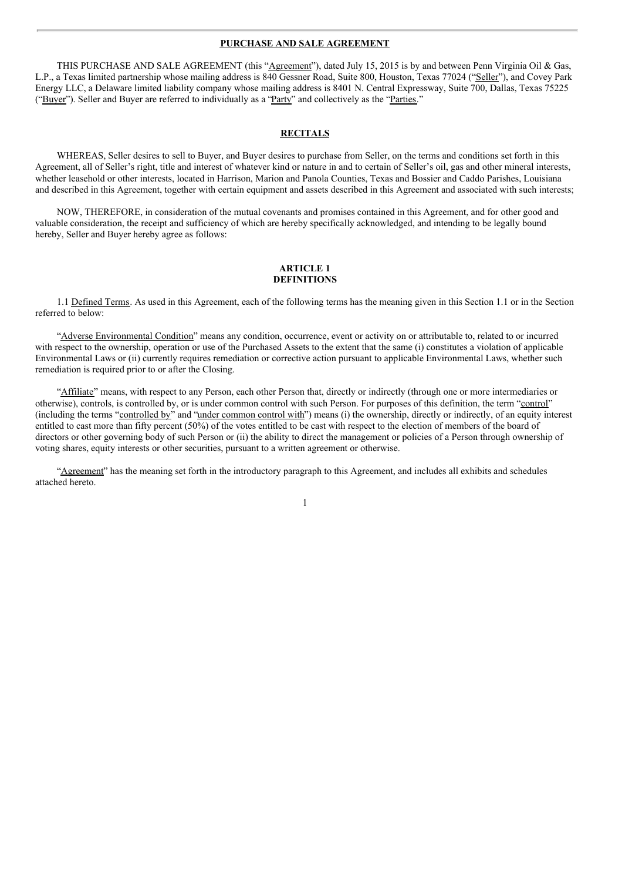#### **PURCHASE AND SALE AGREEMENT**

THIS PURCHASE AND SALE AGREEMENT (this "Agreement"), dated July 15, 2015 is by and between Penn Virginia Oil & Gas, L.P., a Texas limited partnership whose mailing address is 840 Gessner Road, Suite 800, Houston, Texas 77024 ("Seller"), and Covey Park Energy LLC, a Delaware limited liability company whose mailing address is 8401 N. Central Expressway, Suite 700, Dallas, Texas 75225 ("Buyer"). Seller and Buyer are referred to individually as a "Party" and collectively as the "Parties."

# **RECITALS**

WHEREAS, Seller desires to sell to Buyer, and Buyer desires to purchase from Seller, on the terms and conditions set forth in this Agreement, all of Seller's right, title and interest of whatever kind or nature in and to certain of Seller's oil, gas and other mineral interests, whether leasehold or other interests, located in Harrison, Marion and Panola Counties, Texas and Bossier and Caddo Parishes, Louisiana and described in this Agreement, together with certain equipment and assets described in this Agreement and associated with such interests;

NOW, THEREFORE, in consideration of the mutual covenants and promises contained in this Agreement, and for other good and valuable consideration, the receipt and sufficiency of which are hereby specifically acknowledged, and intending to be legally bound hereby, Seller and Buyer hereby agree as follows:

#### **ARTICLE 1 DEFINITIONS**

1.1 Defined Terms. As used in this Agreement, each of the following terms has the meaning given in this Section 1.1 or in the Section referred to below:

"Adverse Environmental Condition" means any condition, occurrence, event or activity on or attributable to, related to or incurred with respect to the ownership, operation or use of the Purchased Assets to the extent that the same (i) constitutes a violation of applicable Environmental Laws or (ii) currently requires remediation or corrective action pursuant to applicable Environmental Laws, whether such remediation is required prior to or after the Closing.

"Affiliate" means, with respect to any Person, each other Person that, directly or indirectly (through one or more intermediaries or otherwise), controls, is controlled by, or is under common control with such Person. For purposes of this definition, the term "control" (including the terms "controlled by" and "under common control with") means (i) the ownership, directly or indirectly, of an equity interest entitled to cast more than fifty percent (50%) of the votes entitled to be cast with respect to the election of members of the board of directors or other governing body of such Person or (ii) the ability to direct the management or policies of a Person through ownership of voting shares, equity interests or other securities, pursuant to a written agreement or otherwise.

1

"Agreement" has the meaning set forth in the introductory paragraph to this Agreement, and includes all exhibits and schedules attached hereto.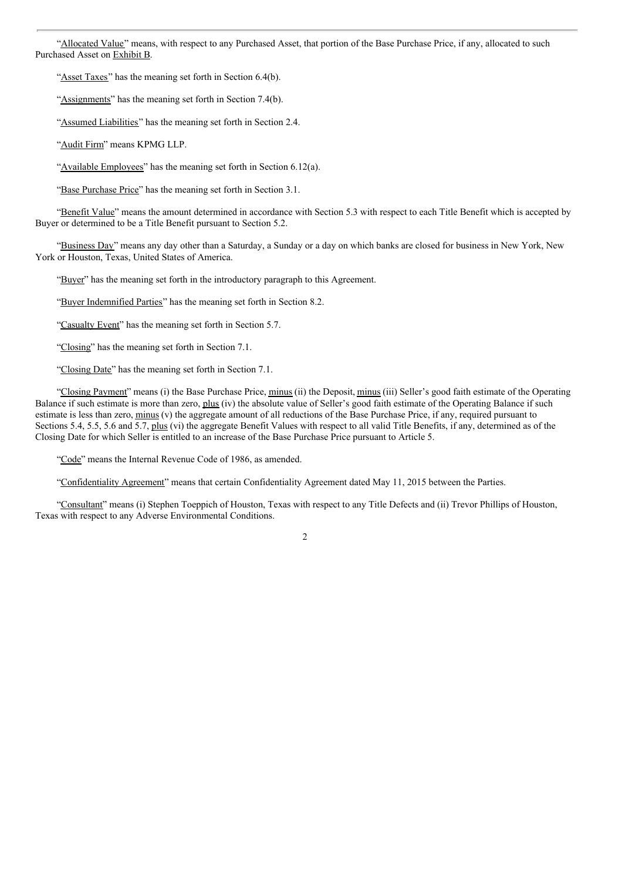"Allocated Value" means, with respect to any Purchased Asset, that portion of the Base Purchase Price, if any, allocated to such Purchased Asset on Exhibit B.

"Asset Taxes" has the meaning set forth in Section 6.4(b).

"Assignments" has the meaning set forth in Section 7.4(b).

"Assumed Liabilities" has the meaning set forth in Section 2.4.

"Audit Firm" means KPMG LLP.

"Available Employees" has the meaning set forth in Section 6.12(a).

"Base Purchase Price" has the meaning set forth in Section 3.1.

"Benefit Value" means the amount determined in accordance with Section 5.3 with respect to each Title Benefit which is accepted by Buyer or determined to be a Title Benefit pursuant to Section 5.2.

"Business Day" means any day other than a Saturday, a Sunday or a day on which banks are closed for business in New York, New York or Houston, Texas, United States of America.

"Buyer" has the meaning set forth in the introductory paragraph to this Agreement.

"Buyer Indemnified Parties" has the meaning set forth in Section 8.2.

"Casualty Event" has the meaning set forth in Section 5.7.

"Closing" has the meaning set forth in Section 7.1.

"Closing Date" has the meaning set forth in Section 7.1.

"Closing Payment" means (i) the Base Purchase Price, minus (ii) the Deposit, minus (iii) Seller's good faith estimate of the Operating Balance if such estimate is more than zero, plus (iv) the absolute value of Seller's good faith estimate of the Operating Balance if such estimate is less than zero, minus (v) the aggregate amount of all reductions of the Base Purchase Price, if any, required pursuant to Sections 5.4, 5.5, 5.6 and 5.7, plus (vi) the aggregate Benefit Values with respect to all valid Title Benefits, if any, determined as of the Closing Date for which Seller is entitled to an increase of the Base Purchase Price pursuant to Article 5.

"Code" means the Internal Revenue Code of 1986, as amended.

"Confidentiality Agreement" means that certain Confidentiality Agreement dated May 11, 2015 between the Parties.

"Consultant" means (i) Stephen Toeppich of Houston, Texas with respect to any Title Defects and (ii) Trevor Phillips of Houston, Texas with respect to any Adverse Environmental Conditions.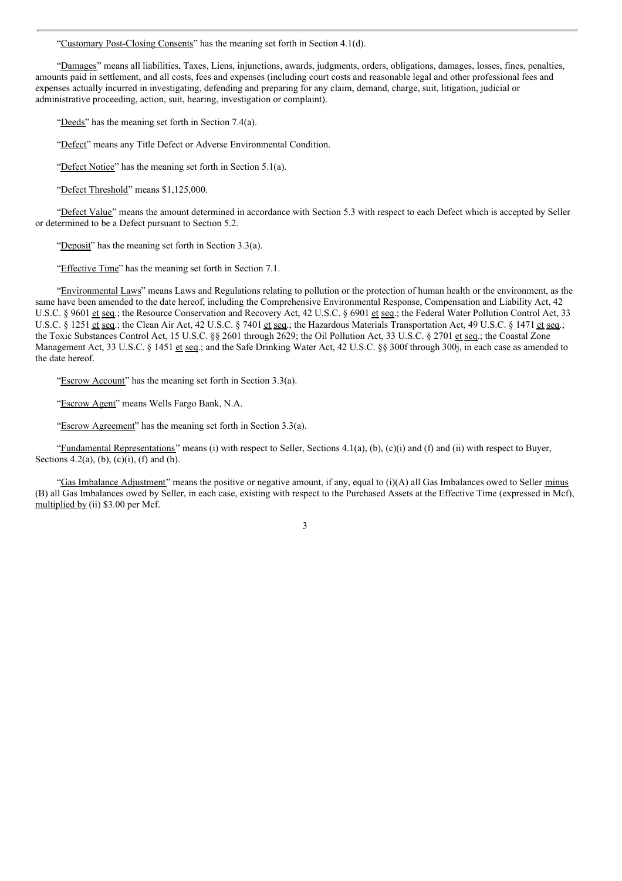"Customary Post-Closing Consents" has the meaning set forth in Section 4.1(d).

"Damages" means all liabilities, Taxes, Liens, injunctions, awards, judgments, orders, obligations, damages, losses, fines, penalties, amounts paid in settlement, and all costs, fees and expenses (including court costs and reasonable legal and other professional fees and expenses actually incurred in investigating, defending and preparing for any claim, demand, charge, suit, litigation, judicial or administrative proceeding, action, suit, hearing, investigation or complaint).

"Deeds" has the meaning set forth in Section 7.4(a).

"Defect" means any Title Defect or Adverse Environmental Condition.

"Defect Notice" has the meaning set forth in Section 5.1(a).

"Defect Threshold" means \$1,125,000.

"Defect Value" means the amount determined in accordance with Section 5.3 with respect to each Defect which is accepted by Seller or determined to be a Defect pursuant to Section 5.2.

"Deposit" has the meaning set forth in Section 3.3(a).

"Effective Time" has the meaning set forth in Section 7.1.

"Environmental Laws" means Laws and Regulations relating to pollution or the protection of human health or the environment, as the same have been amended to the date hereof, including the Comprehensive Environmental Response, Compensation and Liability Act, 42 U.S.C. § 9601 et seq.; the Resource Conservation and Recovery Act, 42 U.S.C. § 6901 et seq.; the Federal Water Pollution Control Act, 33 U.S.C. § 1251 et seq.; the Clean Air Act, 42 U.S.C. § 7401 et seq.; the Hazardous Materials Transportation Act, 49 U.S.C. § 1471 et seq.; the Toxic Substances Control Act, 15 U.S.C. §§ 2601 through 2629; the Oil Pollution Act, 33 U.S.C. § 2701 et seq.; the Coastal Zone Management Act, 33 U.S.C. § 1451 et seq.; and the Safe Drinking Water Act, 42 U.S.C. §§ 300f through 300j, in each case as amended to the date hereof.

"Escrow Account" has the meaning set forth in Section 3.3(a).

"Escrow Agent" means Wells Fargo Bank, N.A.

"Escrow Agreement" has the meaning set forth in Section 3.3(a).

"Fundamental Representations" means (i) with respect to Seller, Sections  $4.1(a)$ ,  $(b)$ ,  $(c)(i)$  and  $(f)$  and  $(ii)$  with respect to Buyer, Sections 4.2(a), (b), (c)(i), (f) and (h).

"Gas Imbalance Adjustment" means the positive or negative amount, if any, equal to (i)(A) all Gas Imbalances owed to Seller minus (B) all Gas Imbalances owed by Seller, in each case, existing with respect to the Purchased Assets at the Effective Time (expressed in Mcf), multiplied by (ii) \$3.00 per Mcf.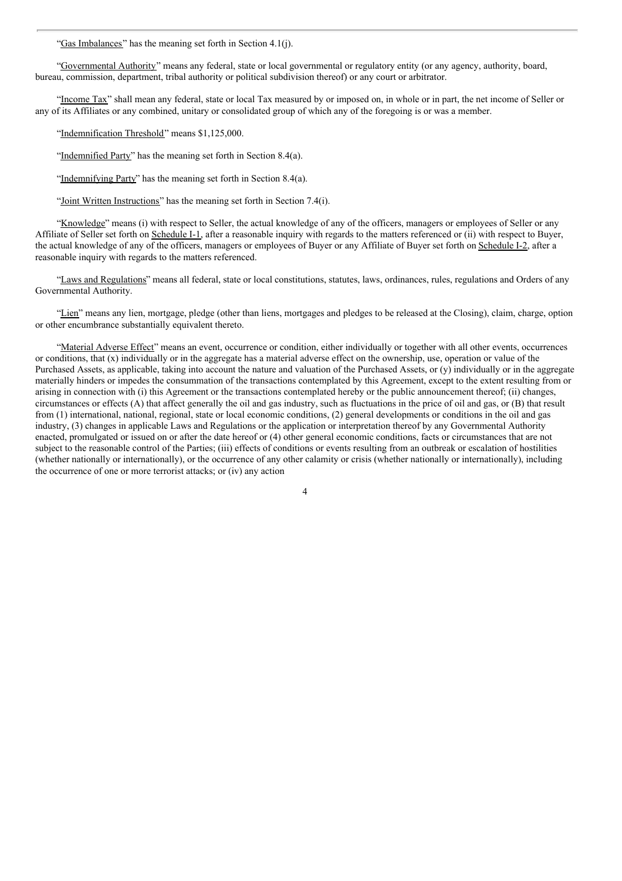"Gas Imbalances" has the meaning set forth in Section 4.1(j).

"Governmental Authority" means any federal, state or local governmental or regulatory entity (or any agency, authority, board, bureau, commission, department, tribal authority or political subdivision thereof) or any court or arbitrator.

"Income Tax" shall mean any federal, state or local Tax measured by or imposed on, in whole or in part, the net income of Seller or any of its Affiliates or any combined, unitary or consolidated group of which any of the foregoing is or was a member.

"Indemnification Threshold" means \$1,125,000.

"Indemnified Party" has the meaning set forth in Section 8.4(a).

"Indemnifying Party" has the meaning set forth in Section 8.4(a).

"Joint Written Instructions" has the meaning set forth in Section 7.4(i).

"Knowledge" means (i) with respect to Seller, the actual knowledge of any of the officers, managers or employees of Seller or any Affiliate of Seller set forth on Schedule I-1, after a reasonable inquiry with regards to the matters referenced or (ii) with respect to Buyer, the actual knowledge of any of the officers, managers or employees of Buyer or any Affiliate of Buyer set forth on Schedule I-2, after a reasonable inquiry with regards to the matters referenced.

"Laws and Regulations" means all federal, state or local constitutions, statutes, laws, ordinances, rules, regulations and Orders of any Governmental Authority.

"Lien" means any lien, mortgage, pledge (other than liens, mortgages and pledges to be released at the Closing), claim, charge, option or other encumbrance substantially equivalent thereto.

"Material Adverse Effect" means an event, occurrence or condition, either individually or together with all other events, occurrences or conditions, that  $(x)$  individually or in the aggregate has a material adverse effect on the ownership, use, operation or value of the Purchased Assets, as applicable, taking into account the nature and valuation of the Purchased Assets, or (y) individually or in the aggregate materially hinders or impedes the consummation of the transactions contemplated by this Agreement, except to the extent resulting from or arising in connection with (i) this Agreement or the transactions contemplated hereby or the public announcement thereof; (ii) changes, circumstances or effects (A) that affect generally the oil and gas industry, such as fluctuations in the price of oil and gas, or (B) that result from (1) international, national, regional, state or local economic conditions, (2) general developments or conditions in the oil and gas industry, (3) changes in applicable Laws and Regulations or the application or interpretation thereof by any Governmental Authority enacted, promulgated or issued on or after the date hereof or (4) other general economic conditions, facts or circumstances that are not subject to the reasonable control of the Parties; (iii) effects of conditions or events resulting from an outbreak or escalation of hostilities (whether nationally or internationally), or the occurrence of any other calamity or crisis (whether nationally or internationally), including the occurrence of one or more terrorist attacks; or (iv) any action

 $\overline{\Delta}$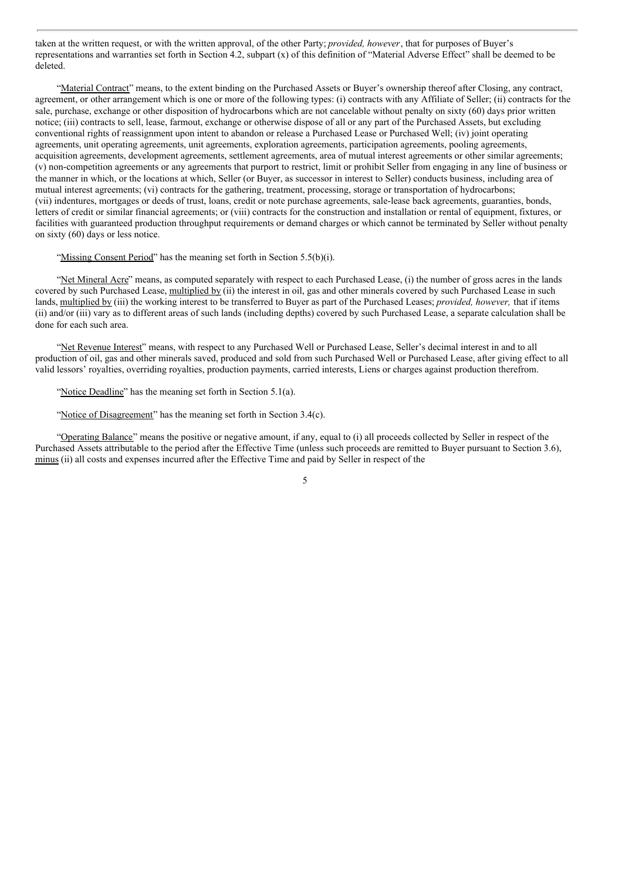taken at the written request, or with the written approval, of the other Party; *provided, however*, that for purposes of Buyer's representations and warranties set forth in Section 4.2, subpart (x) of this definition of "Material Adverse Effect" shall be deemed to be deleted.

"Material Contract" means, to the extent binding on the Purchased Assets or Buyer's ownership thereof after Closing, any contract, agreement, or other arrangement which is one or more of the following types: (i) contracts with any Affiliate of Seller; (ii) contracts for the sale, purchase, exchange or other disposition of hydrocarbons which are not cancelable without penalty on sixty (60) days prior written notice; (iii) contracts to sell, lease, farmout, exchange or otherwise dispose of all or any part of the Purchased Assets, but excluding conventional rights of reassignment upon intent to abandon or release a Purchased Lease or Purchased Well; (iv) joint operating agreements, unit operating agreements, unit agreements, exploration agreements, participation agreements, pooling agreements, acquisition agreements, development agreements, settlement agreements, area of mutual interest agreements or other similar agreements; (v) non-competition agreements or any agreements that purport to restrict, limit or prohibit Seller from engaging in any line of business or the manner in which, or the locations at which, Seller (or Buyer, as successor in interest to Seller) conducts business, including area of mutual interest agreements; (vi) contracts for the gathering, treatment, processing, storage or transportation of hydrocarbons; (vii) indentures, mortgages or deeds of trust, loans, credit or note purchase agreements, sale-lease back agreements, guaranties, bonds, letters of credit or similar financial agreements; or (viii) contracts for the construction and installation or rental of equipment, fixtures, or facilities with guaranteed production throughput requirements or demand charges or which cannot be terminated by Seller without penalty on sixty (60) days or less notice.

#### "Missing Consent Period" has the meaning set forth in Section 5.5(b)(i).

"Net Mineral Acre" means, as computed separately with respect to each Purchased Lease, (i) the number of gross acres in the lands covered by such Purchased Lease, multiplied by (ii) the interest in oil, gas and other minerals covered by such Purchased Lease in such lands, multiplied by (iii) the working interest to be transferred to Buyer as part of the Purchased Leases; *provided, however,* that if items (ii) and/or (iii) vary as to different areas of such lands (including depths) covered by such Purchased Lease, a separate calculation shall be done for each such area.

"Net Revenue Interest" means, with respect to any Purchased Well or Purchased Lease, Seller's decimal interest in and to all production of oil, gas and other minerals saved, produced and sold from such Purchased Well or Purchased Lease, after giving effect to all valid lessors' royalties, overriding royalties, production payments, carried interests, Liens or charges against production therefrom.

"Notice Deadline" has the meaning set forth in Section 5.1(a).

"Notice of Disagreement" has the meaning set forth in Section 3.4(c).

"Operating Balance" means the positive or negative amount, if any, equal to (i) all proceeds collected by Seller in respect of the Purchased Assets attributable to the period after the Effective Time (unless such proceeds are remitted to Buyer pursuant to Section 3.6), minus (ii) all costs and expenses incurred after the Effective Time and paid by Seller in respect of the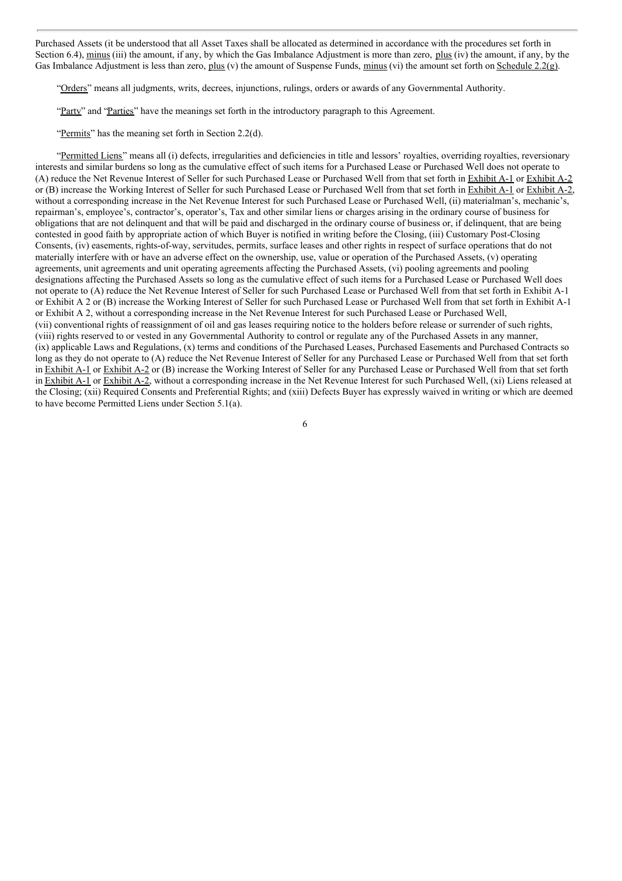Purchased Assets (it be understood that all Asset Taxes shall be allocated as determined in accordance with the procedures set forth in Section 6.4), minus (iii) the amount, if any, by which the Gas Imbalance Adjustment is more than zero, plus (iv) the amount, if any, by the Gas Imbalance Adjustment is less than zero, plus (v) the amount of Suspense Funds, minus (vi) the amount set forth on Schedule 2.2(g).

"Orders" means all judgments, writs, decrees, injunctions, rulings, orders or awards of any Governmental Authority.

"Party" and "Parties" have the meanings set forth in the introductory paragraph to this Agreement.

"Permits" has the meaning set forth in Section 2.2(d).

"Permitted Liens" means all (i) defects, irregularities and deficiencies in title and lessors' royalties, overriding royalties, reversionary interests and similar burdens so long as the cumulative effect of such items for a Purchased Lease or Purchased Well does not operate to (A) reduce the Net Revenue Interest of Seller for such Purchased Lease or Purchased Well from that set forth in Exhibit A-1 or Exhibit A-2 or (B) increase the Working Interest of Seller for such Purchased Lease or Purchased Well from that set forth in Exhibit A-1 or Exhibit A-2, without a corresponding increase in the Net Revenue Interest for such Purchased Lease or Purchased Well, (ii) materialman's, mechanic's, repairman's, employee's, contractor's, operator's, Tax and other similar liens or charges arising in the ordinary course of business for obligations that are not delinquent and that will be paid and discharged in the ordinary course of business or, if delinquent, that are being contested in good faith by appropriate action of which Buyer is notified in writing before the Closing, (iii) Customary Post-Closing Consents, (iv) easements, rights-of-way, servitudes, permits, surface leases and other rights in respect of surface operations that do not materially interfere with or have an adverse effect on the ownership, use, value or operation of the Purchased Assets, (v) operating agreements, unit agreements and unit operating agreements affecting the Purchased Assets, (vi) pooling agreements and pooling designations affecting the Purchased Assets so long as the cumulative effect of such items for a Purchased Lease or Purchased Well does not operate to (A) reduce the Net Revenue Interest of Seller for such Purchased Lease or Purchased Well from that set forth in Exhibit A-1 or Exhibit A 2 or (B) increase the Working Interest of Seller for such Purchased Lease or Purchased Well from that set forth in Exhibit A-1 or Exhibit A 2, without a corresponding increase in the Net Revenue Interest for such Purchased Lease or Purchased Well, (vii) conventional rights of reassignment of oil and gas leases requiring notice to the holders before release or surrender of such rights, (viii) rights reserved to or vested in any Governmental Authority to control or regulate any of the Purchased Assets in any manner, (ix) applicable Laws and Regulations, (x) terms and conditions of the Purchased Leases, Purchased Easements and Purchased Contracts so long as they do not operate to (A) reduce the Net Revenue Interest of Seller for any Purchased Lease or Purchased Well from that set forth in Exhibit A-1 or Exhibit A-2 or (B) increase the Working Interest of Seller for any Purchased Lease or Purchased Well from that set forth in Exhibit A-1 or Exhibit A-2, without a corresponding increase in the Net Revenue Interest for such Purchased Well, (xi) Liens released at the Closing; (xii) Required Consents and Preferential Rights; and (xiii) Defects Buyer has expressly waived in writing or which are deemed to have become Permitted Liens under Section 5.1(a).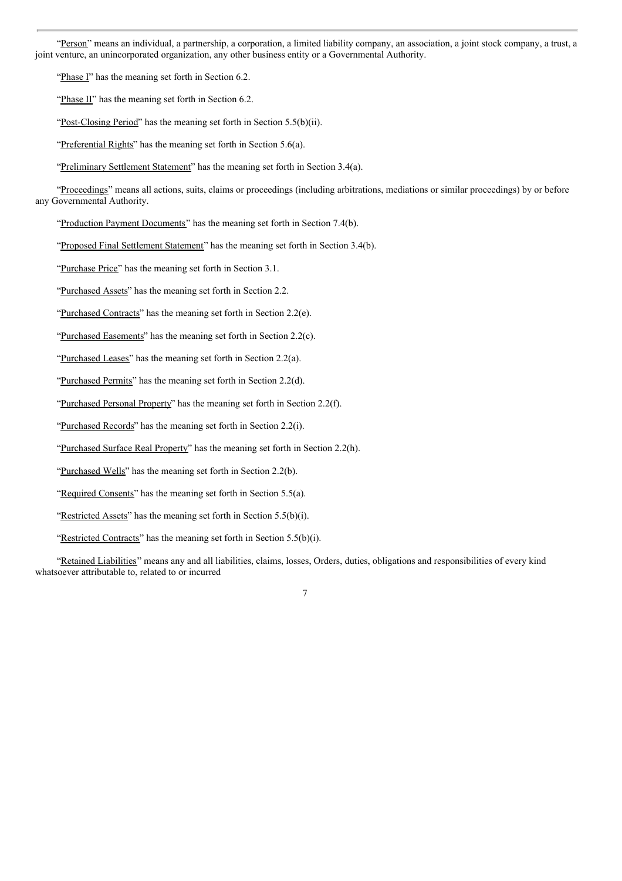"Person" means an individual, a partnership, a corporation, a limited liability company, an association, a joint stock company, a trust, a joint venture, an unincorporated organization, any other business entity or a Governmental Authority.

"Phase I" has the meaning set forth in Section 6.2.

"Phase II" has the meaning set forth in Section 6.2.

"Post-Closing Period" has the meaning set forth in Section 5.5(b)(ii).

"Preferential Rights" has the meaning set forth in Section 5.6(a).

"Preliminary Settlement Statement" has the meaning set forth in Section 3.4(a).

"Proceedings" means all actions, suits, claims or proceedings (including arbitrations, mediations or similar proceedings) by or before any Governmental Authority.

"Production Payment Documents" has the meaning set forth in Section 7.4(b).

"Proposed Final Settlement Statement" has the meaning set forth in Section 3.4(b).

"Purchase Price" has the meaning set forth in Section 3.1.

"Purchased Assets" has the meaning set forth in Section 2.2.

"Purchased Contracts" has the meaning set forth in Section 2.2(e).

"Purchased Easements" has the meaning set forth in Section 2.2(c).

"Purchased Leases" has the meaning set forth in Section 2.2(a).

"Purchased Permits" has the meaning set forth in Section 2.2(d).

"Purchased Personal Property" has the meaning set forth in Section 2.2(f).

"Purchased Records" has the meaning set forth in Section 2.2(i).

"Purchased Surface Real Property" has the meaning set forth in Section 2.2(h).

"Purchased Wells" has the meaning set forth in Section 2.2(b).

"Required Consents" has the meaning set forth in Section 5.5(a).

"Restricted Assets" has the meaning set forth in Section 5.5(b)(i).

"Restricted Contracts" has the meaning set forth in Section 5.5(b)(i).

"Retained Liabilities" means any and all liabilities, claims, losses, Orders, duties, obligations and responsibilities of every kind whatsoever attributable to, related to or incurred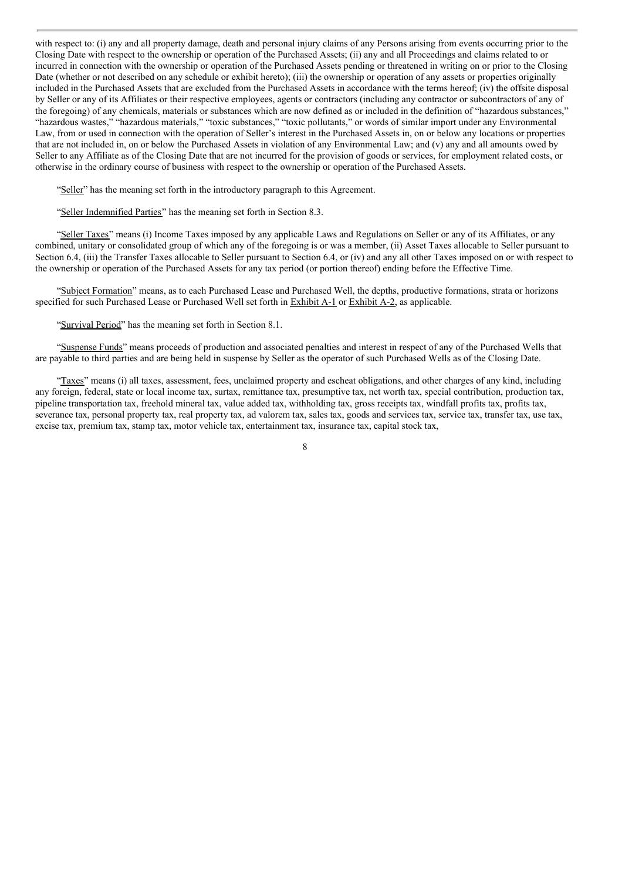with respect to: (i) any and all property damage, death and personal injury claims of any Persons arising from events occurring prior to the Closing Date with respect to the ownership or operation of the Purchased Assets; (ii) any and all Proceedings and claims related to or incurred in connection with the ownership or operation of the Purchased Assets pending or threatened in writing on or prior to the Closing Date (whether or not described on any schedule or exhibit hereto); (iii) the ownership or operation of any assets or properties originally included in the Purchased Assets that are excluded from the Purchased Assets in accordance with the terms hereof; (iv) the offsite disposal by Seller or any of its Affiliates or their respective employees, agents or contractors (including any contractor or subcontractors of any of the foregoing) of any chemicals, materials or substances which are now defined as or included in the definition of "hazardous substances," "hazardous wastes," "hazardous materials," "toxic substances," "toxic pollutants," or words of similar import under any Environmental Law, from or used in connection with the operation of Seller's interest in the Purchased Assets in, on or below any locations or properties that are not included in, on or below the Purchased Assets in violation of any Environmental Law; and (v) any and all amounts owed by Seller to any Affiliate as of the Closing Date that are not incurred for the provision of goods or services, for employment related costs, or otherwise in the ordinary course of business with respect to the ownership or operation of the Purchased Assets.

"Seller" has the meaning set forth in the introductory paragraph to this Agreement.

"Seller Indemnified Parties" has the meaning set forth in Section 8.3.

"Seller Taxes" means (i) Income Taxes imposed by any applicable Laws and Regulations on Seller or any of its Affiliates, or any combined, unitary or consolidated group of which any of the foregoing is or was a member, (ii) Asset Taxes allocable to Seller pursuant to Section 6.4, (iii) the Transfer Taxes allocable to Seller pursuant to Section 6.4, or (iv) and any all other Taxes imposed on or with respect to the ownership or operation of the Purchased Assets for any tax period (or portion thereof) ending before the Effective Time.

"Subject Formation" means, as to each Purchased Lease and Purchased Well, the depths, productive formations, strata or horizons specified for such Purchased Lease or Purchased Well set forth in Exhibit A-1 or Exhibit A-2, as applicable.

"Survival Period" has the meaning set forth in Section 8.1.

"Suspense Funds" means proceeds of production and associated penalties and interest in respect of any of the Purchased Wells that are payable to third parties and are being held in suspense by Seller as the operator of such Purchased Wells as of the Closing Date.

"Taxes" means (i) all taxes, assessment, fees, unclaimed property and escheat obligations, and other charges of any kind, including any foreign, federal, state or local income tax, surtax, remittance tax, presumptive tax, net worth tax, special contribution, production tax, pipeline transportation tax, freehold mineral tax, value added tax, withholding tax, gross receipts tax, windfall profits tax, profits tax, severance tax, personal property tax, real property tax, ad valorem tax, sales tax, goods and services tax, service tax, transfer tax, use tax, excise tax, premium tax, stamp tax, motor vehicle tax, entertainment tax, insurance tax, capital stock tax,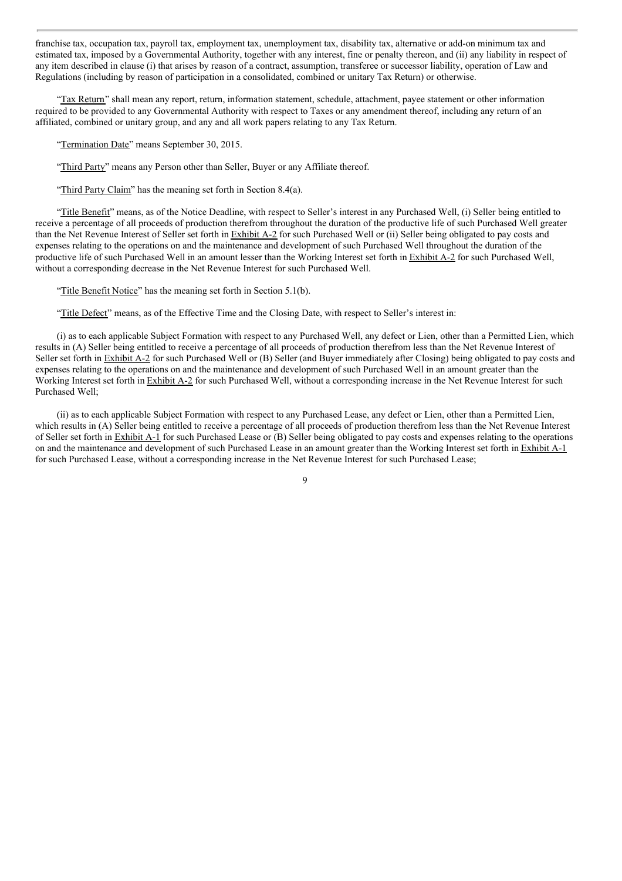franchise tax, occupation tax, payroll tax, employment tax, unemployment tax, disability tax, alternative or add-on minimum tax and estimated tax, imposed by a Governmental Authority, together with any interest, fine or penalty thereon, and (ii) any liability in respect of any item described in clause (i) that arises by reason of a contract, assumption, transferee or successor liability, operation of Law and Regulations (including by reason of participation in a consolidated, combined or unitary Tax Return) or otherwise.

"Tax Return" shall mean any report, return, information statement, schedule, attachment, payee statement or other information required to be provided to any Governmental Authority with respect to Taxes or any amendment thereof, including any return of an affiliated, combined or unitary group, and any and all work papers relating to any Tax Return.

"Termination Date" means September 30, 2015.

"Third Party" means any Person other than Seller, Buyer or any Affiliate thereof.

"Third Party Claim" has the meaning set forth in Section 8.4(a).

"Title Benefit" means, as of the Notice Deadline, with respect to Seller's interest in any Purchased Well, (i) Seller being entitled to receive a percentage of all proceeds of production therefrom throughout the duration of the productive life of such Purchased Well greater than the Net Revenue Interest of Seller set forth in Exhibit A-2 for such Purchased Well or (ii) Seller being obligated to pay costs and expenses relating to the operations on and the maintenance and development of such Purchased Well throughout the duration of the productive life of such Purchased Well in an amount lesser than the Working Interest set forth in Exhibit A-2 for such Purchased Well, without a corresponding decrease in the Net Revenue Interest for such Purchased Well.

"Title Benefit Notice" has the meaning set forth in Section 5.1(b).

"Title Defect" means, as of the Effective Time and the Closing Date, with respect to Seller's interest in:

(i) as to each applicable Subject Formation with respect to any Purchased Well, any defect or Lien, other than a Permitted Lien, which results in (A) Seller being entitled to receive a percentage of all proceeds of production therefrom less than the Net Revenue Interest of Seller set forth in **Exhibit A-2** for such Purchased Well or (B) Seller (and Buyer immediately after Closing) being obligated to pay costs and expenses relating to the operations on and the maintenance and development of such Purchased Well in an amount greater than the Working Interest set forth in Exhibit A-2 for such Purchased Well, without a corresponding increase in the Net Revenue Interest for such Purchased Well;

(ii) as to each applicable Subject Formation with respect to any Purchased Lease, any defect or Lien, other than a Permitted Lien, which results in (A) Seller being entitled to receive a percentage of all proceeds of production therefrom less than the Net Revenue Interest of Seller set forth in Exhibit A-1 for such Purchased Lease or (B) Seller being obligated to pay costs and expenses relating to the operations on and the maintenance and development of such Purchased Lease in an amount greater than the Working Interest set forth in Exhibit A-1 for such Purchased Lease, without a corresponding increase in the Net Revenue Interest for such Purchased Lease;

 $\overline{Q}$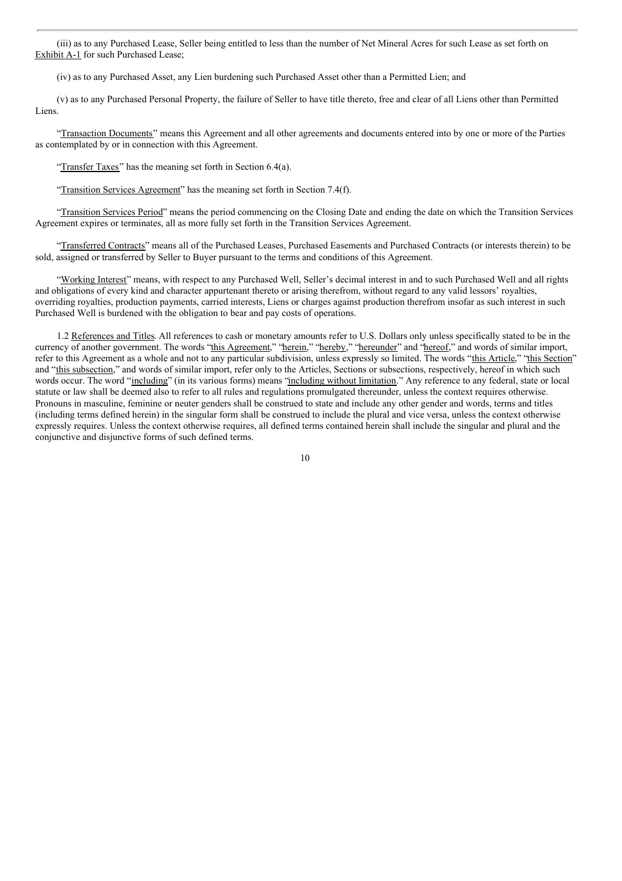(iii) as to any Purchased Lease, Seller being entitled to less than the number of Net Mineral Acres for such Lease as set forth on Exhibit A-1 for such Purchased Lease;

(iv) as to any Purchased Asset, any Lien burdening such Purchased Asset other than a Permitted Lien; and

(v) as to any Purchased Personal Property, the failure of Seller to have title thereto, free and clear of all Liens other than Permitted Liens.

"Transaction Documents" means this Agreement and all other agreements and documents entered into by one or more of the Parties as contemplated by or in connection with this Agreement.

"Transfer Taxes" has the meaning set forth in Section 6.4(a).

"Transition Services Agreement" has the meaning set forth in Section 7.4(f).

"Transition Services Period" means the period commencing on the Closing Date and ending the date on which the Transition Services Agreement expires or terminates, all as more fully set forth in the Transition Services Agreement.

"Transferred Contracts" means all of the Purchased Leases, Purchased Easements and Purchased Contracts (or interests therein) to be sold, assigned or transferred by Seller to Buyer pursuant to the terms and conditions of this Agreement.

"Working Interest" means, with respect to any Purchased Well, Seller's decimal interest in and to such Purchased Well and all rights and obligations of every kind and character appurtenant thereto or arising therefrom, without regard to any valid lessors' royalties, overriding royalties, production payments, carried interests, Liens or charges against production therefrom insofar as such interest in such Purchased Well is burdened with the obligation to bear and pay costs of operations.

1.2 References and Titles. All references to cash or monetary amounts refer to U.S. Dollars only unless specifically stated to be in the currency of another government. The words "this Agreement," "herein," "hereby," "hereunder" and "hereof," and words of similar import, refer to this Agreement as a whole and not to any particular subdivision, unless expressly so limited. The words "this Article," "this Section" and "this subsection," and words of similar import, refer only to the Articles, Sections or subsections, respectively, hereof in which such words occur. The word "including" (in its various forms) means "including without limitation." Any reference to any federal, state or local statute or law shall be deemed also to refer to all rules and regulations promulgated thereunder, unless the context requires otherwise. Pronouns in masculine, feminine or neuter genders shall be construed to state and include any other gender and words, terms and titles (including terms defined herein) in the singular form shall be construed to include the plural and vice versa, unless the context otherwise expressly requires. Unless the context otherwise requires, all defined terms contained herein shall include the singular and plural and the conjunctive and disjunctive forms of such defined terms.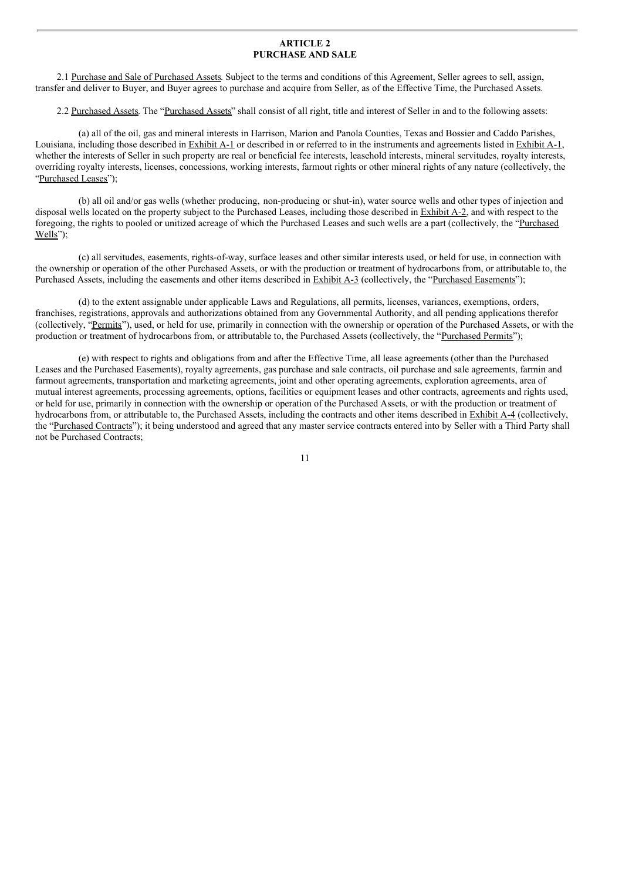# **ARTICLE 2 PURCHASE AND SALE**

2.1 Purchase and Sale of Purchased Assets. Subject to the terms and conditions of this Agreement, Seller agrees to sell, assign, transfer and deliver to Buyer, and Buyer agrees to purchase and acquire from Seller, as of the Effective Time, the Purchased Assets.

2.2 Purchased Assets. The "Purchased Assets" shall consist of all right, title and interest of Seller in and to the following assets:

(a) all of the oil, gas and mineral interests in Harrison, Marion and Panola Counties, Texas and Bossier and Caddo Parishes, Louisiana, including those described in Exhibit A-1 or described in or referred to in the instruments and agreements listed in Exhibit A-1, whether the interests of Seller in such property are real or beneficial fee interests, leasehold interests, mineral servitudes, royalty interests, overriding royalty interests, licenses, concessions, working interests, farmout rights or other mineral rights of any nature (collectively, the "Purchased Leases");

(b) all oil and/or gas wells (whether producing, non-producing or shut-in), water source wells and other types of injection and disposal wells located on the property subject to the Purchased Leases, including those described in Exhibit A-2, and with respect to the foregoing, the rights to pooled or unitized acreage of which the Purchased Leases and such wells are a part (collectively, the "Purchased Wells");

(c) all servitudes, easements, rights-of-way, surface leases and other similar interests used, or held for use, in connection with the ownership or operation of the other Purchased Assets, or with the production or treatment of hydrocarbons from, or attributable to, the Purchased Assets, including the easements and other items described in Exhibit A-3 (collectively, the "Purchased Easements");

(d) to the extent assignable under applicable Laws and Regulations, all permits, licenses, variances, exemptions, orders, franchises, registrations, approvals and authorizations obtained from any Governmental Authority, and all pending applications therefor (collectively, "Permits"), used, or held for use, primarily in connection with the ownership or operation of the Purchased Assets, or with the production or treatment of hydrocarbons from, or attributable to, the Purchased Assets (collectively, the "Purchased Permits");

(e) with respect to rights and obligations from and after the Effective Time, all lease agreements (other than the Purchased Leases and the Purchased Easements), royalty agreements, gas purchase and sale contracts, oil purchase and sale agreements, farmin and farmout agreements, transportation and marketing agreements, joint and other operating agreements, exploration agreements, area of mutual interest agreements, processing agreements, options, facilities or equipment leases and other contracts, agreements and rights used, or held for use, primarily in connection with the ownership or operation of the Purchased Assets, or with the production or treatment of hydrocarbons from, or attributable to, the Purchased Assets, including the contracts and other items described in Exhibit A-4 (collectively, the "Purchased Contracts"); it being understood and agreed that any master service contracts entered into by Seller with a Third Party shall not be Purchased Contracts;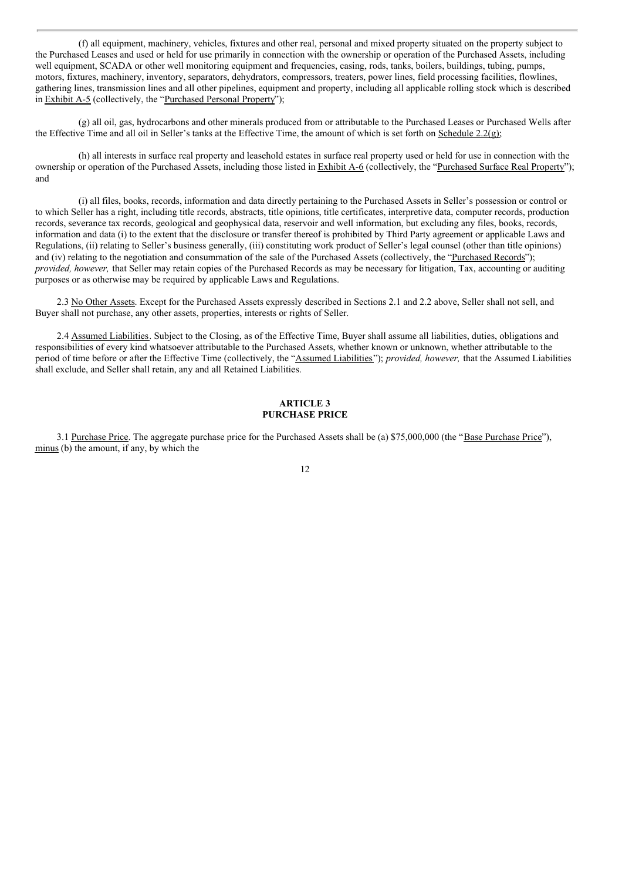(f) all equipment, machinery, vehicles, fixtures and other real, personal and mixed property situated on the property subject to the Purchased Leases and used or held for use primarily in connection with the ownership or operation of the Purchased Assets, including well equipment, SCADA or other well monitoring equipment and frequencies, casing, rods, tanks, boilers, buildings, tubing, pumps, motors, fixtures, machinery, inventory, separators, dehydrators, compressors, treaters, power lines, field processing facilities, flowlines, gathering lines, transmission lines and all other pipelines, equipment and property, including all applicable rolling stock which is described in Exhibit A-5 (collectively, the "Purchased Personal Property");

(g) all oil, gas, hydrocarbons and other minerals produced from or attributable to the Purchased Leases or Purchased Wells after the Effective Time and all oil in Seller's tanks at the Effective Time, the amount of which is set forth on Schedule 2.2(g);

(h) all interests in surface real property and leasehold estates in surface real property used or held for use in connection with the ownership or operation of the Purchased Assets, including those listed in Exhibit A-6 (collectively, the "Purchased Surface Real Property"); and

(i) all files, books, records, information and data directly pertaining to the Purchased Assets in Seller's possession or control or to which Seller has a right, including title records, abstracts, title opinions, title certificates, interpretive data, computer records, production records, severance tax records, geological and geophysical data, reservoir and well information, but excluding any files, books, records, information and data (i) to the extent that the disclosure or transfer thereof is prohibited by Third Party agreement or applicable Laws and Regulations, (ii) relating to Seller's business generally, (iii) constituting work product of Seller's legal counsel (other than title opinions) and (iv) relating to the negotiation and consummation of the sale of the Purchased Assets (collectively, the "Purchased Records"); *provided, however,* that Seller may retain copies of the Purchased Records as may be necessary for litigation, Tax, accounting or auditing purposes or as otherwise may be required by applicable Laws and Regulations.

2.3 No Other Assets. Except for the Purchased Assets expressly described in Sections 2.1 and 2.2 above, Seller shall not sell, and Buyer shall not purchase, any other assets, properties, interests or rights of Seller.

2.4 Assumed Liabilities. Subject to the Closing, as of the Effective Time, Buyer shall assume all liabilities, duties, obligations and responsibilities of every kind whatsoever attributable to the Purchased Assets, whether known or unknown, whether attributable to the period of time before or after the Effective Time (collectively, the "Assumed Liabilities"); *provided, however,* that the Assumed Liabilities shall exclude, and Seller shall retain, any and all Retained Liabilities.

#### **ARTICLE 3 PURCHASE PRICE**

3.1 Purchase Price. The aggregate purchase price for the Purchased Assets shall be (a) \$75,000,000 (the "Base Purchase Price"), minus (b) the amount, if any, by which the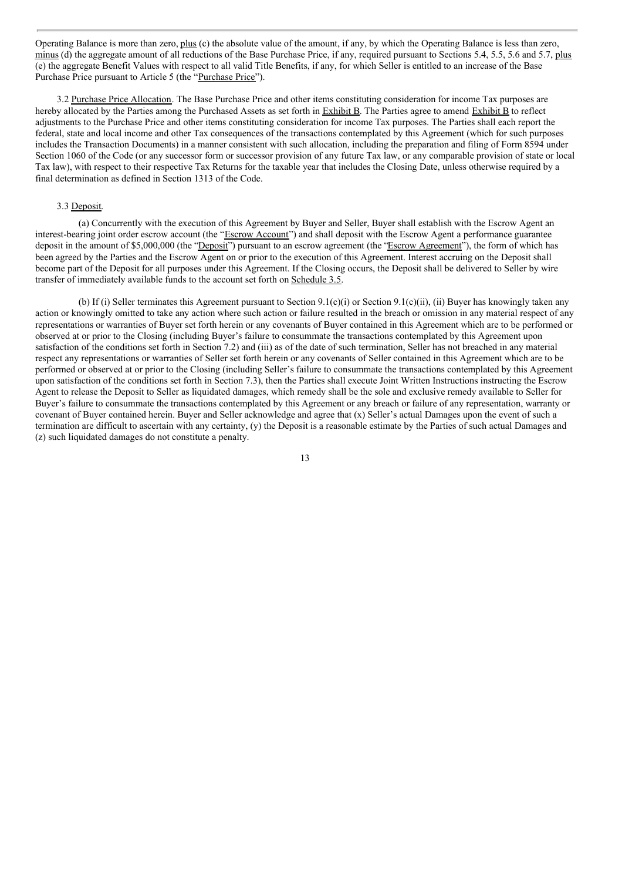Operating Balance is more than zero, plus (c) the absolute value of the amount, if any, by which the Operating Balance is less than zero, minus (d) the aggregate amount of all reductions of the Base Purchase Price, if any, required pursuant to Sections 5.4, 5.5, 5.6 and 5.7, plus (e) the aggregate Benefit Values with respect to all valid Title Benefits, if any, for which Seller is entitled to an increase of the Base Purchase Price pursuant to Article 5 (the "Purchase Price").

3.2 Purchase Price Allocation. The Base Purchase Price and other items constituting consideration for income Tax purposes are hereby allocated by the Parties among the Purchased Assets as set forth in Exhibit B. The Parties agree to amend Exhibit B to reflect adjustments to the Purchase Price and other items constituting consideration for income Tax purposes. The Parties shall each report the federal, state and local income and other Tax consequences of the transactions contemplated by this Agreement (which for such purposes includes the Transaction Documents) in a manner consistent with such allocation, including the preparation and filing of Form 8594 under Section 1060 of the Code (or any successor form or successor provision of any future Tax law, or any comparable provision of state or local Tax law), with respect to their respective Tax Returns for the taxable year that includes the Closing Date, unless otherwise required by a final determination as defined in Section 1313 of the Code.

#### 3.3 Deposit.

(a) Concurrently with the execution of this Agreement by Buyer and Seller, Buyer shall establish with the Escrow Agent an interest-bearing joint order escrow account (the "Escrow Account") and shall deposit with the Escrow Agent a performance guarantee deposit in the amount of \$5,000,000 (the "Deposit") pursuant to an escrow agreement (the "Escrow Agreement"), the form of which has been agreed by the Parties and the Escrow Agent on or prior to the execution of this Agreement. Interest accruing on the Deposit shall become part of the Deposit for all purposes under this Agreement. If the Closing occurs, the Deposit shall be delivered to Seller by wire transfer of immediately available funds to the account set forth on Schedule 3.5.

(b) If (i) Seller terminates this Agreement pursuant to Section 9.1(c)(i) or Section 9.1(c)(ii), (ii) Buyer has knowingly taken any action or knowingly omitted to take any action where such action or failure resulted in the breach or omission in any material respect of any representations or warranties of Buyer set forth herein or any covenants of Buyer contained in this Agreement which are to be performed or observed at or prior to the Closing (including Buyer's failure to consummate the transactions contemplated by this Agreement upon satisfaction of the conditions set forth in Section 7.2) and (iii) as of the date of such termination, Seller has not breached in any material respect any representations or warranties of Seller set forth herein or any covenants of Seller contained in this Agreement which are to be performed or observed at or prior to the Closing (including Seller's failure to consummate the transactions contemplated by this Agreement upon satisfaction of the conditions set forth in Section 7.3), then the Parties shall execute Joint Written Instructions instructing the Escrow Agent to release the Deposit to Seller as liquidated damages, which remedy shall be the sole and exclusive remedy available to Seller for Buyer's failure to consummate the transactions contemplated by this Agreement or any breach or failure of any representation, warranty or covenant of Buyer contained herein. Buyer and Seller acknowledge and agree that (x) Seller's actual Damages upon the event of such a termination are difficult to ascertain with any certainty, (y) the Deposit is a reasonable estimate by the Parties of such actual Damages and (z) such liquidated damages do not constitute a penalty.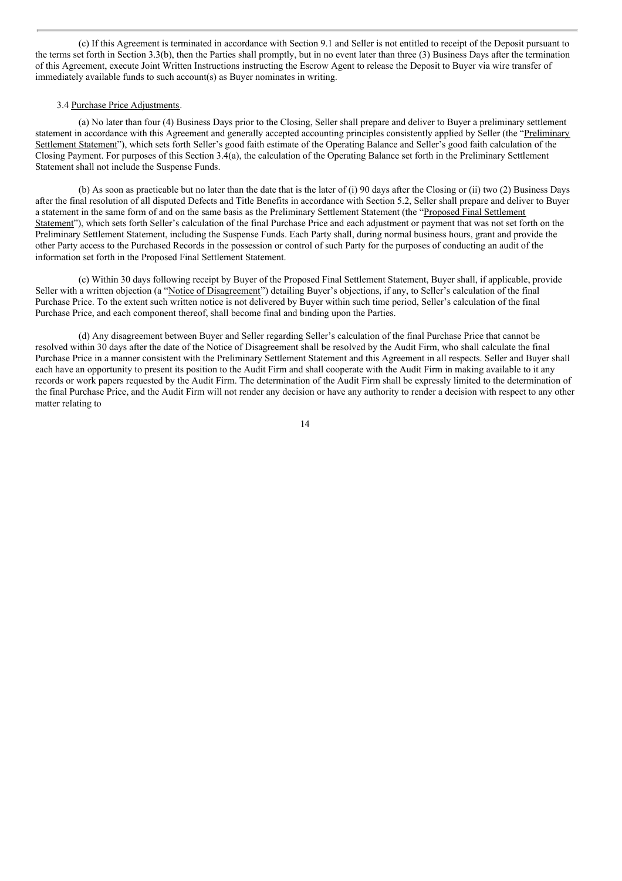(c) If this Agreement is terminated in accordance with Section 9.1 and Seller is not entitled to receipt of the Deposit pursuant to the terms set forth in Section 3.3(b), then the Parties shall promptly, but in no event later than three (3) Business Days after the termination of this Agreement, execute Joint Written Instructions instructing the Escrow Agent to release the Deposit to Buyer via wire transfer of immediately available funds to such account(s) as Buyer nominates in writing.

#### 3.4 Purchase Price Adjustments.

(a) No later than four (4) Business Days prior to the Closing, Seller shall prepare and deliver to Buyer a preliminary settlement statement in accordance with this Agreement and generally accepted accounting principles consistently applied by Seller (the "Preliminary Settlement Statement"), which sets forth Seller's good faith estimate of the Operating Balance and Seller's good faith calculation of the Closing Payment. For purposes of this Section 3.4(a), the calculation of the Operating Balance set forth in the Preliminary Settlement Statement shall not include the Suspense Funds.

(b) As soon as practicable but no later than the date that is the later of (i) 90 days after the Closing or (ii) two (2) Business Days after the final resolution of all disputed Defects and Title Benefits in accordance with Section 5.2, Seller shall prepare and deliver to Buyer a statement in the same form of and on the same basis as the Preliminary Settlement Statement (the "Proposed Final Settlement Statement"), which sets forth Seller's calculation of the final Purchase Price and each adjustment or payment that was not set forth on the Preliminary Settlement Statement, including the Suspense Funds. Each Party shall, during normal business hours, grant and provide the other Party access to the Purchased Records in the possession or control of such Party for the purposes of conducting an audit of the information set forth in the Proposed Final Settlement Statement.

(c) Within 30 days following receipt by Buyer of the Proposed Final Settlement Statement, Buyer shall, if applicable, provide Seller with a written objection (a "Notice of Disagreement") detailing Buyer's objections, if any, to Seller's calculation of the final Purchase Price. To the extent such written notice is not delivered by Buyer within such time period, Seller's calculation of the final Purchase Price, and each component thereof, shall become final and binding upon the Parties.

(d) Any disagreement between Buyer and Seller regarding Seller's calculation of the final Purchase Price that cannot be resolved within 30 days after the date of the Notice of Disagreement shall be resolved by the Audit Firm, who shall calculate the final Purchase Price in a manner consistent with the Preliminary Settlement Statement and this Agreement in all respects. Seller and Buyer shall each have an opportunity to present its position to the Audit Firm and shall cooperate with the Audit Firm in making available to it any records or work papers requested by the Audit Firm. The determination of the Audit Firm shall be expressly limited to the determination of the final Purchase Price, and the Audit Firm will not render any decision or have any authority to render a decision with respect to any other matter relating to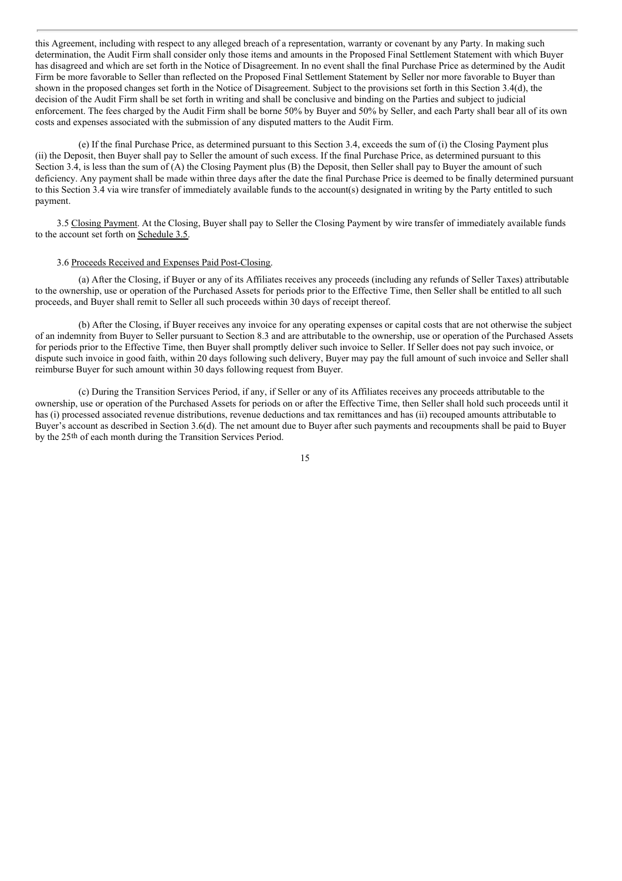this Agreement, including with respect to any alleged breach of a representation, warranty or covenant by any Party. In making such determination, the Audit Firm shall consider only those items and amounts in the Proposed Final Settlement Statement with which Buyer has disagreed and which are set forth in the Notice of Disagreement. In no event shall the final Purchase Price as determined by the Audit Firm be more favorable to Seller than reflected on the Proposed Final Settlement Statement by Seller nor more favorable to Buyer than shown in the proposed changes set forth in the Notice of Disagreement. Subject to the provisions set forth in this Section 3.4(d), the decision of the Audit Firm shall be set forth in writing and shall be conclusive and binding on the Parties and subject to judicial enforcement. The fees charged by the Audit Firm shall be borne 50% by Buyer and 50% by Seller, and each Party shall bear all of its own costs and expenses associated with the submission of any disputed matters to the Audit Firm.

(e) If the final Purchase Price, as determined pursuant to this Section 3.4, exceeds the sum of (i) the Closing Payment plus (ii) the Deposit, then Buyer shall pay to Seller the amount of such excess. If the final Purchase Price, as determined pursuant to this Section 3.4, is less than the sum of (A) the Closing Payment plus (B) the Deposit, then Seller shall pay to Buyer the amount of such deficiency. Any payment shall be made within three days after the date the final Purchase Price is deemed to be finally determined pursuant to this Section 3.4 via wire transfer of immediately available funds to the account(s) designated in writing by the Party entitled to such payment.

3.5 Closing Payment. At the Closing, Buyer shall pay to Seller the Closing Payment by wire transfer of immediately available funds to the account set forth on Schedule 3.5.

#### 3.6 Proceeds Received and Expenses Paid Post-Closing.

(a) After the Closing, if Buyer or any of its Affiliates receives any proceeds (including any refunds of Seller Taxes) attributable to the ownership, use or operation of the Purchased Assets for periods prior to the Effective Time, then Seller shall be entitled to all such proceeds, and Buyer shall remit to Seller all such proceeds within 30 days of receipt thereof.

(b) After the Closing, if Buyer receives any invoice for any operating expenses or capital costs that are not otherwise the subject of an indemnity from Buyer to Seller pursuant to Section 8.3 and are attributable to the ownership, use or operation of the Purchased Assets for periods prior to the Effective Time, then Buyer shall promptly deliver such invoice to Seller. If Seller does not pay such invoice, or dispute such invoice in good faith, within 20 days following such delivery, Buyer may pay the full amount of such invoice and Seller shall reimburse Buyer for such amount within 30 days following request from Buyer.

(c) During the Transition Services Period, if any, if Seller or any of its Affiliates receives any proceeds attributable to the ownership, use or operation of the Purchased Assets for periods on or after the Effective Time, then Seller shall hold such proceeds until it has (i) processed associated revenue distributions, revenue deductions and tax remittances and has (ii) recouped amounts attributable to Buyer's account as described in Section 3.6(d). The net amount due to Buyer after such payments and recoupments shall be paid to Buyer by the 25th of each month during the Transition Services Period.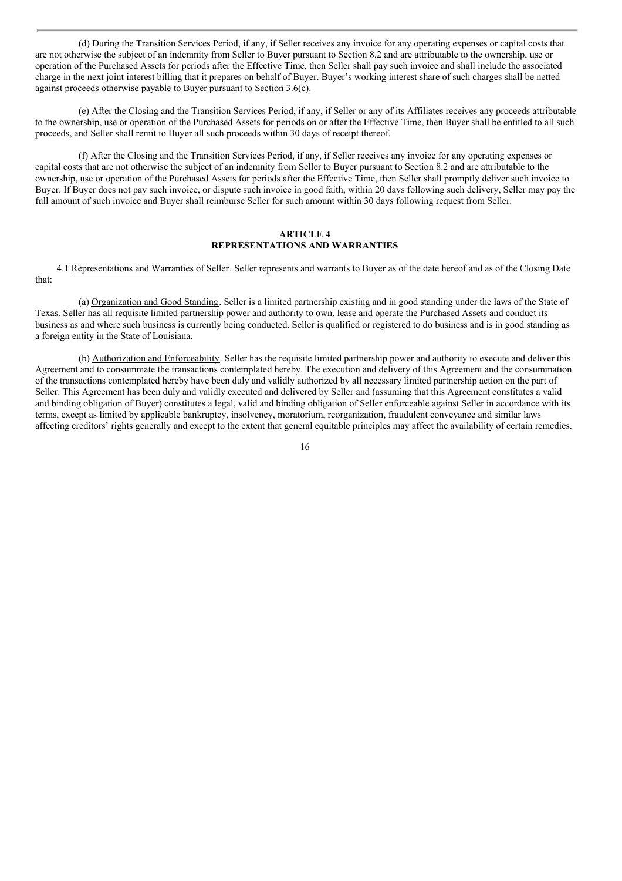(d) During the Transition Services Period, if any, if Seller receives any invoice for any operating expenses or capital costs that are not otherwise the subject of an indemnity from Seller to Buyer pursuant to Section 8.2 and are attributable to the ownership, use or operation of the Purchased Assets for periods after the Effective Time, then Seller shall pay such invoice and shall include the associated charge in the next joint interest billing that it prepares on behalf of Buyer. Buyer's working interest share of such charges shall be netted against proceeds otherwise payable to Buyer pursuant to Section 3.6(c).

(e) After the Closing and the Transition Services Period, if any, if Seller or any of its Affiliates receives any proceeds attributable to the ownership, use or operation of the Purchased Assets for periods on or after the Effective Time, then Buyer shall be entitled to all such proceeds, and Seller shall remit to Buyer all such proceeds within 30 days of receipt thereof.

(f) After the Closing and the Transition Services Period, if any, if Seller receives any invoice for any operating expenses or capital costs that are not otherwise the subject of an indemnity from Seller to Buyer pursuant to Section 8.2 and are attributable to the ownership, use or operation of the Purchased Assets for periods after the Effective Time, then Seller shall promptly deliver such invoice to Buyer. If Buyer does not pay such invoice, or dispute such invoice in good faith, within 20 days following such delivery, Seller may pay the full amount of such invoice and Buyer shall reimburse Seller for such amount within 30 days following request from Seller.

#### **ARTICLE 4 REPRESENTATIONS AND WARRANTIES**

4.1 Representations and Warranties of Seller. Seller represents and warrants to Buyer as of the date hereof and as of the Closing Date that:

(a) Organization and Good Standing. Seller is a limited partnership existing and in good standing under the laws of the State of Texas. Seller has all requisite limited partnership power and authority to own, lease and operate the Purchased Assets and conduct its business as and where such business is currently being conducted. Seller is qualified or registered to do business and is in good standing as a foreign entity in the State of Louisiana.

(b) Authorization and Enforceability. Seller has the requisite limited partnership power and authority to execute and deliver this Agreement and to consummate the transactions contemplated hereby. The execution and delivery of this Agreement and the consummation of the transactions contemplated hereby have been duly and validly authorized by all necessary limited partnership action on the part of Seller. This Agreement has been duly and validly executed and delivered by Seller and (assuming that this Agreement constitutes a valid and binding obligation of Buyer) constitutes a legal, valid and binding obligation of Seller enforceable against Seller in accordance with its terms, except as limited by applicable bankruptcy, insolvency, moratorium, reorganization, fraudulent conveyance and similar laws affecting creditors' rights generally and except to the extent that general equitable principles may affect the availability of certain remedies.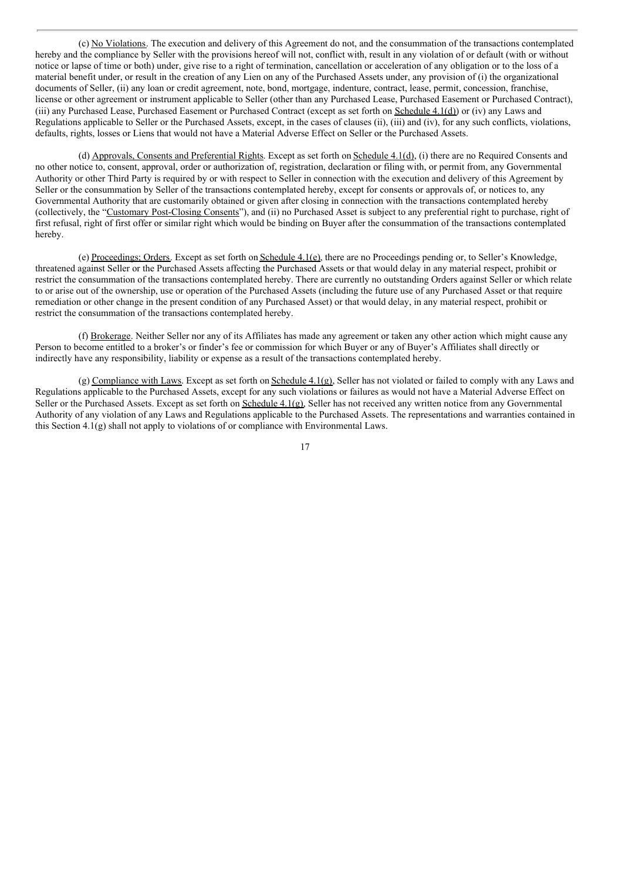(c) No Violations. The execution and delivery of this Agreement do not, and the consummation of the transactions contemplated hereby and the compliance by Seller with the provisions hereof will not, conflict with, result in any violation of or default (with or without notice or lapse of time or both) under, give rise to a right of termination, cancellation or acceleration of any obligation or to the loss of a material benefit under, or result in the creation of any Lien on any of the Purchased Assets under, any provision of (i) the organizational documents of Seller, (ii) any loan or credit agreement, note, bond, mortgage, indenture, contract, lease, permit, concession, franchise, license or other agreement or instrument applicable to Seller (other than any Purchased Lease, Purchased Easement or Purchased Contract), (iii) any Purchased Lease, Purchased Easement or Purchased Contract (except as set forth on Schedule 4.1(d)) or (iv) any Laws and Regulations applicable to Seller or the Purchased Assets, except, in the cases of clauses (ii), (iii) and (iv), for any such conflicts, violations, defaults, rights, losses or Liens that would not have a Material Adverse Effect on Seller or the Purchased Assets.

(d) Approvals, Consents and Preferential Rights. Except as set forth on Schedule 4.1(d), (i) there are no Required Consents and no other notice to, consent, approval, order or authorization of, registration, declaration or filing with, or permit from, any Governmental Authority or other Third Party is required by or with respect to Seller in connection with the execution and delivery of this Agreement by Seller or the consummation by Seller of the transactions contemplated hereby, except for consents or approvals of, or notices to, any Governmental Authority that are customarily obtained or given after closing in connection with the transactions contemplated hereby (collectively, the "Customary Post-Closing Consents"), and (ii) no Purchased Asset is subject to any preferential right to purchase, right of first refusal, right of first offer or similar right which would be binding on Buyer after the consummation of the transactions contemplated hereby.

(e) Proceedings; Orders. Except as set forth on Schedule 4.1(e), there are no Proceedings pending or, to Seller's Knowledge, threatened against Seller or the Purchased Assets affecting the Purchased Assets or that would delay in any material respect, prohibit or restrict the consummation of the transactions contemplated hereby. There are currently no outstanding Orders against Seller or which relate to or arise out of the ownership, use or operation of the Purchased Assets (including the future use of any Purchased Asset or that require remediation or other change in the present condition of any Purchased Asset) or that would delay, in any material respect, prohibit or restrict the consummation of the transactions contemplated hereby.

(f) Brokerage. Neither Seller nor any of its Affiliates has made any agreement or taken any other action which might cause any Person to become entitled to a broker's or finder's fee or commission for which Buyer or any of Buyer's Affiliates shall directly or indirectly have any responsibility, liability or expense as a result of the transactions contemplated hereby.

(g) Compliance with Laws. Except as set forth on Schedule 4.1(g), Seller has not violated or failed to comply with any Laws and Regulations applicable to the Purchased Assets, except for any such violations or failures as would not have a Material Adverse Effect on Seller or the Purchased Assets. Except as set forth on Schedule 4.1(g), Seller has not received any written notice from any Governmental Authority of any violation of any Laws and Regulations applicable to the Purchased Assets. The representations and warranties contained in this Section 4.1(g) shall not apply to violations of or compliance with Environmental Laws.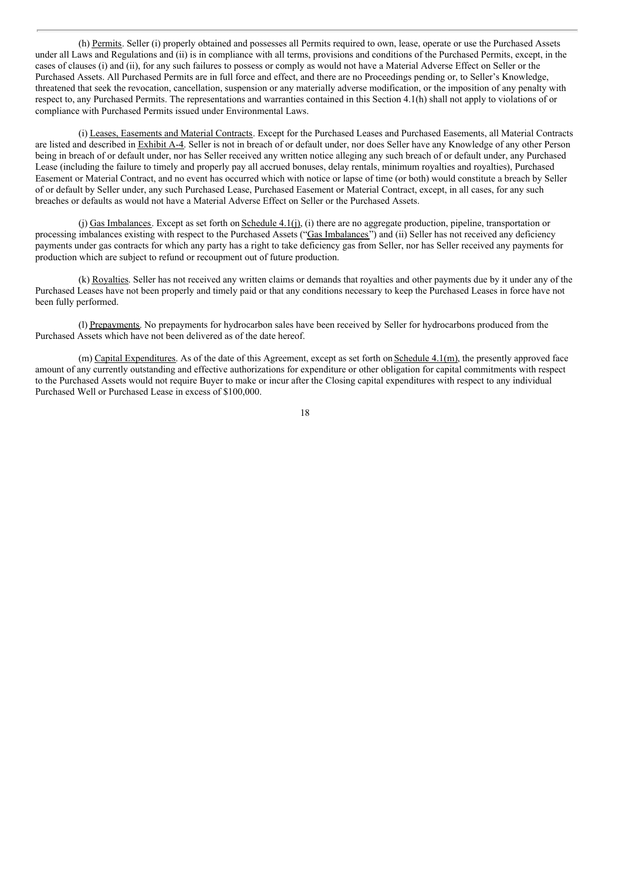(h) Permits. Seller (i) properly obtained and possesses all Permits required to own, lease, operate or use the Purchased Assets under all Laws and Regulations and (ii) is in compliance with all terms, provisions and conditions of the Purchased Permits, except, in the cases of clauses (i) and (ii), for any such failures to possess or comply as would not have a Material Adverse Effect on Seller or the Purchased Assets. All Purchased Permits are in full force and effect, and there are no Proceedings pending or, to Seller's Knowledge, threatened that seek the revocation, cancellation, suspension or any materially adverse modification, or the imposition of any penalty with respect to, any Purchased Permits. The representations and warranties contained in this Section 4.1(h) shall not apply to violations of or compliance with Purchased Permits issued under Environmental Laws.

(i) Leases, Easements and Material Contracts. Except for the Purchased Leases and Purchased Easements, all Material Contracts are listed and described in Exhibit A-4. Seller is not in breach of or default under, nor does Seller have any Knowledge of any other Person being in breach of or default under, nor has Seller received any written notice alleging any such breach of or default under, any Purchased Lease (including the failure to timely and properly pay all accrued bonuses, delay rentals, minimum royalties and royalties), Purchased Easement or Material Contract, and no event has occurred which with notice or lapse of time (or both) would constitute a breach by Seller of or default by Seller under, any such Purchased Lease, Purchased Easement or Material Contract, except, in all cases, for any such breaches or defaults as would not have a Material Adverse Effect on Seller or the Purchased Assets.

(j) Gas Imbalances. Except as set forth on Schedule 4.1(j), (i) there are no aggregate production, pipeline, transportation or processing imbalances existing with respect to the Purchased Assets ("Gas Imbalances") and (ii) Seller has not received any deficiency payments under gas contracts for which any party has a right to take deficiency gas from Seller, nor has Seller received any payments for production which are subject to refund or recoupment out of future production.

(k) Royalties. Seller has not received any written claims or demands that royalties and other payments due by it under any of the Purchased Leases have not been properly and timely paid or that any conditions necessary to keep the Purchased Leases in force have not been fully performed.

(l) Prepayments. No prepayments for hydrocarbon sales have been received by Seller for hydrocarbons produced from the Purchased Assets which have not been delivered as of the date hereof.

(m) Capital Expenditures. As of the date of this Agreement, except as set forth on Schedule 4.1(m), the presently approved face amount of any currently outstanding and effective authorizations for expenditure or other obligation for capital commitments with respect to the Purchased Assets would not require Buyer to make or incur after the Closing capital expenditures with respect to any individual Purchased Well or Purchased Lease in excess of \$100,000.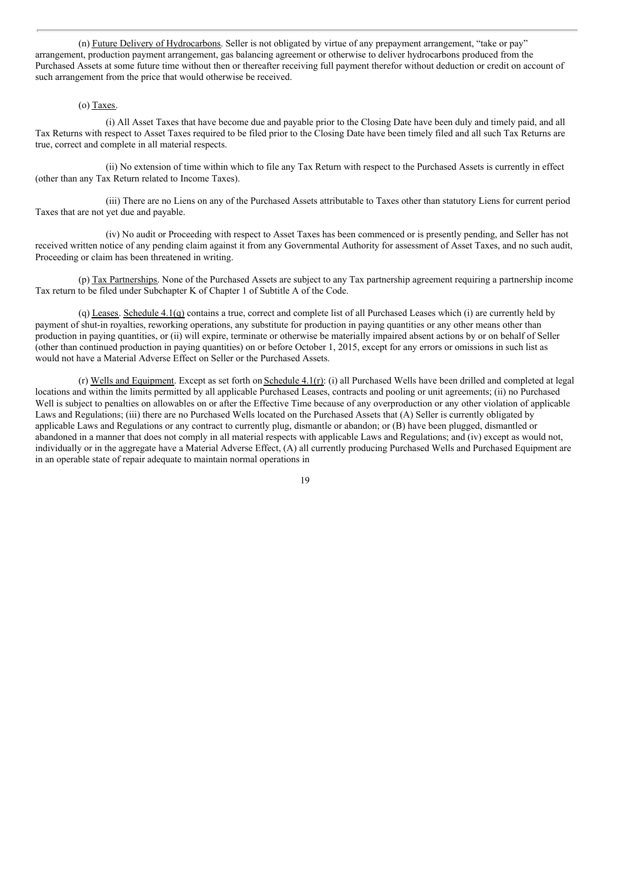(n) Future Delivery of Hydrocarbons. Seller is not obligated by virtue of any prepayment arrangement, "take or pay" arrangement, production payment arrangement, gas balancing agreement or otherwise to deliver hydrocarbons produced from the Purchased Assets at some future time without then or thereafter receiving full payment therefor without deduction or credit on account of such arrangement from the price that would otherwise be received.

#### (o) Taxes.

(i) All Asset Taxes that have become due and payable prior to the Closing Date have been duly and timely paid, and all Tax Returns with respect to Asset Taxes required to be filed prior to the Closing Date have been timely filed and all such Tax Returns are true, correct and complete in all material respects.

(ii) No extension of time within which to file any Tax Return with respect to the Purchased Assets is currently in effect (other than any Tax Return related to Income Taxes).

(iii) There are no Liens on any of the Purchased Assets attributable to Taxes other than statutory Liens for current period Taxes that are not yet due and payable.

(iv) No audit or Proceeding with respect to Asset Taxes has been commenced or is presently pending, and Seller has not received written notice of any pending claim against it from any Governmental Authority for assessment of Asset Taxes, and no such audit, Proceeding or claim has been threatened in writing.

(p) Tax Partnerships. None of the Purchased Assets are subject to any Tax partnership agreement requiring a partnership income Tax return to be filed under Subchapter K of Chapter 1 of Subtitle A of the Code.

(q) Leases. Schedule 4.1(q) contains a true, correct and complete list of all Purchased Leases which (i) are currently held by payment of shut-in royalties, reworking operations, any substitute for production in paying quantities or any other means other than production in paying quantities, or (ii) will expire, terminate or otherwise be materially impaired absent actions by or on behalf of Seller (other than continued production in paying quantities) on or before October 1, 2015, except for any errors or omissions in such list as would not have a Material Adverse Effect on Seller or the Purchased Assets.

(r) Wells and Equipment. Except as set forth on Schedule 4.1(r): (i) all Purchased Wells have been drilled and completed at legal locations and within the limits permitted by all applicable Purchased Leases, contracts and pooling or unit agreements; (ii) no Purchased Well is subject to penalties on allowables on or after the Effective Time because of any overproduction or any other violation of applicable Laws and Regulations; (iii) there are no Purchased Wells located on the Purchased Assets that (A) Seller is currently obligated by applicable Laws and Regulations or any contract to currently plug, dismantle or abandon; or (B) have been plugged, dismantled or abandoned in a manner that does not comply in all material respects with applicable Laws and Regulations; and (iv) except as would not, individually or in the aggregate have a Material Adverse Effect, (A) all currently producing Purchased Wells and Purchased Equipment are in an operable state of repair adequate to maintain normal operations in

<sup>19</sup>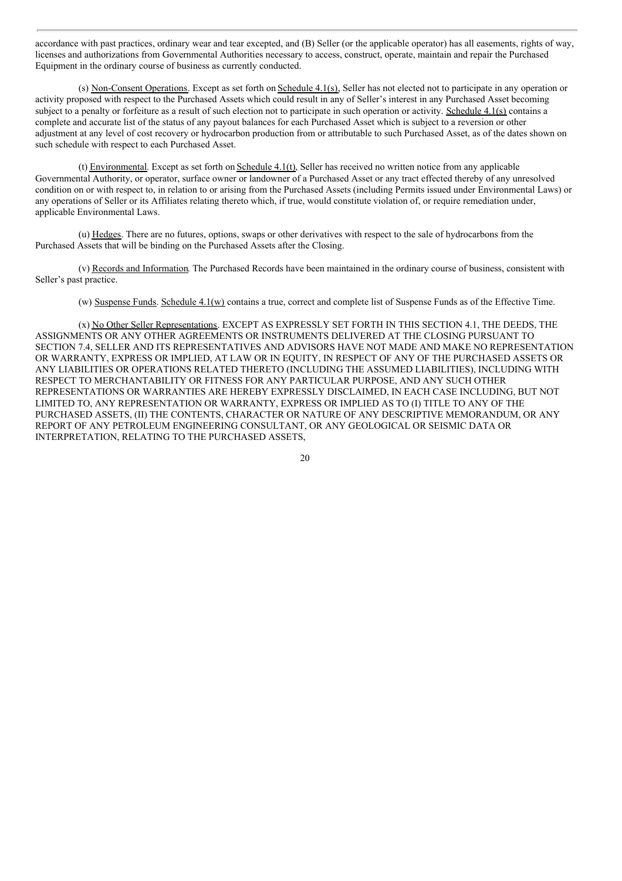accordance with past practices, ordinary wear and tear excepted, and (B) Seller (or the applicable operator) has all easements, rights of way, licenses and authorizations from Governmental Authorities necessary to access, construct, operate, maintain and repair the Purchased Equipment in the ordinary course of business as currently conducted.

(s) Non-Consent Operations. Except as set forth on Schedule 4.1(s), Seller has not elected not to participate in any operation or activity proposed with respect to the Purchased Assets which could result in any of Seller's interest in any Purchased Asset becoming subject to a penalty or forfeiture as a result of such election not to participate in such operation or activity. Schedule 4.1(s) contains a complete and accurate list of the status of any payout balances for each Purchased Asset which is subject to a reversion or other adjustment at any level of cost recovery or hydrocarbon production from or attributable to such Purchased Asset, as of the dates shown on such schedule with respect to each Purchased Asset.

(t) Environmental. Except as set forth on Schedule 4.1(t), Seller has received no written notice from any applicable Governmental Authority, or operator, surface owner or landowner of a Purchased Asset or any tract effected thereby of any unresolved condition on or with respect to, in relation to or arising from the Purchased Assets (including Permits issued under Environmental Laws) or any operations of Seller or its Affiliates relating thereto which, if true, would constitute violation of, or require remediation under, applicable Environmental Laws.

(u) Hedges. There are no futures, options, swaps or other derivatives with respect to the sale of hydrocarbons from the Purchased Assets that will be binding on the Purchased Assets after the Closing.

(v) Records and Information. The Purchased Records have been maintained in the ordinary course of business, consistent with Seller's past practice.

(w) Suspense Funds. Schedule  $4.1(w)$  contains a true, correct and complete list of Suspense Funds as of the Effective Time.

(x) No Other Seller Representations. EXCEPT AS EXPRESSLY SET FORTH IN THIS SECTION 4.1, THE DEEDS, THE ASSIGNMENTS OR ANY OTHER AGREEMENTS OR INSTRUMENTS DELIVERED AT THE CLOSING PURSUANT TO SECTION 7.4, SELLER AND ITS REPRESENTATIVES AND ADVISORS HAVE NOT MADE AND MAKE NO REPRESENTATION OR WARRANTY, EXPRESS OR IMPLIED, AT LAW OR IN EQUITY, IN RESPECT OF ANY OF THE PURCHASED ASSETS OR ANY LIABILITIES OR OPERATIONS RELATED THERETO (INCLUDING THE ASSUMED LIABILITIES), INCLUDING WITH RESPECT TO MERCHANTABILITY OR FITNESS FOR ANY PARTICULAR PURPOSE, AND ANY SUCH OTHER REPRESENTATIONS OR WARRANTIES ARE HEREBY EXPRESSLY DISCLAIMED, IN EACH CASE INCLUDING, BUT NOT LIMITED TO, ANY REPRESENTATION OR WARRANTY, EXPRESS OR IMPLIED AS TO (I) TITLE TO ANY OF THE PURCHASED ASSETS, (II) THE CONTENTS, CHARACTER OR NATURE OF ANY DESCRIPTIVE MEMORANDUM, OR ANY REPORT OF ANY PETROLEUM ENGINEERING CONSULTANT, OR ANY GEOLOGICAL OR SEISMIC DATA OR INTERPRETATION, RELATING TO THE PURCHASED ASSETS,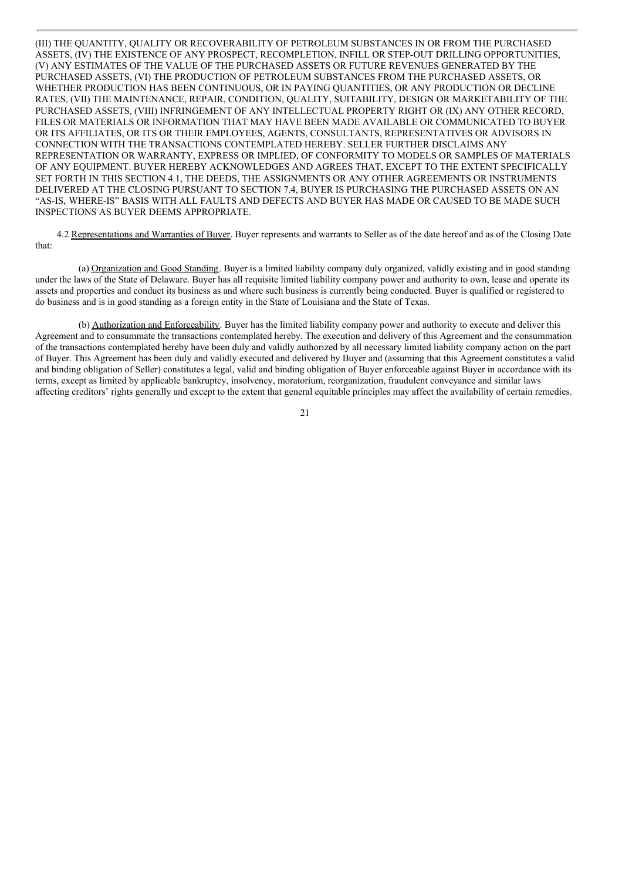(III) THE QUANTITY, QUALITY OR RECOVERABILITY OF PETROLEUM SUBSTANCES IN OR FROM THE PURCHASED ASSETS, (IV) THE EXISTENCE OF ANY PROSPECT, RECOMPLETION, INFILL OR STEP-OUT DRILLING OPPORTUNITIES, (V) ANY ESTIMATES OF THE VALUE OF THE PURCHASED ASSETS OR FUTURE REVENUES GENERATED BY THE PURCHASED ASSETS, (VI) THE PRODUCTION OF PETROLEUM SUBSTANCES FROM THE PURCHASED ASSETS, OR WHETHER PRODUCTION HAS BEEN CONTINUOUS, OR IN PAYING QUANTITIES, OR ANY PRODUCTION OR DECLINE RATES, (VII) THE MAINTENANCE, REPAIR, CONDITION, QUALITY, SUITABILITY, DESIGN OR MARKETABILITY OF THE PURCHASED ASSETS, (VIII) INFRINGEMENT OF ANY INTELLECTUAL PROPERTY RIGHT OR (IX) ANY OTHER RECORD, FILES OR MATERIALS OR INFORMATION THAT MAY HAVE BEEN MADE AVAILABLE OR COMMUNICATED TO BUYER OR ITS AFFILIATES, OR ITS OR THEIR EMPLOYEES, AGENTS, CONSULTANTS, REPRESENTATIVES OR ADVISORS IN CONNECTION WITH THE TRANSACTIONS CONTEMPLATED HEREBY. SELLER FURTHER DISCLAIMS ANY REPRESENTATION OR WARRANTY, EXPRESS OR IMPLIED, OF CONFORMITY TO MODELS OR SAMPLES OF MATERIALS OF ANY EQUIPMENT. BUYER HEREBY ACKNOWLEDGES AND AGREES THAT, EXCEPT TO THE EXTENT SPECIFICALLY SET FORTH IN THIS SECTION 4.1, THE DEEDS, THE ASSIGNMENTS OR ANY OTHER AGREEMENTS OR INSTRUMENTS DELIVERED AT THE CLOSING PURSUANT TO SECTION 7.4, BUYER IS PURCHASING THE PURCHASED ASSETS ON AN "AS-IS, WHERE-IS" BASIS WITH ALL FAULTS AND DEFECTS AND BUYER HAS MADE OR CAUSED TO BE MADE SUCH INSPECTIONS AS BUYER DEEMS APPROPRIATE.

4.2 Representations and Warranties of Buyer. Buyer represents and warrants to Seller as of the date hereof and as of the Closing Date that:

(a) Organization and Good Standing. Buyer is a limited liability company duly organized, validly existing and in good standing under the laws of the State of Delaware. Buyer has all requisite limited liability company power and authority to own, lease and operate its assets and properties and conduct its business as and where such business is currently being conducted. Buyer is qualified or registered to do business and is in good standing as a foreign entity in the State of Louisiana and the State of Texas.

(b) Authorization and Enforceability. Buyer has the limited liability company power and authority to execute and deliver this Agreement and to consummate the transactions contemplated hereby. The execution and delivery of this Agreement and the consummation of the transactions contemplated hereby have been duly and validly authorized by all necessary limited liability company action on the part of Buyer. This Agreement has been duly and validly executed and delivered by Buyer and (assuming that this Agreement constitutes a valid and binding obligation of Seller) constitutes a legal, valid and binding obligation of Buyer enforceable against Buyer in accordance with its terms, except as limited by applicable bankruptcy, insolvency, moratorium, reorganization, fraudulent conveyance and similar laws affecting creditors' rights generally and except to the extent that general equitable principles may affect the availability of certain remedies.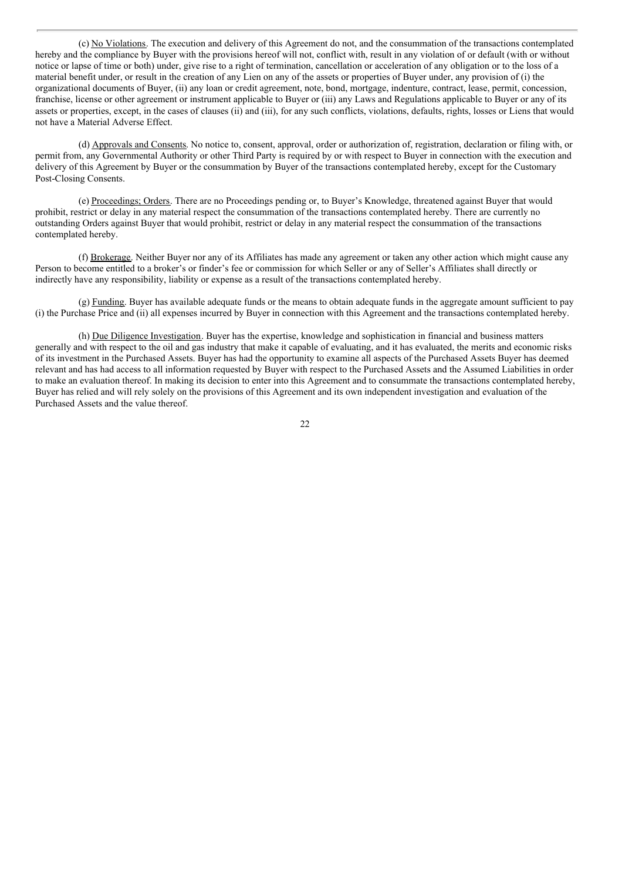(c) No Violations. The execution and delivery of this Agreement do not, and the consummation of the transactions contemplated hereby and the compliance by Buyer with the provisions hereof will not, conflict with, result in any violation of or default (with or without notice or lapse of time or both) under, give rise to a right of termination, cancellation or acceleration of any obligation or to the loss of a material benefit under, or result in the creation of any Lien on any of the assets or properties of Buyer under, any provision of (i) the organizational documents of Buyer, (ii) any loan or credit agreement, note, bond, mortgage, indenture, contract, lease, permit, concession, franchise, license or other agreement or instrument applicable to Buyer or (iii) any Laws and Regulations applicable to Buyer or any of its assets or properties, except, in the cases of clauses (ii) and (iii), for any such conflicts, violations, defaults, rights, losses or Liens that would not have a Material Adverse Effect.

(d) Approvals and Consents. No notice to, consent, approval, order or authorization of, registration, declaration or filing with, or permit from, any Governmental Authority or other Third Party is required by or with respect to Buyer in connection with the execution and delivery of this Agreement by Buyer or the consummation by Buyer of the transactions contemplated hereby, except for the Customary Post-Closing Consents.

(e) Proceedings; Orders. There are no Proceedings pending or, to Buyer's Knowledge, threatened against Buyer that would prohibit, restrict or delay in any material respect the consummation of the transactions contemplated hereby. There are currently no outstanding Orders against Buyer that would prohibit, restrict or delay in any material respect the consummation of the transactions contemplated hereby.

(f) Brokerage. Neither Buyer nor any of its Affiliates has made any agreement or taken any other action which might cause any Person to become entitled to a broker's or finder's fee or commission for which Seller or any of Seller's Affiliates shall directly or indirectly have any responsibility, liability or expense as a result of the transactions contemplated hereby.

(g) Funding. Buyer has available adequate funds or the means to obtain adequate funds in the aggregate amount sufficient to pay (i) the Purchase Price and (ii) all expenses incurred by Buyer in connection with this Agreement and the transactions contemplated hereby.

(h) Due Diligence Investigation. Buyer has the expertise, knowledge and sophistication in financial and business matters generally and with respect to the oil and gas industry that make it capable of evaluating, and it has evaluated, the merits and economic risks of its investment in the Purchased Assets. Buyer has had the opportunity to examine all aspects of the Purchased Assets Buyer has deemed relevant and has had access to all information requested by Buyer with respect to the Purchased Assets and the Assumed Liabilities in order to make an evaluation thereof. In making its decision to enter into this Agreement and to consummate the transactions contemplated hereby, Buyer has relied and will rely solely on the provisions of this Agreement and its own independent investigation and evaluation of the Purchased Assets and the value thereof.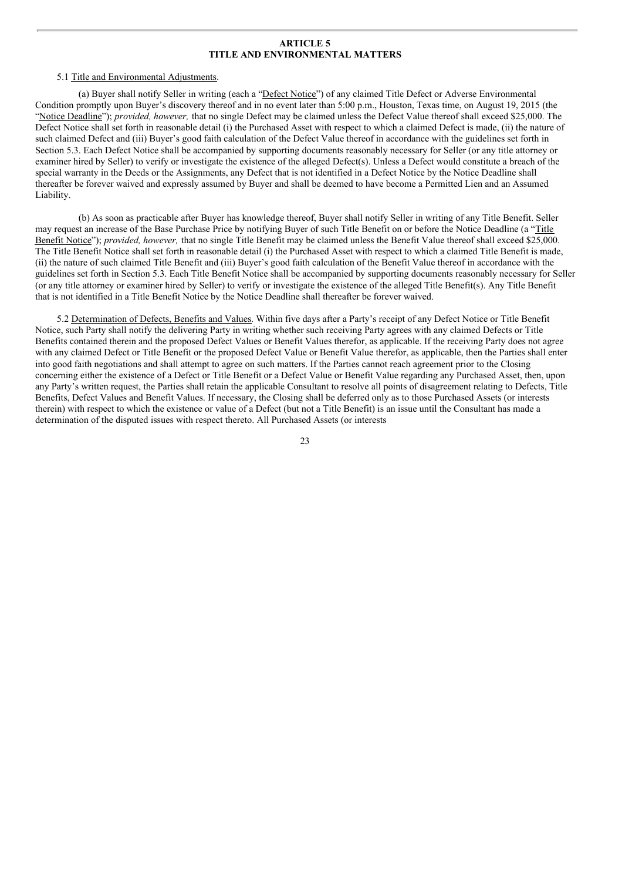#### **ARTICLE 5 TITLE AND ENVIRONMENTAL MATTERS**

#### 5.1 Title and Environmental Adjustments.

(a) Buyer shall notify Seller in writing (each a "Defect Notice") of any claimed Title Defect or Adverse Environmental Condition promptly upon Buyer's discovery thereof and in no event later than 5:00 p.m., Houston, Texas time, on August 19, 2015 (the "Notice Deadline"); *provided, however,* that no single Defect may be claimed unless the Defect Value thereof shall exceed \$25,000. The Defect Notice shall set forth in reasonable detail (i) the Purchased Asset with respect to which a claimed Defect is made, (ii) the nature of such claimed Defect and (iii) Buyer's good faith calculation of the Defect Value thereof in accordance with the guidelines set forth in Section 5.3. Each Defect Notice shall be accompanied by supporting documents reasonably necessary for Seller (or any title attorney or examiner hired by Seller) to verify or investigate the existence of the alleged Defect(s). Unless a Defect would constitute a breach of the special warranty in the Deeds or the Assignments, any Defect that is not identified in a Defect Notice by the Notice Deadline shall thereafter be forever waived and expressly assumed by Buyer and shall be deemed to have become a Permitted Lien and an Assumed Liability.

(b) As soon as practicable after Buyer has knowledge thereof, Buyer shall notify Seller in writing of any Title Benefit. Seller may request an increase of the Base Purchase Price by notifying Buyer of such Title Benefit on or before the Notice Deadline (a "Title Benefit Notice"); *provided, however,* that no single Title Benefit may be claimed unless the Benefit Value thereof shall exceed \$25,000. The Title Benefit Notice shall set forth in reasonable detail (i) the Purchased Asset with respect to which a claimed Title Benefit is made, (ii) the nature of such claimed Title Benefit and (iii) Buyer's good faith calculation of the Benefit Value thereof in accordance with the guidelines set forth in Section 5.3. Each Title Benefit Notice shall be accompanied by supporting documents reasonably necessary for Seller (or any title attorney or examiner hired by Seller) to verify or investigate the existence of the alleged Title Benefit(s). Any Title Benefit that is not identified in a Title Benefit Notice by the Notice Deadline shall thereafter be forever waived.

5.2 Determination of Defects, Benefits and Values. Within five days after a Party's receipt of any Defect Notice or Title Benefit Notice, such Party shall notify the delivering Party in writing whether such receiving Party agrees with any claimed Defects or Title Benefits contained therein and the proposed Defect Values or Benefit Values therefor, as applicable. If the receiving Party does not agree with any claimed Defect or Title Benefit or the proposed Defect Value or Benefit Value therefor, as applicable, then the Parties shall enter into good faith negotiations and shall attempt to agree on such matters. If the Parties cannot reach agreement prior to the Closing concerning either the existence of a Defect or Title Benefit or a Defect Value or Benefit Value regarding any Purchased Asset, then, upon any Party's written request, the Parties shall retain the applicable Consultant to resolve all points of disagreement relating to Defects, Title Benefits, Defect Values and Benefit Values. If necessary, the Closing shall be deferred only as to those Purchased Assets (or interests therein) with respect to which the existence or value of a Defect (but not a Title Benefit) is an issue until the Consultant has made a determination of the disputed issues with respect thereto. All Purchased Assets (or interests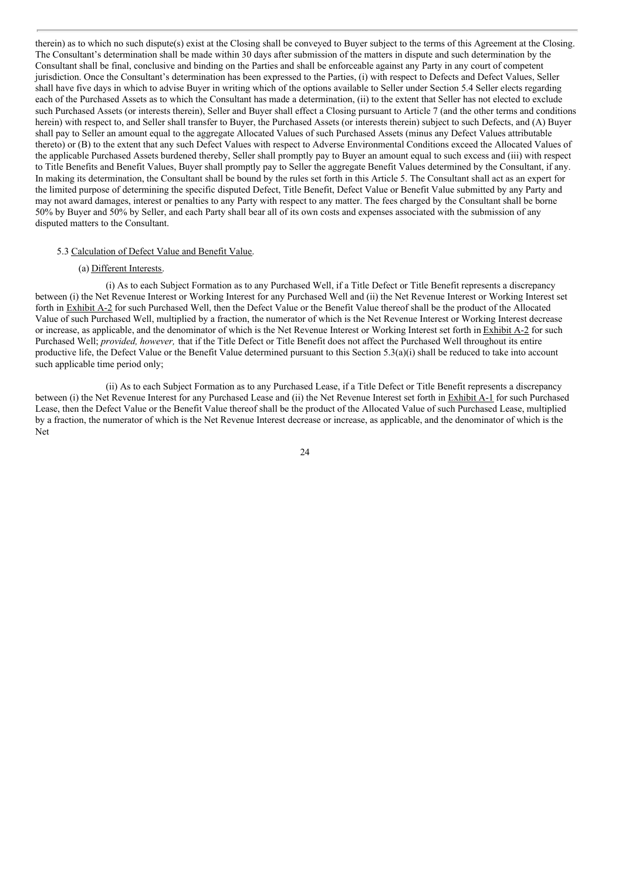therein) as to which no such dispute(s) exist at the Closing shall be conveyed to Buyer subject to the terms of this Agreement at the Closing. The Consultant's determination shall be made within 30 days after submission of the matters in dispute and such determination by the Consultant shall be final, conclusive and binding on the Parties and shall be enforceable against any Party in any court of competent jurisdiction. Once the Consultant's determination has been expressed to the Parties, (i) with respect to Defects and Defect Values, Seller shall have five days in which to advise Buyer in writing which of the options available to Seller under Section 5.4 Seller elects regarding each of the Purchased Assets as to which the Consultant has made a determination, (ii) to the extent that Seller has not elected to exclude such Purchased Assets (or interests therein), Seller and Buyer shall effect a Closing pursuant to Article 7 (and the other terms and conditions herein) with respect to, and Seller shall transfer to Buyer, the Purchased Assets (or interests therein) subject to such Defects, and (A) Buyer shall pay to Seller an amount equal to the aggregate Allocated Values of such Purchased Assets (minus any Defect Values attributable thereto) or (B) to the extent that any such Defect Values with respect to Adverse Environmental Conditions exceed the Allocated Values of the applicable Purchased Assets burdened thereby, Seller shall promptly pay to Buyer an amount equal to such excess and (iii) with respect to Title Benefits and Benefit Values, Buyer shall promptly pay to Seller the aggregate Benefit Values determined by the Consultant, if any. In making its determination, the Consultant shall be bound by the rules set forth in this Article 5. The Consultant shall act as an expert for the limited purpose of determining the specific disputed Defect, Title Benefit, Defect Value or Benefit Value submitted by any Party and may not award damages, interest or penalties to any Party with respect to any matter. The fees charged by the Consultant shall be borne 50% by Buyer and 50% by Seller, and each Party shall bear all of its own costs and expenses associated with the submission of any disputed matters to the Consultant.

#### 5.3 Calculation of Defect Value and Benefit Value.

#### (a) Different Interests.

(i) As to each Subject Formation as to any Purchased Well, if a Title Defect or Title Benefit represents a discrepancy between (i) the Net Revenue Interest or Working Interest for any Purchased Well and (ii) the Net Revenue Interest or Working Interest set forth in Exhibit A-2 for such Purchased Well, then the Defect Value or the Benefit Value thereof shall be the product of the Allocated Value of such Purchased Well, multiplied by a fraction, the numerator of which is the Net Revenue Interest or Working Interest decrease or increase, as applicable, and the denominator of which is the Net Revenue Interest or Working Interest set forth in Exhibit A-2 for such Purchased Well; *provided, however,* that if the Title Defect or Title Benefit does not affect the Purchased Well throughout its entire productive life, the Defect Value or the Benefit Value determined pursuant to this Section 5.3(a)(i) shall be reduced to take into account such applicable time period only;

(ii) As to each Subject Formation as to any Purchased Lease, if a Title Defect or Title Benefit represents a discrepancy between (i) the Net Revenue Interest for any Purchased Lease and (ii) the Net Revenue Interest set forth in Exhibit A-1 for such Purchased Lease, then the Defect Value or the Benefit Value thereof shall be the product of the Allocated Value of such Purchased Lease, multiplied by a fraction, the numerator of which is the Net Revenue Interest decrease or increase, as applicable, and the denominator of which is the Net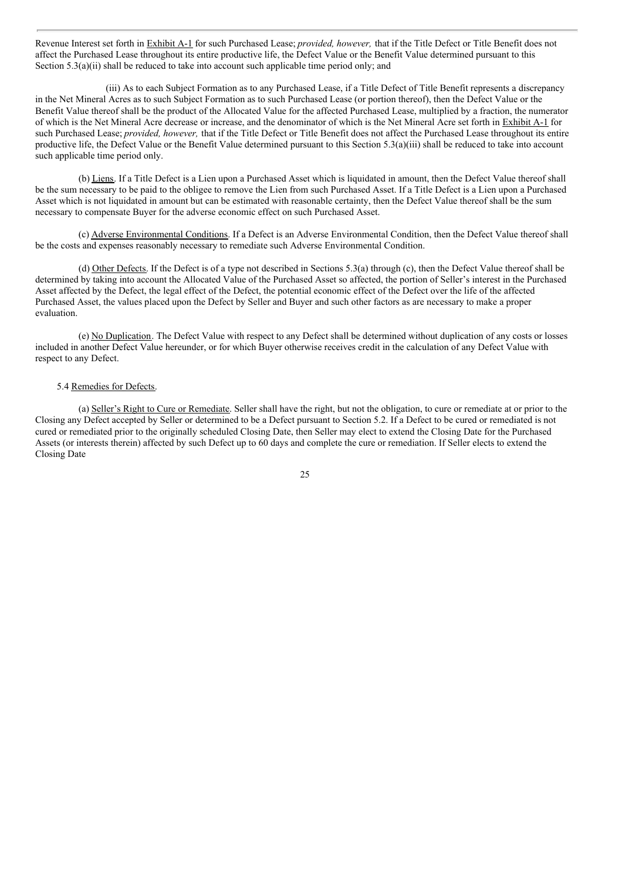Revenue Interest set forth in Exhibit A-1 for such Purchased Lease; *provided, however,* that if the Title Defect or Title Benefit does not affect the Purchased Lease throughout its entire productive life, the Defect Value or the Benefit Value determined pursuant to this Section 5.3(a)(ii) shall be reduced to take into account such applicable time period only; and

(iii) As to each Subject Formation as to any Purchased Lease, if a Title Defect of Title Benefit represents a discrepancy in the Net Mineral Acres as to such Subject Formation as to such Purchased Lease (or portion thereof), then the Defect Value or the Benefit Value thereof shall be the product of the Allocated Value for the affected Purchased Lease, multiplied by a fraction, the numerator of which is the Net Mineral Acre decrease or increase, and the denominator of which is the Net Mineral Acre set forth in Exhibit A-1 for such Purchased Lease; *provided, however,* that if the Title Defect or Title Benefit does not affect the Purchased Lease throughout its entire productive life, the Defect Value or the Benefit Value determined pursuant to this Section 5.3(a)(iii) shall be reduced to take into account such applicable time period only.

(b) Liens. If a Title Defect is a Lien upon a Purchased Asset which is liquidated in amount, then the Defect Value thereof shall be the sum necessary to be paid to the obligee to remove the Lien from such Purchased Asset. If a Title Defect is a Lien upon a Purchased Asset which is not liquidated in amount but can be estimated with reasonable certainty, then the Defect Value thereof shall be the sum necessary to compensate Buyer for the adverse economic effect on such Purchased Asset.

(c) Adverse Environmental Conditions. If a Defect is an Adverse Environmental Condition, then the Defect Value thereof shall be the costs and expenses reasonably necessary to remediate such Adverse Environmental Condition.

(d) Other Defects. If the Defect is of a type not described in Sections 5.3(a) through (c), then the Defect Value thereof shall be determined by taking into account the Allocated Value of the Purchased Asset so affected, the portion of Seller's interest in the Purchased Asset affected by the Defect, the legal effect of the Defect, the potential economic effect of the Defect over the life of the affected Purchased Asset, the values placed upon the Defect by Seller and Buyer and such other factors as are necessary to make a proper evaluation.

(e) No Duplication. The Defect Value with respect to any Defect shall be determined without duplication of any costs or losses included in another Defect Value hereunder, or for which Buyer otherwise receives credit in the calculation of any Defect Value with respect to any Defect.

#### 5.4 Remedies for Defects.

(a) Seller's Right to Cure or Remediate. Seller shall have the right, but not the obligation, to cure or remediate at or prior to the Closing any Defect accepted by Seller or determined to be a Defect pursuant to Section 5.2. If a Defect to be cured or remediated is not cured or remediated prior to the originally scheduled Closing Date, then Seller may elect to extend the Closing Date for the Purchased Assets (or interests therein) affected by such Defect up to 60 days and complete the cure or remediation. If Seller elects to extend the Closing Date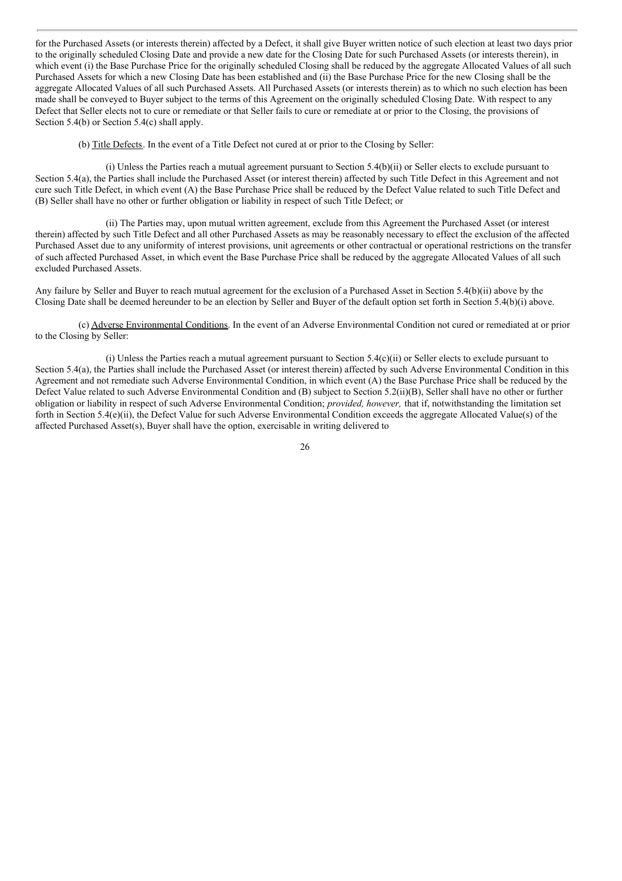for the Purchased Assets (or interests therein) affected by a Defect, it shall give Buyer written notice of such election at least two days prior to the originally scheduled Closing Date and provide a new date for the Closing Date for such Purchased Assets (or interests therein), in which event (i) the Base Purchase Price for the originally scheduled Closing shall be reduced by the aggregate Allocated Values of all such Purchased Assets for which a new Closing Date has been established and (ii) the Base Purchase Price for the new Closing shall be the aggregate Allocated Values of all such Purchased Assets. All Purchased Assets (or interests therein) as to which no such election has been made shall be conveyed to Buyer subject to the terms of this Agreement on the originally scheduled Closing Date. With respect to any Defect that Seller elects not to cure or remediate or that Seller fails to cure or remediate at or prior to the Closing, the provisions of Section 5.4(b) or Section 5.4(c) shall apply.

(b) Title Defects. In the event of a Title Defect not cured at or prior to the Closing by Seller:

(i) Unless the Parties reach a mutual agreement pursuant to Section 5.4(b)(ii) or Seller elects to exclude pursuant to Section 5.4(a), the Parties shall include the Purchased Asset (or interest therein) affected by such Title Defect in this Agreement and not cure such Title Defect, in which event (A) the Base Purchase Price shall be reduced by the Defect Value related to such Title Defect and (B) Seller shall have no other or further obligation or liability in respect of such Title Defect; or

(ii) The Parties may, upon mutual written agreement, exclude from this Agreement the Purchased Asset (or interest therein) affected by such Title Defect and all other Purchased Assets as may be reasonably necessary to effect the exclusion of the affected Purchased Asset due to any uniformity of interest provisions, unit agreements or other contractual or operational restrictions on the transfer of such affected Purchased Asset, in which event the Base Purchase Price shall be reduced by the aggregate Allocated Values of all such excluded Purchased Assets.

Any failure by Seller and Buyer to reach mutual agreement for the exclusion of a Purchased Asset in Section 5.4(b)(ii) above by the Closing Date shall be deemed hereunder to be an election by Seller and Buyer of the default option set forth in Section 5.4(b)(i) above.

(c) Adverse Environmental Conditions. In the event of an Adverse Environmental Condition not cured or remediated at or prior to the Closing by Seller:

(i) Unless the Parties reach a mutual agreement pursuant to Section 5.4(c)(ii) or Seller elects to exclude pursuant to Section 5.4(a), the Parties shall include the Purchased Asset (or interest therein) affected by such Adverse Environmental Condition in this Agreement and not remediate such Adverse Environmental Condition, in which event (A) the Base Purchase Price shall be reduced by the Defect Value related to such Adverse Environmental Condition and (B) subject to Section 5.2(ii)(B), Seller shall have no other or further obligation or liability in respect of such Adverse Environmental Condition; *provided, however,* that if, notwithstanding the limitation set forth in Section 5.4(e)(ii), the Defect Value for such Adverse Environmental Condition exceeds the aggregate Allocated Value(s) of the affected Purchased Asset(s), Buyer shall have the option, exercisable in writing delivered to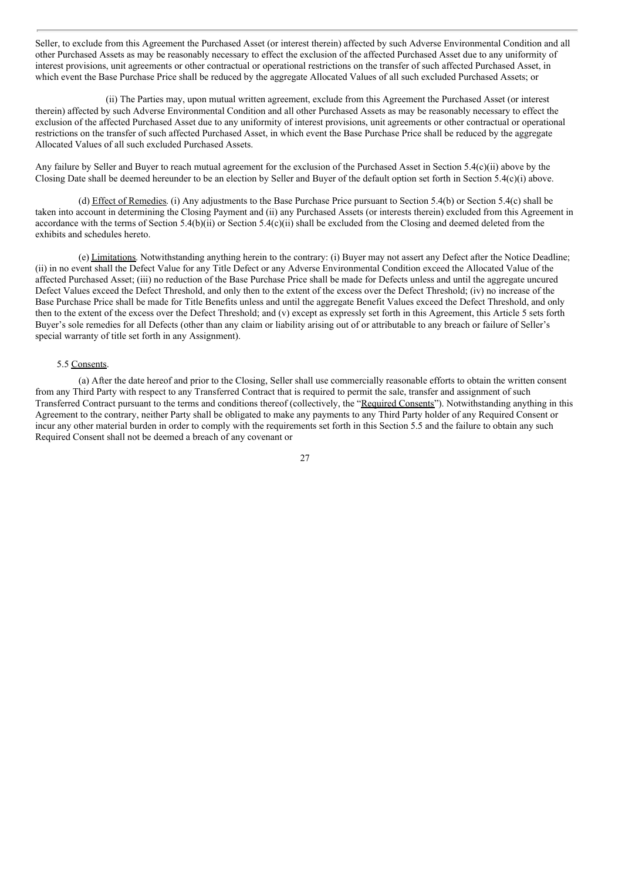Seller, to exclude from this Agreement the Purchased Asset (or interest therein) affected by such Adverse Environmental Condition and all other Purchased Assets as may be reasonably necessary to effect the exclusion of the affected Purchased Asset due to any uniformity of interest provisions, unit agreements or other contractual or operational restrictions on the transfer of such affected Purchased Asset, in which event the Base Purchase Price shall be reduced by the aggregate Allocated Values of all such excluded Purchased Assets; or

(ii) The Parties may, upon mutual written agreement, exclude from this Agreement the Purchased Asset (or interest therein) affected by such Adverse Environmental Condition and all other Purchased Assets as may be reasonably necessary to effect the exclusion of the affected Purchased Asset due to any uniformity of interest provisions, unit agreements or other contractual or operational restrictions on the transfer of such affected Purchased Asset, in which event the Base Purchase Price shall be reduced by the aggregate Allocated Values of all such excluded Purchased Assets.

Any failure by Seller and Buyer to reach mutual agreement for the exclusion of the Purchased Asset in Section 5.4(c)(ii) above by the Closing Date shall be deemed hereunder to be an election by Seller and Buyer of the default option set forth in Section 5.4(c)(i) above.

(d) Effect of Remedies. (i) Any adjustments to the Base Purchase Price pursuant to Section 5.4(b) or Section 5.4(c) shall be taken into account in determining the Closing Payment and (ii) any Purchased Assets (or interests therein) excluded from this Agreement in accordance with the terms of Section 5.4(b)(ii) or Section 5.4(c)(ii) shall be excluded from the Closing and deemed deleted from the exhibits and schedules hereto.

(e) Limitations. Notwithstanding anything herein to the contrary: (i) Buyer may not assert any Defect after the Notice Deadline; (ii) in no event shall the Defect Value for any Title Defect or any Adverse Environmental Condition exceed the Allocated Value of the affected Purchased Asset; (iii) no reduction of the Base Purchase Price shall be made for Defects unless and until the aggregate uncured Defect Values exceed the Defect Threshold, and only then to the extent of the excess over the Defect Threshold; (iv) no increase of the Base Purchase Price shall be made for Title Benefits unless and until the aggregate Benefit Values exceed the Defect Threshold, and only then to the extent of the excess over the Defect Threshold; and (v) except as expressly set forth in this Agreement, this Article 5 sets forth Buyer's sole remedies for all Defects (other than any claim or liability arising out of or attributable to any breach or failure of Seller's special warranty of title set forth in any Assignment).

#### 5.5 Consents.

(a) After the date hereof and prior to the Closing, Seller shall use commercially reasonable efforts to obtain the written consent from any Third Party with respect to any Transferred Contract that is required to permit the sale, transfer and assignment of such Transferred Contract pursuant to the terms and conditions thereof (collectively, the "Required Consents"). Notwithstanding anything in this Agreement to the contrary, neither Party shall be obligated to make any payments to any Third Party holder of any Required Consent or incur any other material burden in order to comply with the requirements set forth in this Section 5.5 and the failure to obtain any such Required Consent shall not be deemed a breach of any covenant or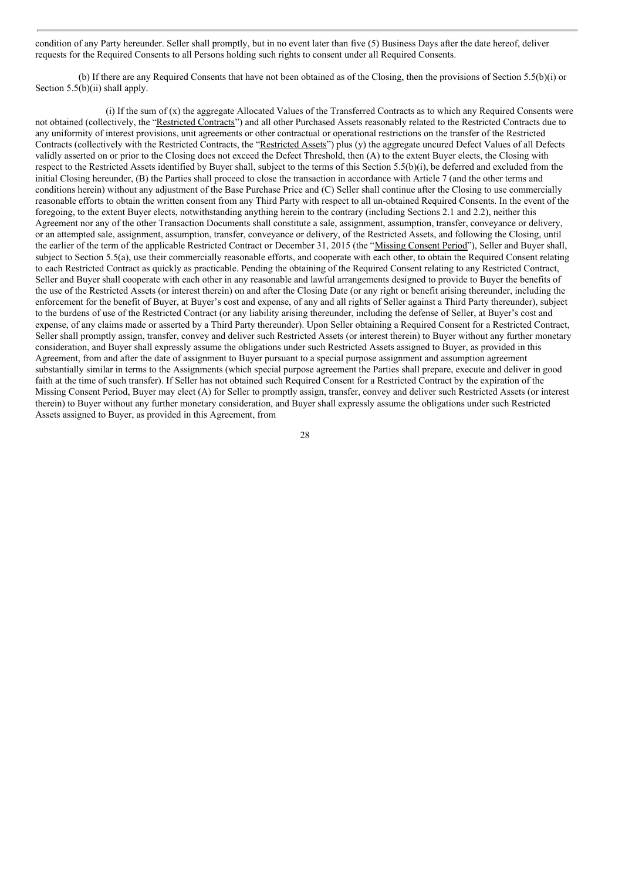condition of any Party hereunder. Seller shall promptly, but in no event later than five (5) Business Days after the date hereof, deliver requests for the Required Consents to all Persons holding such rights to consent under all Required Consents.

(b) If there are any Required Consents that have not been obtained as of the Closing, then the provisions of Section 5.5(b)(i) or Section 5.5(b)(ii) shall apply.

(i) If the sum of (x) the aggregate Allocated Values of the Transferred Contracts as to which any Required Consents were not obtained (collectively, the "Restricted Contracts") and all other Purchased Assets reasonably related to the Restricted Contracts due to any uniformity of interest provisions, unit agreements or other contractual or operational restrictions on the transfer of the Restricted Contracts (collectively with the Restricted Contracts, the "Restricted Assets") plus (y) the aggregate uncured Defect Values of all Defects validly asserted on or prior to the Closing does not exceed the Defect Threshold, then (A) to the extent Buyer elects, the Closing with respect to the Restricted Assets identified by Buyer shall, subject to the terms of this Section 5.5(b)(i), be deferred and excluded from the initial Closing hereunder, (B) the Parties shall proceed to close the transaction in accordance with Article 7 (and the other terms and conditions herein) without any adjustment of the Base Purchase Price and (C) Seller shall continue after the Closing to use commercially reasonable efforts to obtain the written consent from any Third Party with respect to all un-obtained Required Consents. In the event of the foregoing, to the extent Buyer elects, notwithstanding anything herein to the contrary (including Sections 2.1 and 2.2), neither this Agreement nor any of the other Transaction Documents shall constitute a sale, assignment, assumption, transfer, conveyance or delivery, or an attempted sale, assignment, assumption, transfer, conveyance or delivery, of the Restricted Assets, and following the Closing, until the earlier of the term of the applicable Restricted Contract or December 31, 2015 (the "Missing Consent Period"), Seller and Buyer shall, subject to Section 5.5(a), use their commercially reasonable efforts, and cooperate with each other, to obtain the Required Consent relating to each Restricted Contract as quickly as practicable. Pending the obtaining of the Required Consent relating to any Restricted Contract, Seller and Buyer shall cooperate with each other in any reasonable and lawful arrangements designed to provide to Buyer the benefits of the use of the Restricted Assets (or interest therein) on and after the Closing Date (or any right or benefit arising thereunder, including the enforcement for the benefit of Buyer, at Buyer's cost and expense, of any and all rights of Seller against a Third Party thereunder), subject to the burdens of use of the Restricted Contract (or any liability arising thereunder, including the defense of Seller, at Buyer's cost and expense, of any claims made or asserted by a Third Party thereunder). Upon Seller obtaining a Required Consent for a Restricted Contract, Seller shall promptly assign, transfer, convey and deliver such Restricted Assets (or interest therein) to Buyer without any further monetary consideration, and Buyer shall expressly assume the obligations under such Restricted Assets assigned to Buyer, as provided in this Agreement, from and after the date of assignment to Buyer pursuant to a special purpose assignment and assumption agreement substantially similar in terms to the Assignments (which special purpose agreement the Parties shall prepare, execute and deliver in good faith at the time of such transfer). If Seller has not obtained such Required Consent for a Restricted Contract by the expiration of the Missing Consent Period, Buyer may elect (A) for Seller to promptly assign, transfer, convey and deliver such Restricted Assets (or interest therein) to Buyer without any further monetary consideration, and Buyer shall expressly assume the obligations under such Restricted Assets assigned to Buyer, as provided in this Agreement, from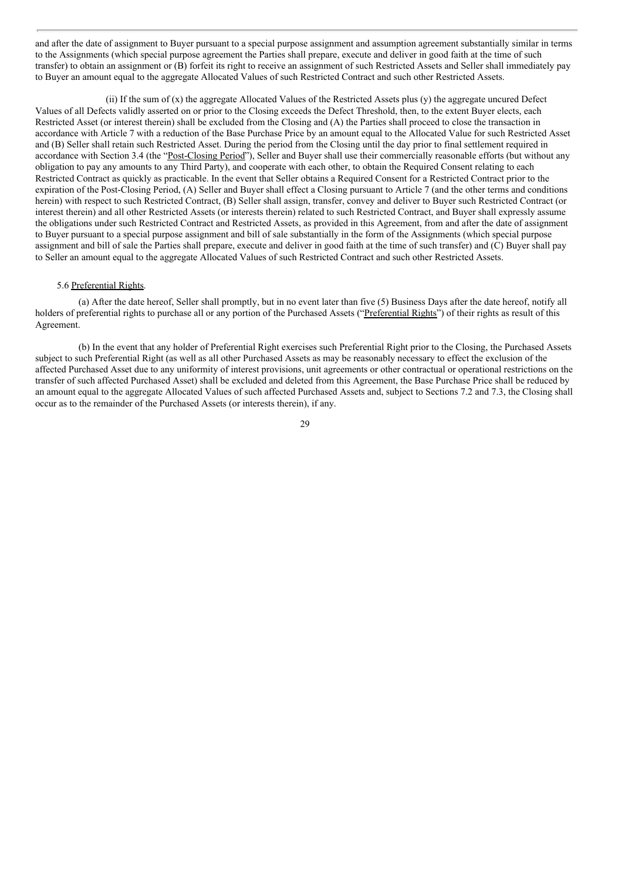and after the date of assignment to Buyer pursuant to a special purpose assignment and assumption agreement substantially similar in terms to the Assignments (which special purpose agreement the Parties shall prepare, execute and deliver in good faith at the time of such transfer) to obtain an assignment or (B) forfeit its right to receive an assignment of such Restricted Assets and Seller shall immediately pay to Buyer an amount equal to the aggregate Allocated Values of such Restricted Contract and such other Restricted Assets.

(ii) If the sum of (x) the aggregate Allocated Values of the Restricted Assets plus (y) the aggregate uncured Defect Values of all Defects validly asserted on or prior to the Closing exceeds the Defect Threshold, then, to the extent Buyer elects, each Restricted Asset (or interest therein) shall be excluded from the Closing and (A) the Parties shall proceed to close the transaction in accordance with Article 7 with a reduction of the Base Purchase Price by an amount equal to the Allocated Value for such Restricted Asset and (B) Seller shall retain such Restricted Asset. During the period from the Closing until the day prior to final settlement required in accordance with Section 3.4 (the "Post-Closing Period"), Seller and Buyer shall use their commercially reasonable efforts (but without any obligation to pay any amounts to any Third Party), and cooperate with each other, to obtain the Required Consent relating to each Restricted Contract as quickly as practicable. In the event that Seller obtains a Required Consent for a Restricted Contract prior to the expiration of the Post-Closing Period, (A) Seller and Buyer shall effect a Closing pursuant to Article 7 (and the other terms and conditions herein) with respect to such Restricted Contract, (B) Seller shall assign, transfer, convey and deliver to Buyer such Restricted Contract (or interest therein) and all other Restricted Assets (or interests therein) related to such Restricted Contract, and Buyer shall expressly assume the obligations under such Restricted Contract and Restricted Assets, as provided in this Agreement, from and after the date of assignment to Buyer pursuant to a special purpose assignment and bill of sale substantially in the form of the Assignments (which special purpose assignment and bill of sale the Parties shall prepare, execute and deliver in good faith at the time of such transfer) and (C) Buyer shall pay to Seller an amount equal to the aggregate Allocated Values of such Restricted Contract and such other Restricted Assets.

#### 5.6 Preferential Rights.

(a) After the date hereof, Seller shall promptly, but in no event later than five (5) Business Days after the date hereof, notify all holders of preferential rights to purchase all or any portion of the Purchased Assets ("Preferential Rights") of their rights as result of this Agreement.

(b) In the event that any holder of Preferential Right exercises such Preferential Right prior to the Closing, the Purchased Assets subject to such Preferential Right (as well as all other Purchased Assets as may be reasonably necessary to effect the exclusion of the affected Purchased Asset due to any uniformity of interest provisions, unit agreements or other contractual or operational restrictions on the transfer of such affected Purchased Asset) shall be excluded and deleted from this Agreement, the Base Purchase Price shall be reduced by an amount equal to the aggregate Allocated Values of such affected Purchased Assets and, subject to Sections 7.2 and 7.3, the Closing shall occur as to the remainder of the Purchased Assets (or interests therein), if any.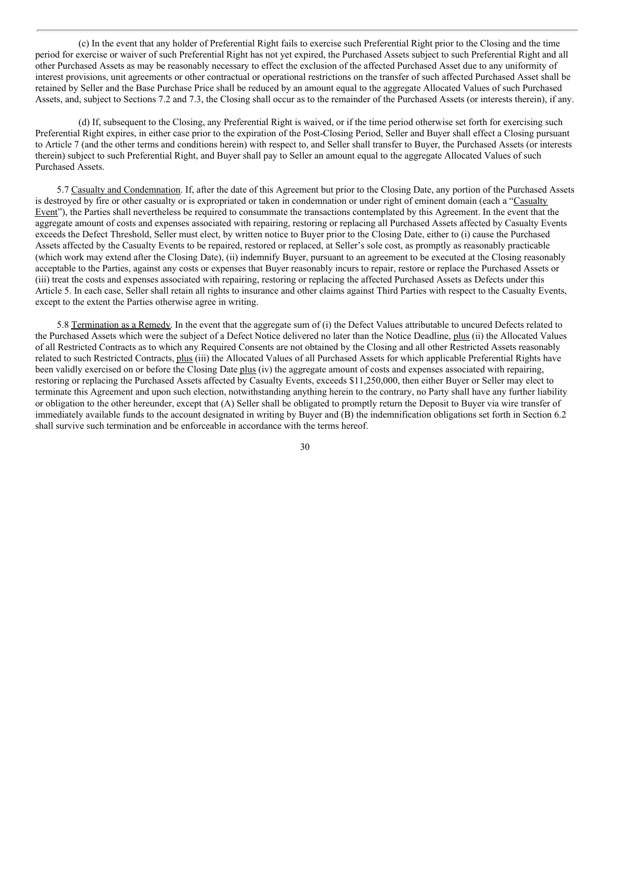(c) In the event that any holder of Preferential Right fails to exercise such Preferential Right prior to the Closing and the time period for exercise or waiver of such Preferential Right has not yet expired, the Purchased Assets subject to such Preferential Right and all other Purchased Assets as may be reasonably necessary to effect the exclusion of the affected Purchased Asset due to any uniformity of interest provisions, unit agreements or other contractual or operational restrictions on the transfer of such affected Purchased Asset shall be retained by Seller and the Base Purchase Price shall be reduced by an amount equal to the aggregate Allocated Values of such Purchased Assets, and, subject to Sections 7.2 and 7.3, the Closing shall occur as to the remainder of the Purchased Assets (or interests therein), if any.

(d) If, subsequent to the Closing, any Preferential Right is waived, or if the time period otherwise set forth for exercising such Preferential Right expires, in either case prior to the expiration of the Post-Closing Period, Seller and Buyer shall effect a Closing pursuant to Article 7 (and the other terms and conditions herein) with respect to, and Seller shall transfer to Buyer, the Purchased Assets (or interests therein) subject to such Preferential Right, and Buyer shall pay to Seller an amount equal to the aggregate Allocated Values of such Purchased Assets.

5.7 Casualty and Condemnation. If, after the date of this Agreement but prior to the Closing Date, any portion of the Purchased Assets is destroyed by fire or other casualty or is expropriated or taken in condemnation or under right of eminent domain (each a "Casualty Event"), the Parties shall nevertheless be required to consummate the transactions contemplated by this Agreement. In the event that the aggregate amount of costs and expenses associated with repairing, restoring or replacing all Purchased Assets affected by Casualty Events exceeds the Defect Threshold, Seller must elect, by written notice to Buyer prior to the Closing Date, either to (i) cause the Purchased Assets affected by the Casualty Events to be repaired, restored or replaced, at Seller's sole cost, as promptly as reasonably practicable (which work may extend after the Closing Date), (ii) indemnify Buyer, pursuant to an agreement to be executed at the Closing reasonably acceptable to the Parties, against any costs or expenses that Buyer reasonably incurs to repair, restore or replace the Purchased Assets or (iii) treat the costs and expenses associated with repairing, restoring or replacing the affected Purchased Assets as Defects under this Article 5. In each case, Seller shall retain all rights to insurance and other claims against Third Parties with respect to the Casualty Events, except to the extent the Parties otherwise agree in writing.

5.8 Termination as a Remedy. In the event that the aggregate sum of (i) the Defect Values attributable to uncured Defects related to the Purchased Assets which were the subject of a Defect Notice delivered no later than the Notice Deadline, plus (ii) the Allocated Values of all Restricted Contracts as to which any Required Consents are not obtained by the Closing and all other Restricted Assets reasonably related to such Restricted Contracts, plus (iii) the Allocated Values of all Purchased Assets for which applicable Preferential Rights have been validly exercised on or before the Closing Date plus (iv) the aggregate amount of costs and expenses associated with repairing, restoring or replacing the Purchased Assets affected by Casualty Events, exceeds \$11,250,000, then either Buyer or Seller may elect to terminate this Agreement and upon such election, notwithstanding anything herein to the contrary, no Party shall have any further liability or obligation to the other hereunder, except that (A) Seller shall be obligated to promptly return the Deposit to Buyer via wire transfer of immediately available funds to the account designated in writing by Buyer and (B) the indemnification obligations set forth in Section 6.2 shall survive such termination and be enforceable in accordance with the terms hereof.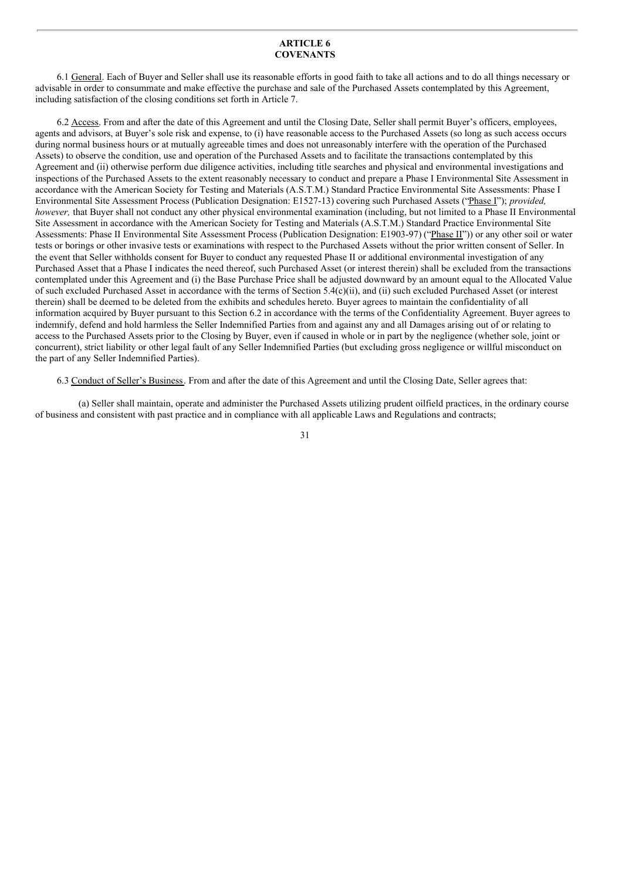#### **ARTICLE 6 COVENANTS**

6.1 General. Each of Buyer and Seller shall use its reasonable efforts in good faith to take all actions and to do all things necessary or advisable in order to consummate and make effective the purchase and sale of the Purchased Assets contemplated by this Agreement, including satisfaction of the closing conditions set forth in Article 7.

6.2 Access. From and after the date of this Agreement and until the Closing Date, Seller shall permit Buyer's officers, employees, agents and advisors, at Buyer's sole risk and expense, to (i) have reasonable access to the Purchased Assets (so long as such access occurs during normal business hours or at mutually agreeable times and does not unreasonably interfere with the operation of the Purchased Assets) to observe the condition, use and operation of the Purchased Assets and to facilitate the transactions contemplated by this Agreement and (ii) otherwise perform due diligence activities, including title searches and physical and environmental investigations and inspections of the Purchased Assets to the extent reasonably necessary to conduct and prepare a Phase I Environmental Site Assessment in accordance with the American Society for Testing and Materials (A.S.T.M.) Standard Practice Environmental Site Assessments: Phase I Environmental Site Assessment Process (Publication Designation: E1527-13) covering such Purchased Assets ("Phase I"); *provided, however,* that Buyer shall not conduct any other physical environmental examination (including, but not limited to a Phase II Environmental Site Assessment in accordance with the American Society for Testing and Materials (A.S.T.M.) Standard Practice Environmental Site Assessments: Phase II Environmental Site Assessment Process (Publication Designation: E1903-97) ("Phase II")) or any other soil or water tests or borings or other invasive tests or examinations with respect to the Purchased Assets without the prior written consent of Seller. In the event that Seller withholds consent for Buyer to conduct any requested Phase II or additional environmental investigation of any Purchased Asset that a Phase I indicates the need thereof, such Purchased Asset (or interest therein) shall be excluded from the transactions contemplated under this Agreement and (i) the Base Purchase Price shall be adjusted downward by an amount equal to the Allocated Value of such excluded Purchased Asset in accordance with the terms of Section 5.4(c)(ii), and (ii) such excluded Purchased Asset (or interest therein) shall be deemed to be deleted from the exhibits and schedules hereto. Buyer agrees to maintain the confidentiality of all information acquired by Buyer pursuant to this Section 6.2 in accordance with the terms of the Confidentiality Agreement. Buyer agrees to indemnify, defend and hold harmless the Seller Indemnified Parties from and against any and all Damages arising out of or relating to access to the Purchased Assets prior to the Closing by Buyer, even if caused in whole or in part by the negligence (whether sole, joint or concurrent), strict liability or other legal fault of any Seller Indemnified Parties (but excluding gross negligence or willful misconduct on the part of any Seller Indemnified Parties).

6.3 Conduct of Seller's Business. From and after the date of this Agreement and until the Closing Date, Seller agrees that:

(a) Seller shall maintain, operate and administer the Purchased Assets utilizing prudent oilfield practices, in the ordinary course of business and consistent with past practice and in compliance with all applicable Laws and Regulations and contracts;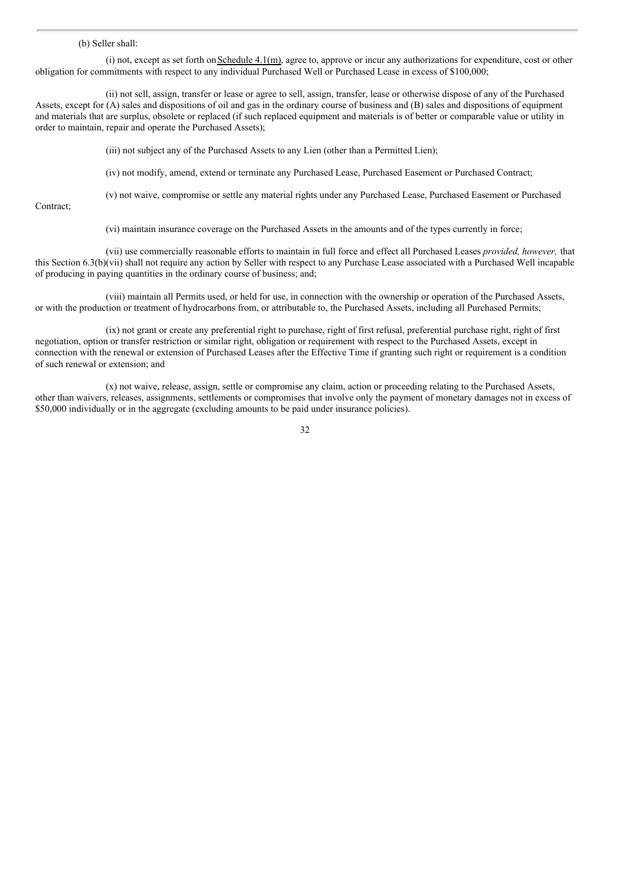#### (b) Seller shall:

(i) not, except as set forth on Schedule  $4.1(m)$ , agree to, approve or incur any authorizations for expenditure, cost or other obligation for commitments with respect to any individual Purchased Well or Purchased Lease in excess of \$100,000;

(ii) not sell, assign, transfer or lease or agree to sell, assign, transfer, lease or otherwise dispose of any of the Purchased Assets, except for (A) sales and dispositions of oil and gas in the ordinary course of business and (B) sales and dispositions of equipment and materials that are surplus, obsolete or replaced (if such replaced equipment and materials is of better or comparable value or utility in order to maintain, repair and operate the Purchased Assets);

(iii) not subject any of the Purchased Assets to any Lien (other than a Permitted Lien);

(iv) not modify, amend, extend or terminate any Purchased Lease, Purchased Easement or Purchased Contract;

Contract;

(v) not waive, compromise or settle any material rights under any Purchased Lease, Purchased Easement or Purchased

(vi) maintain insurance coverage on the Purchased Assets in the amounts and of the types currently in force;

(vii) use commercially reasonable efforts to maintain in full force and effect all Purchased Leases *provided, however,* that this Section 6.3(b)(vii) shall not require any action by Seller with respect to any Purchase Lease associated with a Purchased Well incapable of producing in paying quantities in the ordinary course of business; and;

(viii) maintain all Permits used, or held for use, in connection with the ownership or operation of the Purchased Assets, or with the production or treatment of hydrocarbons from, or attributable to, the Purchased Assets, including all Purchased Permits;

(ix) not grant or create any preferential right to purchase, right of first refusal, preferential purchase right, right of first negotiation, option or transfer restriction or similar right, obligation or requirement with respect to the Purchased Assets, except in connection with the renewal or extension of Purchased Leases after the Effective Time if granting such right or requirement is a condition of such renewal or extension; and

(x) not waive, release, assign, settle or compromise any claim, action or proceeding relating to the Purchased Assets, other than waivers, releases, assignments, settlements or compromises that involve only the payment of monetary damages not in excess of \$50,000 individually or in the aggregate (excluding amounts to be paid under insurance policies).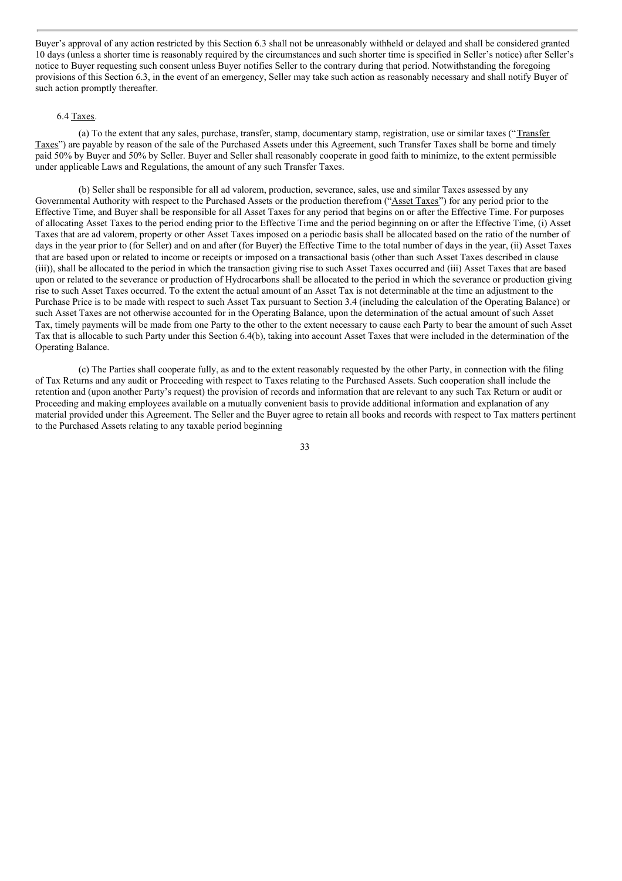Buyer's approval of any action restricted by this Section 6.3 shall not be unreasonably withheld or delayed and shall be considered granted 10 days (unless a shorter time is reasonably required by the circumstances and such shorter time is specified in Seller's notice) after Seller's notice to Buyer requesting such consent unless Buyer notifies Seller to the contrary during that period. Notwithstanding the foregoing provisions of this Section 6.3, in the event of an emergency, Seller may take such action as reasonably necessary and shall notify Buyer of such action promptly thereafter.

#### 6.4 Taxes.

(a) To the extent that any sales, purchase, transfer, stamp, documentary stamp, registration, use or similar taxes ("Transfer Taxes") are payable by reason of the sale of the Purchased Assets under this Agreement, such Transfer Taxes shall be borne and timely paid 50% by Buyer and 50% by Seller. Buyer and Seller shall reasonably cooperate in good faith to minimize, to the extent permissible under applicable Laws and Regulations, the amount of any such Transfer Taxes.

(b) Seller shall be responsible for all ad valorem, production, severance, sales, use and similar Taxes assessed by any Governmental Authority with respect to the Purchased Assets or the production therefrom ("Asset Taxes") for any period prior to the Effective Time, and Buyer shall be responsible for all Asset Taxes for any period that begins on or after the Effective Time. For purposes of allocating Asset Taxes to the period ending prior to the Effective Time and the period beginning on or after the Effective Time, (i) Asset Taxes that are ad valorem, property or other Asset Taxes imposed on a periodic basis shall be allocated based on the ratio of the number of days in the year prior to (for Seller) and on and after (for Buyer) the Effective Time to the total number of days in the year, (ii) Asset Taxes that are based upon or related to income or receipts or imposed on a transactional basis (other than such Asset Taxes described in clause (iii)), shall be allocated to the period in which the transaction giving rise to such Asset Taxes occurred and (iii) Asset Taxes that are based upon or related to the severance or production of Hydrocarbons shall be allocated to the period in which the severance or production giving rise to such Asset Taxes occurred. To the extent the actual amount of an Asset Tax is not determinable at the time an adjustment to the Purchase Price is to be made with respect to such Asset Tax pursuant to Section 3.4 (including the calculation of the Operating Balance) or such Asset Taxes are not otherwise accounted for in the Operating Balance, upon the determination of the actual amount of such Asset Tax, timely payments will be made from one Party to the other to the extent necessary to cause each Party to bear the amount of such Asset Tax that is allocable to such Party under this Section 6.4(b), taking into account Asset Taxes that were included in the determination of the Operating Balance.

(c) The Parties shall cooperate fully, as and to the extent reasonably requested by the other Party, in connection with the filing of Tax Returns and any audit or Proceeding with respect to Taxes relating to the Purchased Assets. Such cooperation shall include the retention and (upon another Party's request) the provision of records and information that are relevant to any such Tax Return or audit or Proceeding and making employees available on a mutually convenient basis to provide additional information and explanation of any material provided under this Agreement. The Seller and the Buyer agree to retain all books and records with respect to Tax matters pertinent to the Purchased Assets relating to any taxable period beginning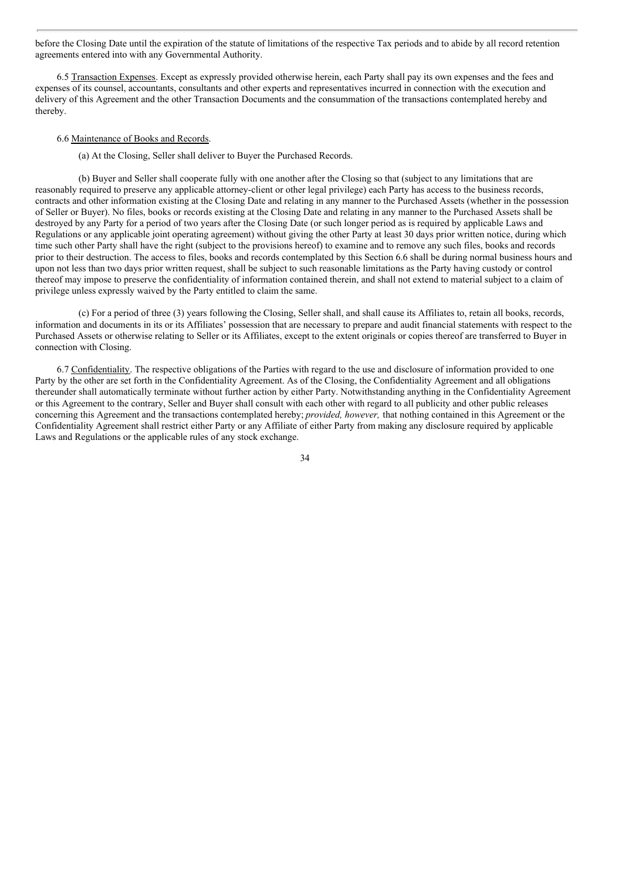before the Closing Date until the expiration of the statute of limitations of the respective Tax periods and to abide by all record retention agreements entered into with any Governmental Authority.

6.5 Transaction Expenses. Except as expressly provided otherwise herein, each Party shall pay its own expenses and the fees and expenses of its counsel, accountants, consultants and other experts and representatives incurred in connection with the execution and delivery of this Agreement and the other Transaction Documents and the consummation of the transactions contemplated hereby and thereby.

#### 6.6 Maintenance of Books and Records.

(a) At the Closing, Seller shall deliver to Buyer the Purchased Records.

(b) Buyer and Seller shall cooperate fully with one another after the Closing so that (subject to any limitations that are reasonably required to preserve any applicable attorney-client or other legal privilege) each Party has access to the business records, contracts and other information existing at the Closing Date and relating in any manner to the Purchased Assets (whether in the possession of Seller or Buyer). No files, books or records existing at the Closing Date and relating in any manner to the Purchased Assets shall be destroyed by any Party for a period of two years after the Closing Date (or such longer period as is required by applicable Laws and Regulations or any applicable joint operating agreement) without giving the other Party at least 30 days prior written notice, during which time such other Party shall have the right (subject to the provisions hereof) to examine and to remove any such files, books and records prior to their destruction. The access to files, books and records contemplated by this Section 6.6 shall be during normal business hours and upon not less than two days prior written request, shall be subject to such reasonable limitations as the Party having custody or control thereof may impose to preserve the confidentiality of information contained therein, and shall not extend to material subject to a claim of privilege unless expressly waived by the Party entitled to claim the same.

(c) For a period of three (3) years following the Closing, Seller shall, and shall cause its Affiliates to, retain all books, records, information and documents in its or its Affiliates' possession that are necessary to prepare and audit financial statements with respect to the Purchased Assets or otherwise relating to Seller or its Affiliates, except to the extent originals or copies thereof are transferred to Buyer in connection with Closing.

6.7 Confidentiality. The respective obligations of the Parties with regard to the use and disclosure of information provided to one Party by the other are set forth in the Confidentiality Agreement. As of the Closing, the Confidentiality Agreement and all obligations thereunder shall automatically terminate without further action by either Party. Notwithstanding anything in the Confidentiality Agreement or this Agreement to the contrary, Seller and Buyer shall consult with each other with regard to all publicity and other public releases concerning this Agreement and the transactions contemplated hereby; *provided, however,* that nothing contained in this Agreement or the Confidentiality Agreement shall restrict either Party or any Affiliate of either Party from making any disclosure required by applicable Laws and Regulations or the applicable rules of any stock exchange.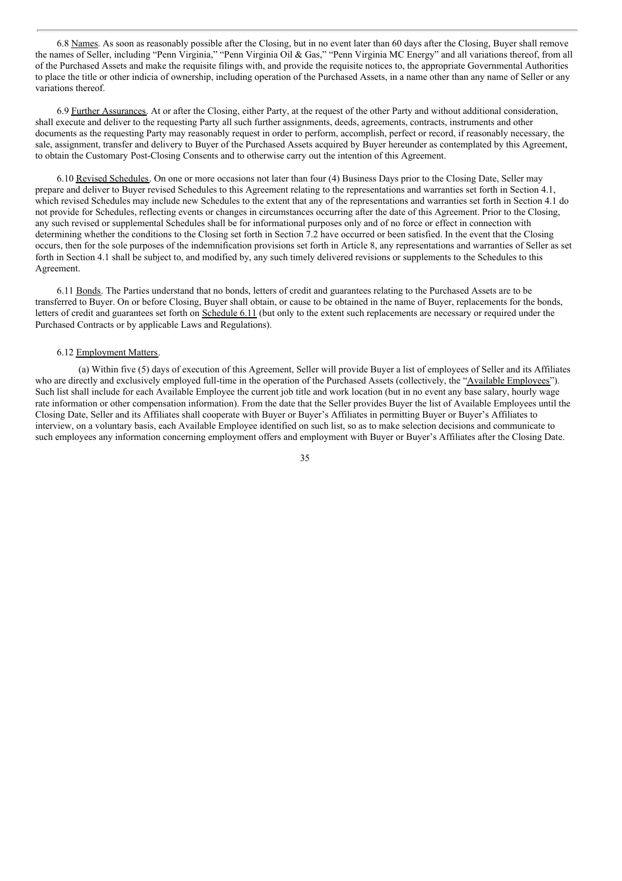6.8 Names. As soon as reasonably possible after the Closing, but in no event later than 60 days after the Closing, Buyer shall remove the names of Seller, including "Penn Virginia," "Penn Virginia Oil & Gas," "Penn Virginia MC Energy" and all variations thereof, from all of the Purchased Assets and make the requisite filings with, and provide the requisite notices to, the appropriate Governmental Authorities to place the title or other indicia of ownership, including operation of the Purchased Assets, in a name other than any name of Seller or any variations thereof.

6.9 Further Assurances. At or after the Closing, either Party, at the request of the other Party and without additional consideration, shall execute and deliver to the requesting Party all such further assignments, deeds, agreements, contracts, instruments and other documents as the requesting Party may reasonably request in order to perform, accomplish, perfect or record, if reasonably necessary, the sale, assignment, transfer and delivery to Buyer of the Purchased Assets acquired by Buyer hereunder as contemplated by this Agreement, to obtain the Customary Post-Closing Consents and to otherwise carry out the intention of this Agreement.

6.10 Revised Schedules. On one or more occasions not later than four (4) Business Days prior to the Closing Date, Seller may prepare and deliver to Buyer revised Schedules to this Agreement relating to the representations and warranties set forth in Section 4.1, which revised Schedules may include new Schedules to the extent that any of the representations and warranties set forth in Section 4.1 do not provide for Schedules, reflecting events or changes in circumstances occurring after the date of this Agreement. Prior to the Closing, any such revised or supplemental Schedules shall be for informational purposes only and of no force or effect in connection with determining whether the conditions to the Closing set forth in Section 7.2 have occurred or been satisfied. In the event that the Closing occurs, then for the sole purposes of the indemnification provisions set forth in Article 8, any representations and warranties of Seller as set forth in Section 4.1 shall be subject to, and modified by, any such timely delivered revisions or supplements to the Schedules to this Agreement.

6.11 Bonds. The Parties understand that no bonds, letters of credit and guarantees relating to the Purchased Assets are to be transferred to Buyer. On or before Closing, Buyer shall obtain, or cause to be obtained in the name of Buyer, replacements for the bonds, letters of credit and guarantees set forth on Schedule 6.11 (but only to the extent such replacements are necessary or required under the Purchased Contracts or by applicable Laws and Regulations).

#### 6.12 Employment Matters.

(a) Within five (5) days of execution of this Agreement, Seller will provide Buyer a list of employees of Seller and its Affiliates who are directly and exclusively employed full-time in the operation of the Purchased Assets (collectively, the "Available Employees"). Such list shall include for each Available Employee the current job title and work location (but in no event any base salary, hourly wage rate information or other compensation information). From the date that the Seller provides Buyer the list of Available Employees until the Closing Date, Seller and its Affiliates shall cooperate with Buyer or Buyer's Affiliates in permitting Buyer or Buyer's Affiliates to interview, on a voluntary basis, each Available Employee identified on such list, so as to make selection decisions and communicate to such employees any information concerning employment offers and employment with Buyer or Buyer's Affiliates after the Closing Date.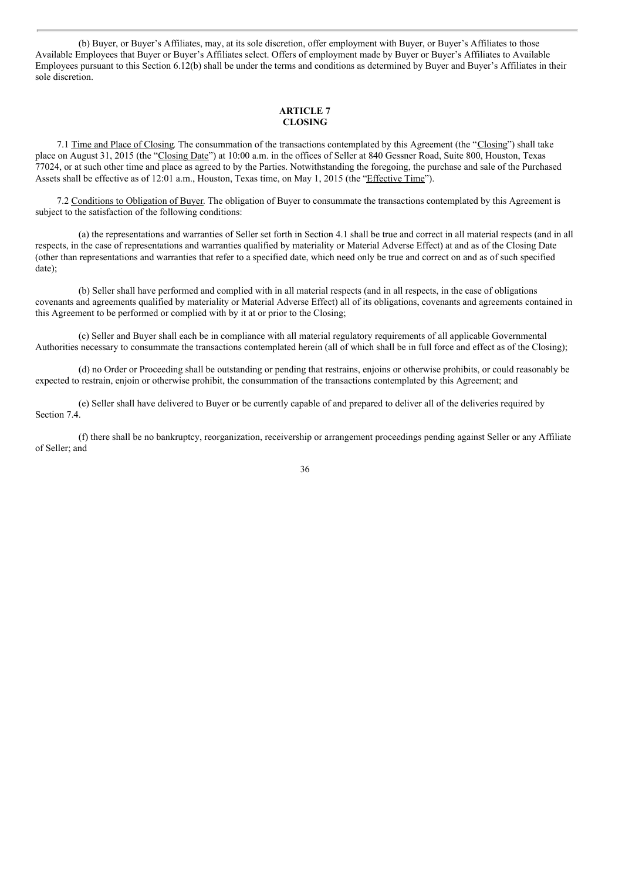(b) Buyer, or Buyer's Affiliates, may, at its sole discretion, offer employment with Buyer, or Buyer's Affiliates to those Available Employees that Buyer or Buyer's Affiliates select. Offers of employment made by Buyer or Buyer's Affiliates to Available Employees pursuant to this Section 6.12(b) shall be under the terms and conditions as determined by Buyer and Buyer's Affiliates in their sole discretion.

#### **ARTICLE 7 CLOSING**

7.1 Time and Place of Closing. The consummation of the transactions contemplated by this Agreement (the "Closing") shall take place on August 31, 2015 (the "Closing Date") at 10:00 a.m. in the offices of Seller at 840 Gessner Road, Suite 800, Houston, Texas 77024, or at such other time and place as agreed to by the Parties. Notwithstanding the foregoing, the purchase and sale of the Purchased Assets shall be effective as of 12:01 a.m., Houston, Texas time, on May 1, 2015 (the "Effective Time").

7.2 Conditions to Obligation of Buyer. The obligation of Buyer to consummate the transactions contemplated by this Agreement is subject to the satisfaction of the following conditions:

(a) the representations and warranties of Seller set forth in Section 4.1 shall be true and correct in all material respects (and in all respects, in the case of representations and warranties qualified by materiality or Material Adverse Effect) at and as of the Closing Date (other than representations and warranties that refer to a specified date, which need only be true and correct on and as of such specified date);

(b) Seller shall have performed and complied with in all material respects (and in all respects, in the case of obligations covenants and agreements qualified by materiality or Material Adverse Effect) all of its obligations, covenants and agreements contained in this Agreement to be performed or complied with by it at or prior to the Closing;

(c) Seller and Buyer shall each be in compliance with all material regulatory requirements of all applicable Governmental Authorities necessary to consummate the transactions contemplated herein (all of which shall be in full force and effect as of the Closing);

(d) no Order or Proceeding shall be outstanding or pending that restrains, enjoins or otherwise prohibits, or could reasonably be expected to restrain, enjoin or otherwise prohibit, the consummation of the transactions contemplated by this Agreement; and

(e) Seller shall have delivered to Buyer or be currently capable of and prepared to deliver all of the deliveries required by Section 7.4.

(f) there shall be no bankruptcy, reorganization, receivership or arrangement proceedings pending against Seller or any Affiliate of Seller; and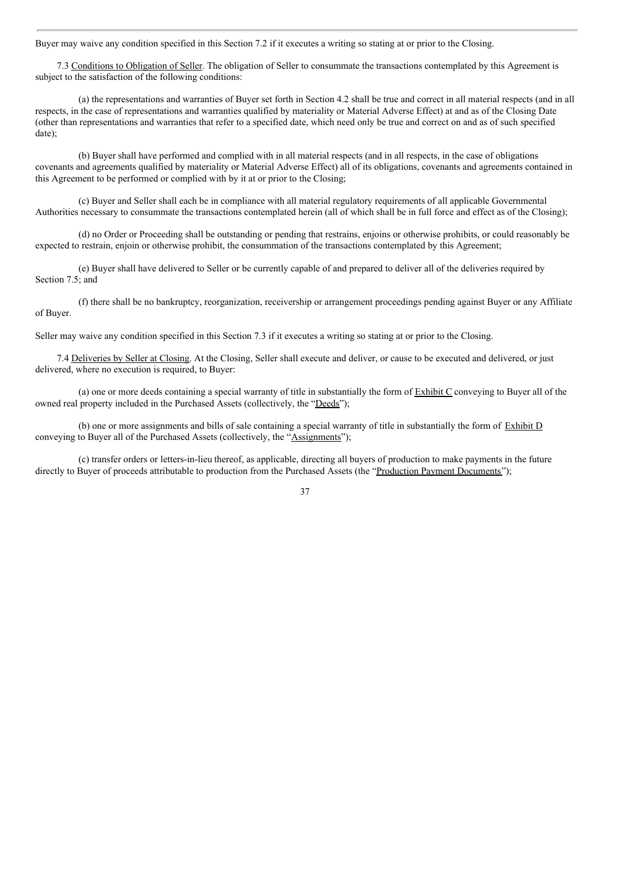Buyer may waive any condition specified in this Section 7.2 if it executes a writing so stating at or prior to the Closing.

7.3 Conditions to Obligation of Seller. The obligation of Seller to consummate the transactions contemplated by this Agreement is subject to the satisfaction of the following conditions:

(a) the representations and warranties of Buyer set forth in Section 4.2 shall be true and correct in all material respects (and in all respects, in the case of representations and warranties qualified by materiality or Material Adverse Effect) at and as of the Closing Date (other than representations and warranties that refer to a specified date, which need only be true and correct on and as of such specified date);

(b) Buyer shall have performed and complied with in all material respects (and in all respects, in the case of obligations covenants and agreements qualified by materiality or Material Adverse Effect) all of its obligations, covenants and agreements contained in this Agreement to be performed or complied with by it at or prior to the Closing;

(c) Buyer and Seller shall each be in compliance with all material regulatory requirements of all applicable Governmental Authorities necessary to consummate the transactions contemplated herein (all of which shall be in full force and effect as of the Closing);

(d) no Order or Proceeding shall be outstanding or pending that restrains, enjoins or otherwise prohibits, or could reasonably be expected to restrain, enjoin or otherwise prohibit, the consummation of the transactions contemplated by this Agreement;

(e) Buyer shall have delivered to Seller or be currently capable of and prepared to deliver all of the deliveries required by Section 7.5; and

(f) there shall be no bankruptcy, reorganization, receivership or arrangement proceedings pending against Buyer or any Affiliate of Buyer.

Seller may waive any condition specified in this Section 7.3 if it executes a writing so stating at or prior to the Closing.

7.4 Deliveries by Seller at Closing. At the Closing, Seller shall execute and deliver, or cause to be executed and delivered, or just delivered, where no execution is required, to Buyer:

(a) one or more deeds containing a special warranty of title in substantially the form of  $\overline{\text{Exhibit C}}$  conveying to Buyer all of the owned real property included in the Purchased Assets (collectively, the "Deeds");

(b) one or more assignments and bills of sale containing a special warranty of title in substantially the form of Exhibit D conveying to Buyer all of the Purchased Assets (collectively, the "Assignments");

(c) transfer orders or letters-in-lieu thereof, as applicable, directing all buyers of production to make payments in the future directly to Buyer of proceeds attributable to production from the Purchased Assets (the "Production Payment Documents");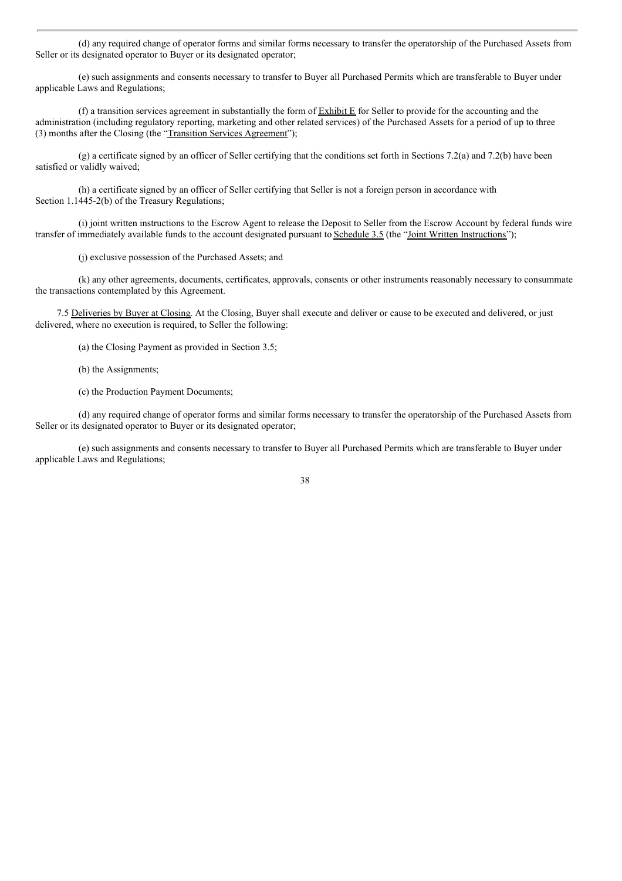(d) any required change of operator forms and similar forms necessary to transfer the operatorship of the Purchased Assets from Seller or its designated operator to Buyer or its designated operator;

(e) such assignments and consents necessary to transfer to Buyer all Purchased Permits which are transferable to Buyer under applicable Laws and Regulations;

(f) a transition services agreement in substantially the form of Exhibit E for Seller to provide for the accounting and the administration (including regulatory reporting, marketing and other related services) of the Purchased Assets for a period of up to three (3) months after the Closing (the "Transition Services Agreement");

(g) a certificate signed by an officer of Seller certifying that the conditions set forth in Sections 7.2(a) and 7.2(b) have been satisfied or validly waived;

(h) a certificate signed by an officer of Seller certifying that Seller is not a foreign person in accordance with Section 1.1445-2(b) of the Treasury Regulations;

(i) joint written instructions to the Escrow Agent to release the Deposit to Seller from the Escrow Account by federal funds wire transfer of immediately available funds to the account designated pursuant to Schedule 3.5 (the "Joint Written Instructions");

(j) exclusive possession of the Purchased Assets; and

(k) any other agreements, documents, certificates, approvals, consents or other instruments reasonably necessary to consummate the transactions contemplated by this Agreement.

7.5 Deliveries by Buyer at Closing. At the Closing, Buyer shall execute and deliver or cause to be executed and delivered, or just delivered, where no execution is required, to Seller the following:

(a) the Closing Payment as provided in Section 3.5;

- (b) the Assignments;
- (c) the Production Payment Documents;

(d) any required change of operator forms and similar forms necessary to transfer the operatorship of the Purchased Assets from Seller or its designated operator to Buyer or its designated operator;

(e) such assignments and consents necessary to transfer to Buyer all Purchased Permits which are transferable to Buyer under applicable Laws and Regulations;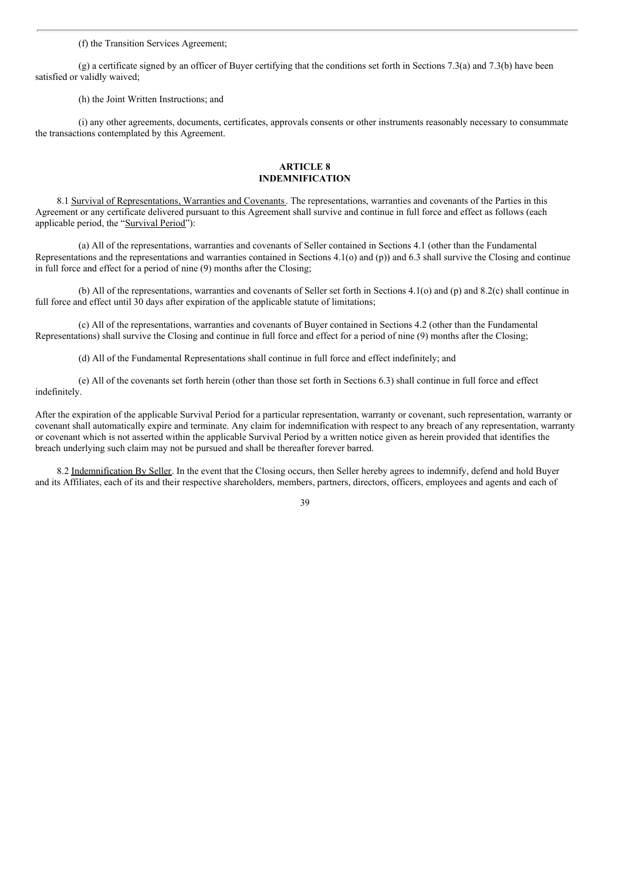(f) the Transition Services Agreement;

(g) a certificate signed by an officer of Buyer certifying that the conditions set forth in Sections 7.3(a) and 7.3(b) have been satisfied or validly waived;

(h) the Joint Written Instructions; and

(i) any other agreements, documents, certificates, approvals consents or other instruments reasonably necessary to consummate the transactions contemplated by this Agreement.

#### **ARTICLE 8 INDEMNIFICATION**

8.1 Survival of Representations, Warranties and Covenants. The representations, warranties and covenants of the Parties in this Agreement or any certificate delivered pursuant to this Agreement shall survive and continue in full force and effect as follows (each applicable period, the "Survival Period"):

(a) All of the representations, warranties and covenants of Seller contained in Sections 4.1 (other than the Fundamental Representations and the representations and warranties contained in Sections 4.1(o) and (p)) and 6.3 shall survive the Closing and continue in full force and effect for a period of nine (9) months after the Closing;

(b) All of the representations, warranties and covenants of Seller set forth in Sections 4.1(o) and (p) and 8.2(c) shall continue in full force and effect until 30 days after expiration of the applicable statute of limitations;

(c) All of the representations, warranties and covenants of Buyer contained in Sections 4.2 (other than the Fundamental Representations) shall survive the Closing and continue in full force and effect for a period of nine (9) months after the Closing;

(d) All of the Fundamental Representations shall continue in full force and effect indefinitely; and

(e) All of the covenants set forth herein (other than those set forth in Sections 6.3) shall continue in full force and effect indefinitely.

After the expiration of the applicable Survival Period for a particular representation, warranty or covenant, such representation, warranty or covenant shall automatically expire and terminate. Any claim for indemnification with respect to any breach of any representation, warranty or covenant which is not asserted within the applicable Survival Period by a written notice given as herein provided that identifies the breach underlying such claim may not be pursued and shall be thereafter forever barred.

8.2 Indemnification By Seller. In the event that the Closing occurs, then Seller hereby agrees to indemnify, defend and hold Buyer and its Affiliates, each of its and their respective shareholders, members, partners, directors, officers, employees and agents and each of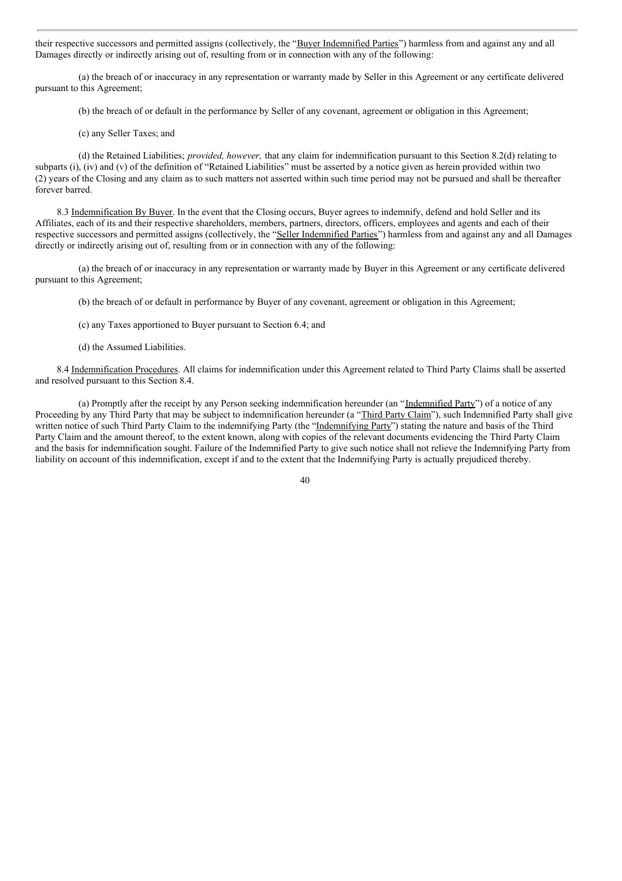their respective successors and permitted assigns (collectively, the "Buyer Indemnified Parties") harmless from and against any and all Damages directly or indirectly arising out of, resulting from or in connection with any of the following:

(a) the breach of or inaccuracy in any representation or warranty made by Seller in this Agreement or any certificate delivered pursuant to this Agreement;

(b) the breach of or default in the performance by Seller of any covenant, agreement or obligation in this Agreement;

(c) any Seller Taxes; and

(d) the Retained Liabilities; *provided, however,* that any claim for indemnification pursuant to this Section 8.2(d) relating to subparts (i), (iv) and (v) of the definition of "Retained Liabilities" must be asserted by a notice given as herein provided within two (2) years of the Closing and any claim as to such matters not asserted within such time period may not be pursued and shall be thereafter forever barred.

8.3 Indemnification By Buyer. In the event that the Closing occurs, Buyer agrees to indemnify, defend and hold Seller and its Affiliates, each of its and their respective shareholders, members, partners, directors, officers, employees and agents and each of their respective successors and permitted assigns (collectively, the "Seller Indemnified Parties") harmless from and against any and all Damages directly or indirectly arising out of, resulting from or in connection with any of the following:

(a) the breach of or inaccuracy in any representation or warranty made by Buyer in this Agreement or any certificate delivered pursuant to this Agreement;

- (b) the breach of or default in performance by Buyer of any covenant, agreement or obligation in this Agreement;
- (c) any Taxes apportioned to Buyer pursuant to Section 6.4; and
- (d) the Assumed Liabilities.

8.4 Indemnification Procedures. All claims for indemnification under this Agreement related to Third Party Claims shall be asserted and resolved pursuant to this Section 8.4.

(a) Promptly after the receipt by any Person seeking indemnification hereunder (an "Indemnified Party") of a notice of any Proceeding by any Third Party that may be subject to indemnification hereunder (a "Third Party Claim"), such Indemnified Party shall give written notice of such Third Party Claim to the indemnifying Party (the "Indemnifying Party") stating the nature and basis of the Third Party Claim and the amount thereof, to the extent known, along with copies of the relevant documents evidencing the Third Party Claim and the basis for indemnification sought. Failure of the Indemnified Party to give such notice shall not relieve the Indemnifying Party from liability on account of this indemnification, except if and to the extent that the Indemnifying Party is actually prejudiced thereby.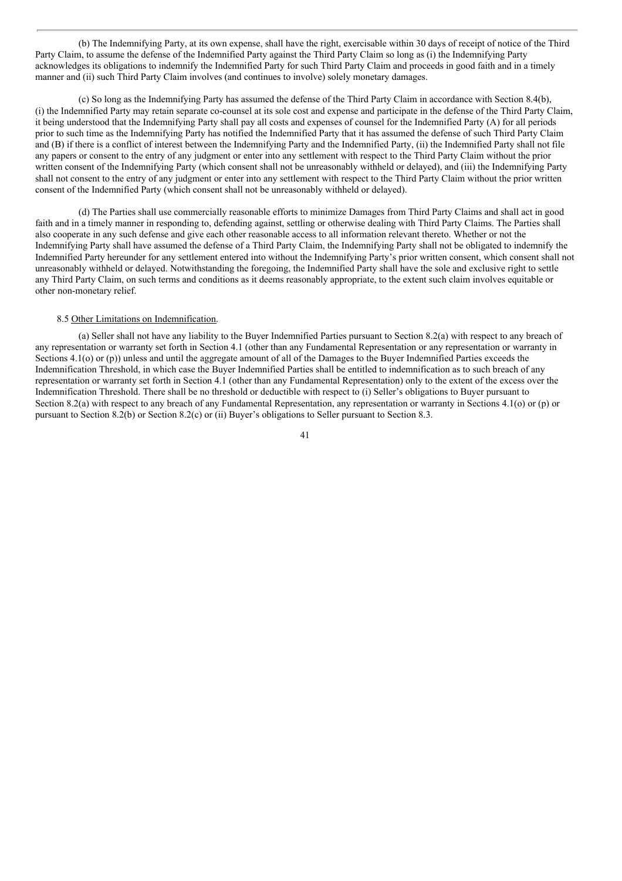(b) The Indemnifying Party, at its own expense, shall have the right, exercisable within 30 days of receipt of notice of the Third Party Claim, to assume the defense of the Indemnified Party against the Third Party Claim so long as (i) the Indemnifying Party acknowledges its obligations to indemnify the Indemnified Party for such Third Party Claim and proceeds in good faith and in a timely manner and (ii) such Third Party Claim involves (and continues to involve) solely monetary damages.

(c) So long as the Indemnifying Party has assumed the defense of the Third Party Claim in accordance with Section 8.4(b), (i) the Indemnified Party may retain separate co-counsel at its sole cost and expense and participate in the defense of the Third Party Claim, it being understood that the Indemnifying Party shall pay all costs and expenses of counsel for the Indemnified Party (A) for all periods prior to such time as the Indemnifying Party has notified the Indemnified Party that it has assumed the defense of such Third Party Claim and (B) if there is a conflict of interest between the Indemnifying Party and the Indemnified Party, (ii) the Indemnified Party shall not file any papers or consent to the entry of any judgment or enter into any settlement with respect to the Third Party Claim without the prior written consent of the Indemnifying Party (which consent shall not be unreasonably withheld or delayed), and (iii) the Indemnifying Party shall not consent to the entry of any judgment or enter into any settlement with respect to the Third Party Claim without the prior written consent of the Indemnified Party (which consent shall not be unreasonably withheld or delayed).

(d) The Parties shall use commercially reasonable efforts to minimize Damages from Third Party Claims and shall act in good faith and in a timely manner in responding to, defending against, settling or otherwise dealing with Third Party Claims. The Parties shall also cooperate in any such defense and give each other reasonable access to all information relevant thereto. Whether or not the Indemnifying Party shall have assumed the defense of a Third Party Claim, the Indemnifying Party shall not be obligated to indemnify the Indemnified Party hereunder for any settlement entered into without the Indemnifying Party's prior written consent, which consent shall not unreasonably withheld or delayed. Notwithstanding the foregoing, the Indemnified Party shall have the sole and exclusive right to settle any Third Party Claim, on such terms and conditions as it deems reasonably appropriate, to the extent such claim involves equitable or other non-monetary relief.

#### 8.5 Other Limitations on Indemnification.

(a) Seller shall not have any liability to the Buyer Indemnified Parties pursuant to Section 8.2(a) with respect to any breach of any representation or warranty set forth in Section 4.1 (other than any Fundamental Representation or any representation or warranty in Sections 4.1(o) or (p)) unless and until the aggregate amount of all of the Damages to the Buyer Indemnified Parties exceeds the Indemnification Threshold, in which case the Buyer Indemnified Parties shall be entitled to indemnification as to such breach of any representation or warranty set forth in Section 4.1 (other than any Fundamental Representation) only to the extent of the excess over the Indemnification Threshold. There shall be no threshold or deductible with respect to (i) Seller's obligations to Buyer pursuant to Section 8.2(a) with respect to any breach of any Fundamental Representation, any representation or warranty in Sections 4.1(o) or (p) or pursuant to Section 8.2(b) or Section 8.2(c) or (ii) Buyer's obligations to Seller pursuant to Section 8.3.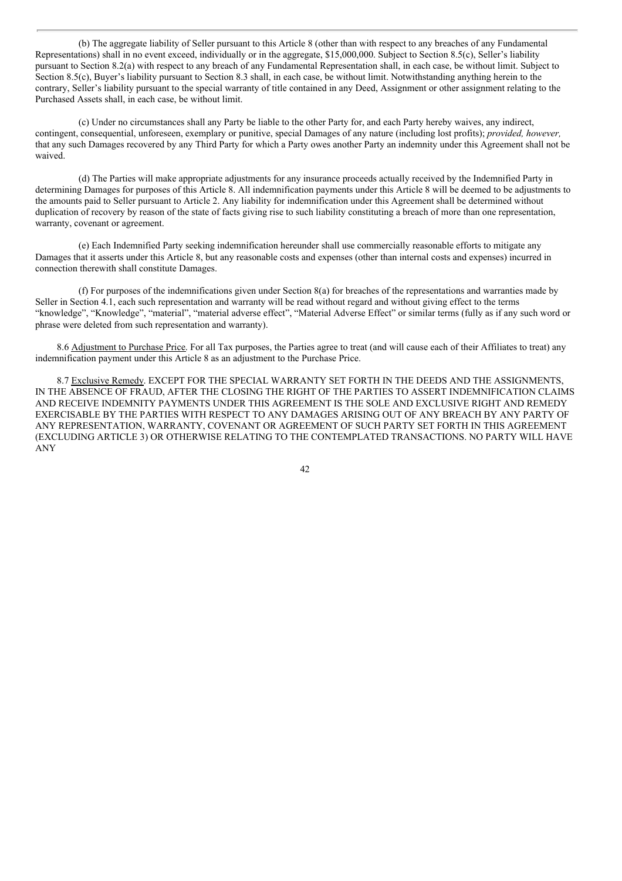(b) The aggregate liability of Seller pursuant to this Article 8 (other than with respect to any breaches of any Fundamental Representations) shall in no event exceed, individually or in the aggregate, \$15,000,000. Subject to Section 8.5(c), Seller's liability pursuant to Section 8.2(a) with respect to any breach of any Fundamental Representation shall, in each case, be without limit. Subject to Section 8.5(c), Buyer's liability pursuant to Section 8.3 shall, in each case, be without limit. Notwithstanding anything herein to the contrary, Seller's liability pursuant to the special warranty of title contained in any Deed, Assignment or other assignment relating to the Purchased Assets shall, in each case, be without limit.

(c) Under no circumstances shall any Party be liable to the other Party for, and each Party hereby waives, any indirect, contingent, consequential, unforeseen, exemplary or punitive, special Damages of any nature (including lost profits); *provided, however,* that any such Damages recovered by any Third Party for which a Party owes another Party an indemnity under this Agreement shall not be waived.

(d) The Parties will make appropriate adjustments for any insurance proceeds actually received by the Indemnified Party in determining Damages for purposes of this Article 8. All indemnification payments under this Article 8 will be deemed to be adjustments to the amounts paid to Seller pursuant to Article 2. Any liability for indemnification under this Agreement shall be determined without duplication of recovery by reason of the state of facts giving rise to such liability constituting a breach of more than one representation, warranty, covenant or agreement.

(e) Each Indemnified Party seeking indemnification hereunder shall use commercially reasonable efforts to mitigate any Damages that it asserts under this Article 8, but any reasonable costs and expenses (other than internal costs and expenses) incurred in connection therewith shall constitute Damages.

(f) For purposes of the indemnifications given under Section 8(a) for breaches of the representations and warranties made by Seller in Section 4.1, each such representation and warranty will be read without regard and without giving effect to the terms "knowledge", "Knowledge", "material", "material adverse effect", "Material Adverse Effect" or similar terms (fully as if any such word or phrase were deleted from such representation and warranty).

8.6 Adjustment to Purchase Price. For all Tax purposes, the Parties agree to treat (and will cause each of their Affiliates to treat) any indemnification payment under this Article 8 as an adjustment to the Purchase Price.

8.7 Exclusive Remedy. EXCEPT FOR THE SPECIAL WARRANTY SET FORTH IN THE DEEDS AND THE ASSIGNMENTS, IN THE ABSENCE OF FRAUD, AFTER THE CLOSING THE RIGHT OF THE PARTIES TO ASSERT INDEMNIFICATION CLAIMS AND RECEIVE INDEMNITY PAYMENTS UNDER THIS AGREEMENT IS THE SOLE AND EXCLUSIVE RIGHT AND REMEDY EXERCISABLE BY THE PARTIES WITH RESPECT TO ANY DAMAGES ARISING OUT OF ANY BREACH BY ANY PARTY OF ANY REPRESENTATION, WARRANTY, COVENANT OR AGREEMENT OF SUCH PARTY SET FORTH IN THIS AGREEMENT (EXCLUDING ARTICLE 3) OR OTHERWISE RELATING TO THE CONTEMPLATED TRANSACTIONS. NO PARTY WILL HAVE ANY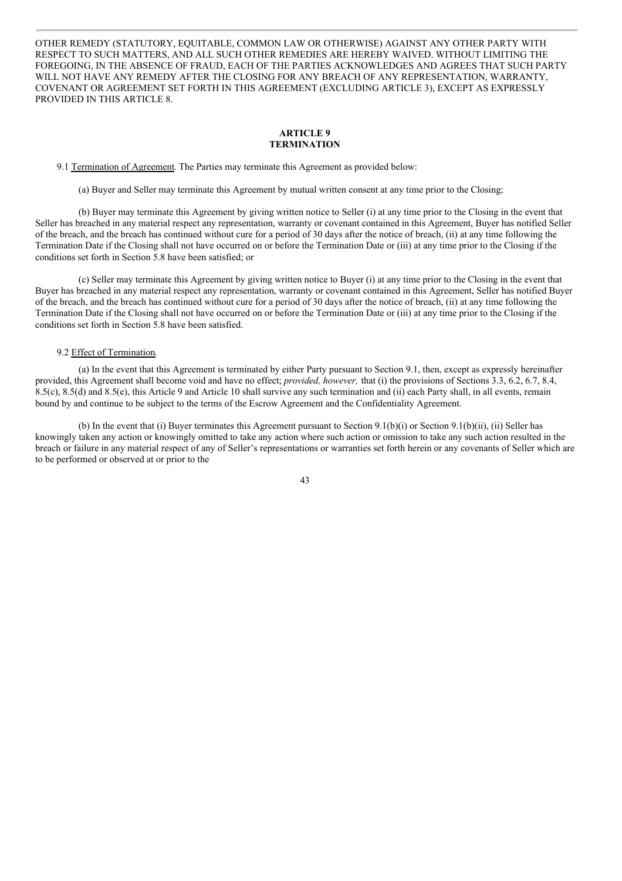OTHER REMEDY (STATUTORY, EQUITABLE, COMMON LAW OR OTHERWISE) AGAINST ANY OTHER PARTY WITH RESPECT TO SUCH MATTERS, AND ALL SUCH OTHER REMEDIES ARE HEREBY WAIVED. WITHOUT LIMITING THE FOREGOING, IN THE ABSENCE OF FRAUD, EACH OF THE PARTIES ACKNOWLEDGES AND AGREES THAT SUCH PARTY WILL NOT HAVE ANY REMEDY AFTER THE CLOSING FOR ANY BREACH OF ANY REPRESENTATION, WARRANTY, COVENANT OR AGREEMENT SET FORTH IN THIS AGREEMENT (EXCLUDING ARTICLE 3), EXCEPT AS EXPRESSLY PROVIDED IN THIS ARTICLE 8.

#### **ARTICLE 9 TERMINATION**

9.1 Termination of Agreement. The Parties may terminate this Agreement as provided below:

(a) Buyer and Seller may terminate this Agreement by mutual written consent at any time prior to the Closing;

(b) Buyer may terminate this Agreement by giving written notice to Seller (i) at any time prior to the Closing in the event that Seller has breached in any material respect any representation, warranty or covenant contained in this Agreement, Buyer has notified Seller of the breach, and the breach has continued without cure for a period of 30 days after the notice of breach, (ii) at any time following the Termination Date if the Closing shall not have occurred on or before the Termination Date or (iii) at any time prior to the Closing if the conditions set forth in Section 5.8 have been satisfied; or

(c) Seller may terminate this Agreement by giving written notice to Buyer (i) at any time prior to the Closing in the event that Buyer has breached in any material respect any representation, warranty or covenant contained in this Agreement, Seller has notified Buyer of the breach, and the breach has continued without cure for a period of 30 days after the notice of breach, (ii) at any time following the Termination Date if the Closing shall not have occurred on or before the Termination Date or (iii) at any time prior to the Closing if the conditions set forth in Section 5.8 have been satisfied.

#### 9.2 Effect of Termination.

(a) In the event that this Agreement is terminated by either Party pursuant to Section 9.1, then, except as expressly hereinafter provided, this Agreement shall become void and have no effect; *provided, however,* that (i) the provisions of Sections 3.3, 6.2, 6.7, 8.4, 8.5(c), 8.5(d) and 8.5(e), this Article 9 and Article 10 shall survive any such termination and (ii) each Party shall, in all events, remain bound by and continue to be subject to the terms of the Escrow Agreement and the Confidentiality Agreement.

(b) In the event that (i) Buyer terminates this Agreement pursuant to Section 9.1(b)(i) or Section 9.1(b)(ii), (ii) Seller has knowingly taken any action or knowingly omitted to take any action where such action or omission to take any such action resulted in the breach or failure in any material respect of any of Seller's representations or warranties set forth herein or any covenants of Seller which are to be performed or observed at or prior to the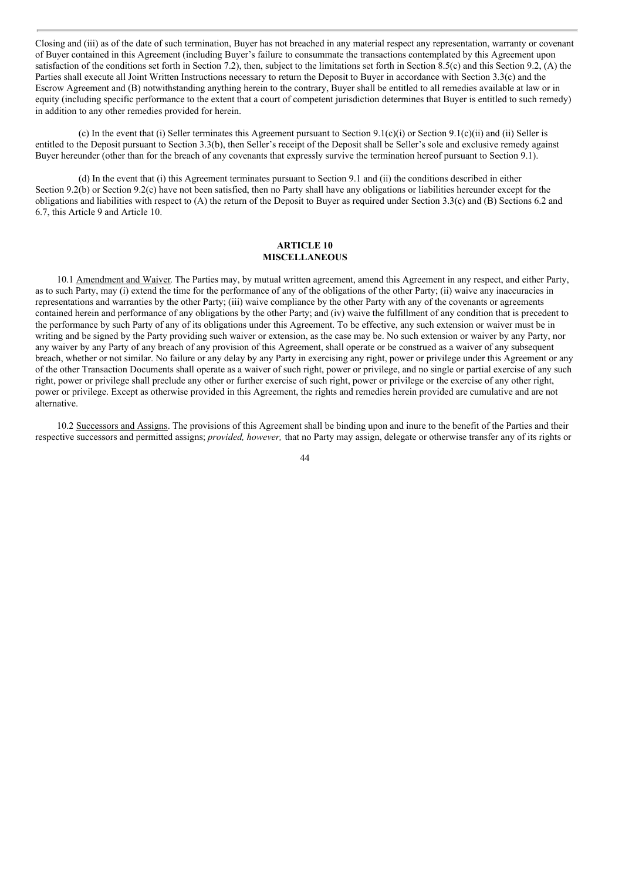Closing and (iii) as of the date of such termination, Buyer has not breached in any material respect any representation, warranty or covenant of Buyer contained in this Agreement (including Buyer's failure to consummate the transactions contemplated by this Agreement upon satisfaction of the conditions set forth in Section 7.2), then, subject to the limitations set forth in Section 8.5(c) and this Section 9.2, (A) the Parties shall execute all Joint Written Instructions necessary to return the Deposit to Buyer in accordance with Section 3.3(c) and the Escrow Agreement and (B) notwithstanding anything herein to the contrary, Buyer shall be entitled to all remedies available at law or in equity (including specific performance to the extent that a court of competent jurisdiction determines that Buyer is entitled to such remedy) in addition to any other remedies provided for herein.

(c) In the event that (i) Seller terminates this Agreement pursuant to Section 9.1(c)(i) or Section 9.1(c)(ii) and (ii) Seller is entitled to the Deposit pursuant to Section 3.3(b), then Seller's receipt of the Deposit shall be Seller's sole and exclusive remedy against Buyer hereunder (other than for the breach of any covenants that expressly survive the termination hereof pursuant to Section 9.1).

(d) In the event that (i) this Agreement terminates pursuant to Section 9.1 and (ii) the conditions described in either Section 9.2(b) or Section 9.2(c) have not been satisfied, then no Party shall have any obligations or liabilities hereunder except for the obligations and liabilities with respect to (A) the return of the Deposit to Buyer as required under Section 3.3(c) and (B) Sections 6.2 and 6.7, this Article 9 and Article 10.

#### **ARTICLE 10 MISCELLANEOUS**

10.1 Amendment and Waiver. The Parties may, by mutual written agreement, amend this Agreement in any respect, and either Party, as to such Party, may (i) extend the time for the performance of any of the obligations of the other Party; (ii) waive any inaccuracies in representations and warranties by the other Party; (iii) waive compliance by the other Party with any of the covenants or agreements contained herein and performance of any obligations by the other Party; and (iv) waive the fulfillment of any condition that is precedent to the performance by such Party of any of its obligations under this Agreement. To be effective, any such extension or waiver must be in writing and be signed by the Party providing such waiver or extension, as the case may be. No such extension or waiver by any Party, nor any waiver by any Party of any breach of any provision of this Agreement, shall operate or be construed as a waiver of any subsequent breach, whether or not similar. No failure or any delay by any Party in exercising any right, power or privilege under this Agreement or any of the other Transaction Documents shall operate as a waiver of such right, power or privilege, and no single or partial exercise of any such right, power or privilege shall preclude any other or further exercise of such right, power or privilege or the exercise of any other right, power or privilege. Except as otherwise provided in this Agreement, the rights and remedies herein provided are cumulative and are not alternative.

10.2 Successors and Assigns. The provisions of this Agreement shall be binding upon and inure to the benefit of the Parties and their respective successors and permitted assigns; *provided, however,* that no Party may assign, delegate or otherwise transfer any of its rights or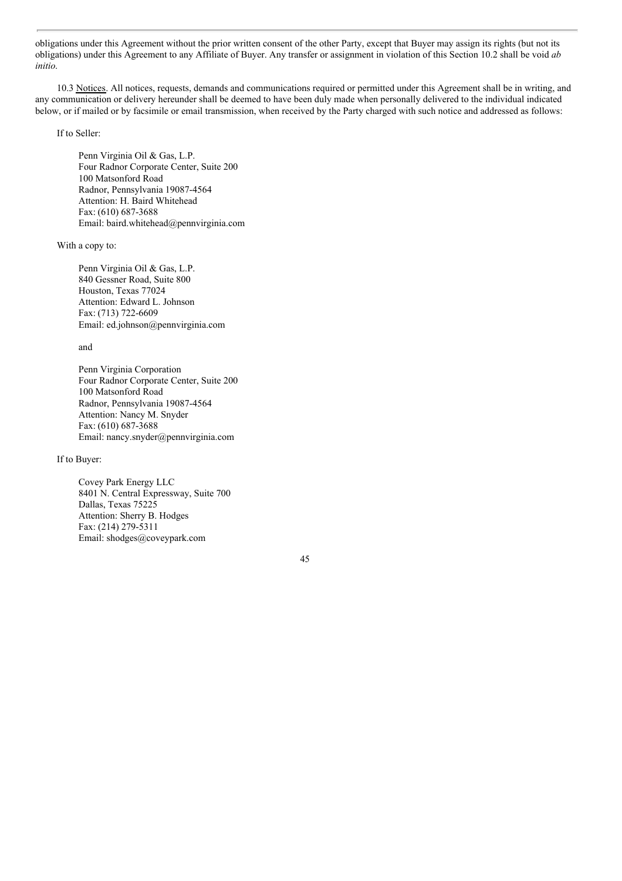obligations under this Agreement without the prior written consent of the other Party, except that Buyer may assign its rights (but not its obligations) under this Agreement to any Affiliate of Buyer. Any transfer or assignment in violation of this Section 10.2 shall be void *ab initio*.

10.3 Notices. All notices, requests, demands and communications required or permitted under this Agreement shall be in writing, and any communication or delivery hereunder shall be deemed to have been duly made when personally delivered to the individual indicated below, or if mailed or by facsimile or email transmission, when received by the Party charged with such notice and addressed as follows:

If to Seller:

Penn Virginia Oil & Gas, L.P. Four Radnor Corporate Center, Suite 200 100 Matsonford Road Radnor, Pennsylvania 19087-4564 Attention: H. Baird Whitehead Fax: (610) 687-3688 Email: baird.whitehead@pennvirginia.com

With a copy to:

Penn Virginia Oil & Gas, L.P. 840 Gessner Road, Suite 800 Houston, Texas 77024 Attention: Edward L. Johnson Fax: (713) 722-6609 Email: ed.johnson@pennvirginia.com

and

Penn Virginia Corporation Four Radnor Corporate Center, Suite 200 100 Matsonford Road Radnor, Pennsylvania 19087-4564 Attention: Nancy M. Snyder Fax: (610) 687-3688 Email: nancy.snyder@pennvirginia.com

If to Buyer:

Covey Park Energy LLC 8401 N. Central Expressway, Suite 700 Dallas, Texas 75225 Attention: Sherry B. Hodges Fax: (214) 279-5311 Email: shodges@coveypark.com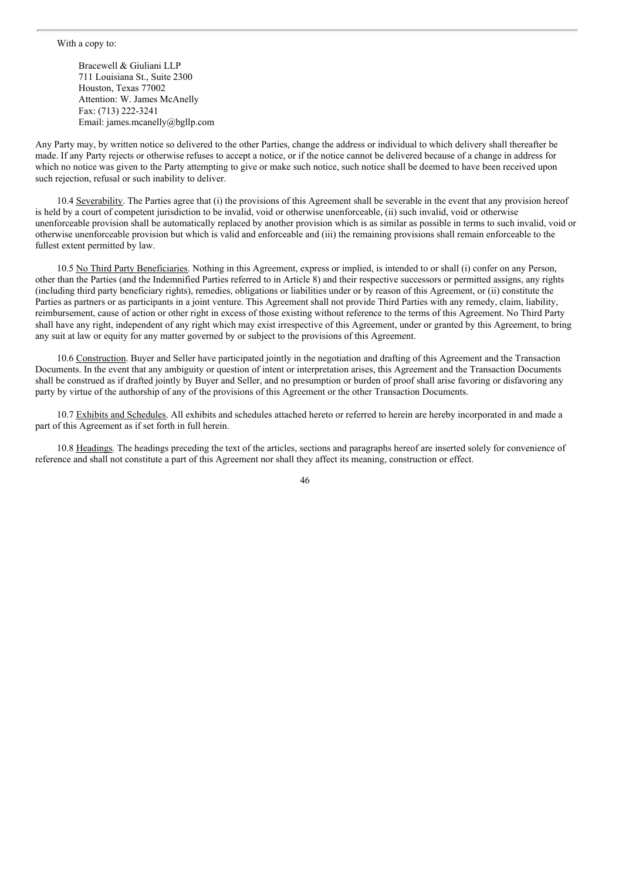Bracewell & Giuliani LLP 711 Louisiana St., Suite 2300 Houston, Texas 77002 Attention: W. James McAnelly Fax: (713) 222-3241 Email: james.mcanelly@bgllp.com

Any Party may, by written notice so delivered to the other Parties, change the address or individual to which delivery shall thereafter be made. If any Party rejects or otherwise refuses to accept a notice, or if the notice cannot be delivered because of a change in address for which no notice was given to the Party attempting to give or make such notice, such notice shall be deemed to have been received upon such rejection, refusal or such inability to deliver.

10.4 Severability. The Parties agree that (i) the provisions of this Agreement shall be severable in the event that any provision hereof is held by a court of competent jurisdiction to be invalid, void or otherwise unenforceable, (ii) such invalid, void or otherwise unenforceable provision shall be automatically replaced by another provision which is as similar as possible in terms to such invalid, void or otherwise unenforceable provision but which is valid and enforceable and (iii) the remaining provisions shall remain enforceable to the fullest extent permitted by law.

10.5 No Third Party Beneficiaries. Nothing in this Agreement, express or implied, is intended to or shall (i) confer on any Person, other than the Parties (and the Indemnified Parties referred to in Article 8) and their respective successors or permitted assigns, any rights (including third party beneficiary rights), remedies, obligations or liabilities under or by reason of this Agreement, or (ii) constitute the Parties as partners or as participants in a joint venture. This Agreement shall not provide Third Parties with any remedy, claim, liability, reimbursement, cause of action or other right in excess of those existing without reference to the terms of this Agreement. No Third Party shall have any right, independent of any right which may exist irrespective of this Agreement, under or granted by this Agreement, to bring any suit at law or equity for any matter governed by or subject to the provisions of this Agreement.

10.6 Construction. Buyer and Seller have participated jointly in the negotiation and drafting of this Agreement and the Transaction Documents. In the event that any ambiguity or question of intent or interpretation arises, this Agreement and the Transaction Documents shall be construed as if drafted jointly by Buyer and Seller, and no presumption or burden of proof shall arise favoring or disfavoring any party by virtue of the authorship of any of the provisions of this Agreement or the other Transaction Documents.

10.7 Exhibits and Schedules. All exhibits and schedules attached hereto or referred to herein are hereby incorporated in and made a part of this Agreement as if set forth in full herein.

10.8 Headings. The headings preceding the text of the articles, sections and paragraphs hereof are inserted solely for convenience of reference and shall not constitute a part of this Agreement nor shall they affect its meaning, construction or effect.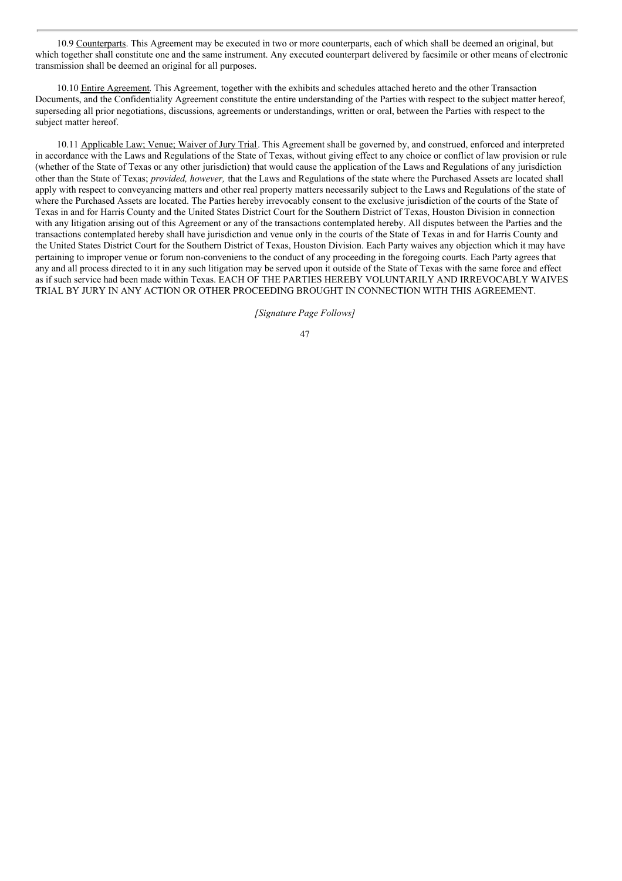10.9 Counterparts. This Agreement may be executed in two or more counterparts, each of which shall be deemed an original, but which together shall constitute one and the same instrument. Any executed counterpart delivered by facsimile or other means of electronic transmission shall be deemed an original for all purposes.

10.10 Entire Agreement. This Agreement, together with the exhibits and schedules attached hereto and the other Transaction Documents, and the Confidentiality Agreement constitute the entire understanding of the Parties with respect to the subject matter hereof, superseding all prior negotiations, discussions, agreements or understandings, written or oral, between the Parties with respect to the subject matter hereof.

10.11 Applicable Law; Venue; Waiver of Jury Trial. This Agreement shall be governed by, and construed, enforced and interpreted in accordance with the Laws and Regulations of the State of Texas, without giving effect to any choice or conflict of law provision or rule (whether of the State of Texas or any other jurisdiction) that would cause the application of the Laws and Regulations of any jurisdiction other than the State of Texas; *provided, however,* that the Laws and Regulations of the state where the Purchased Assets are located shall apply with respect to conveyancing matters and other real property matters necessarily subject to the Laws and Regulations of the state of where the Purchased Assets are located. The Parties hereby irrevocably consent to the exclusive jurisdiction of the courts of the State of Texas in and for Harris County and the United States District Court for the Southern District of Texas, Houston Division in connection with any litigation arising out of this Agreement or any of the transactions contemplated hereby. All disputes between the Parties and the transactions contemplated hereby shall have jurisdiction and venue only in the courts of the State of Texas in and for Harris County and the United States District Court for the Southern District of Texas, Houston Division. Each Party waives any objection which it may have pertaining to improper venue or forum non-conveniens to the conduct of any proceeding in the foregoing courts. Each Party agrees that any and all process directed to it in any such litigation may be served upon it outside of the State of Texas with the same force and effect as if such service had been made within Texas. EACH OF THE PARTIES HEREBY VOLUNTARILY AND IRREVOCABLY WAIVES TRIAL BY JURY IN ANY ACTION OR OTHER PROCEEDING BROUGHT IN CONNECTION WITH THIS AGREEMENT.

*[Signature Page Follows]*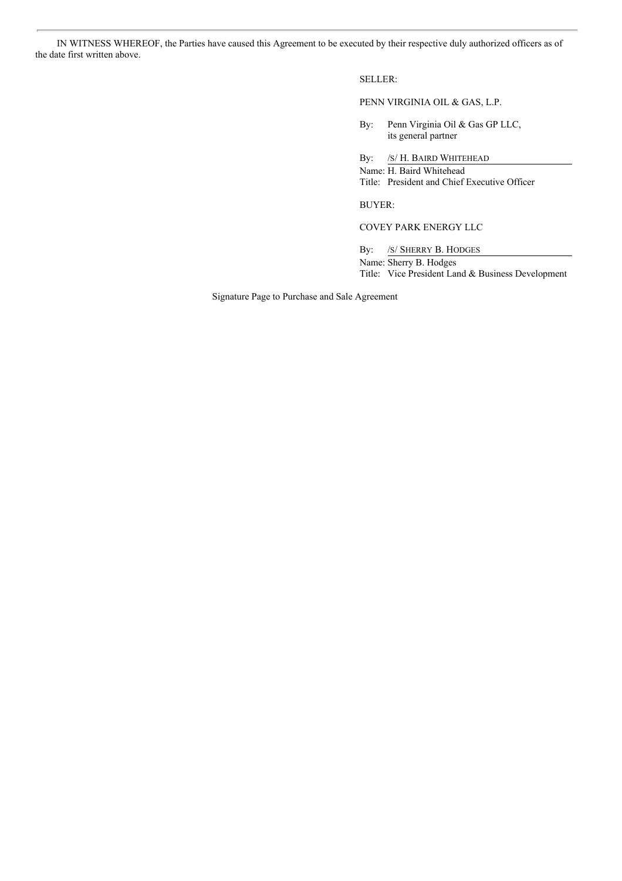IN WITNESS WHEREOF, the Parties have caused this Agreement to be executed by their respective duly authorized officers as of the date first written above.

## SELLER:

PENN VIRGINIA OIL & GAS, L.P.

By: Penn Virginia Oil & Gas GP LLC, its general partner

By: /S/H. BAIRD WHITEHEAD

Name: H. Baird Whitehead Title: President and Chief Executive Officer

BUYER:

COVEY PARK ENERGY LLC

By: /S/ SHERRY B. HODGES Name: Sherry B. Hodges Title: Vice President Land & Business Development

Signature Page to Purchase and Sale Agreement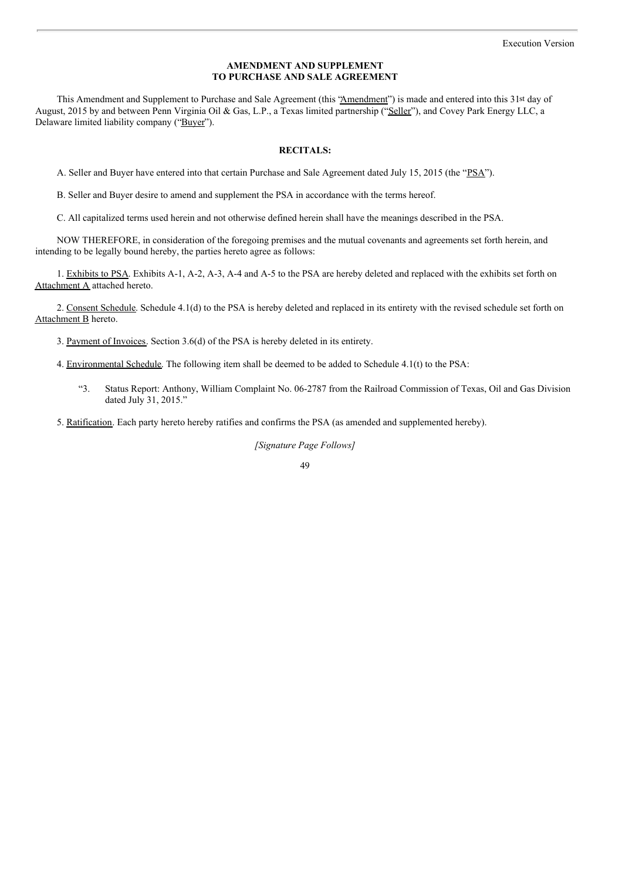#### **AMENDMENT AND SUPPLEMENT TO PURCHASE AND SALE AGREEMENT**

This Amendment and Supplement to Purchase and Sale Agreement (this "Amendment") is made and entered into this 31st day of August, 2015 by and between Penn Virginia Oil & Gas, L.P., a Texas limited partnership ("Seller"), and Covey Park Energy LLC, a Delaware limited liability company ("Buyer").

#### **RECITALS:**

A. Seller and Buyer have entered into that certain Purchase and Sale Agreement dated July 15, 2015 (the "PSA").

B. Seller and Buyer desire to amend and supplement the PSA in accordance with the terms hereof.

C. All capitalized terms used herein and not otherwise defined herein shall have the meanings described in the PSA.

NOW THEREFORE, in consideration of the foregoing premises and the mutual covenants and agreements set forth herein, and intending to be legally bound hereby, the parties hereto agree as follows:

1. Exhibits to PSA. Exhibits A-1, A-2, A-3, A-4 and A-5 to the PSA are hereby deleted and replaced with the exhibits set forth on Attachment A attached hereto.

2. Consent Schedule. Schedule 4.1(d) to the PSA is hereby deleted and replaced in its entirety with the revised schedule set forth on Attachment B hereto.

3. Payment of Invoices. Section 3.6(d) of the PSA is hereby deleted in its entirety.

- 4. Environmental Schedule. The following item shall be deemed to be added to Schedule 4.1(t) to the PSA:
	- "3. Status Report: Anthony, William Complaint No. 06-2787 from the Railroad Commission of Texas, Oil and Gas Division dated July 31, 2015."

5. Ratification. Each party hereto hereby ratifies and confirms the PSA (as amended and supplemented hereby).

*[Signature Page Follows]*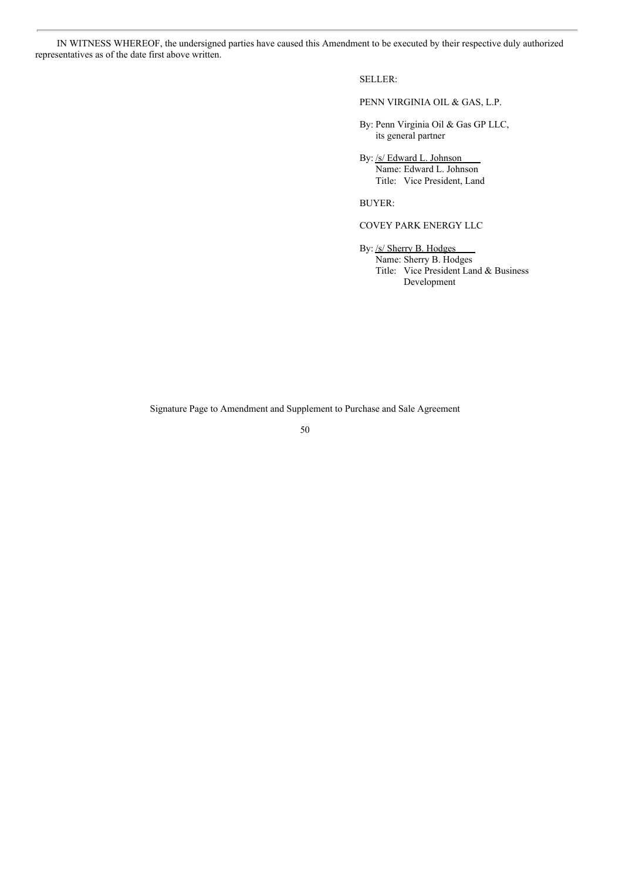IN WITNESS WHEREOF, the undersigned parties have caused this Amendment to be executed by their respective duly authorized representatives as of the date first above written.

SELLER:

PENN VIRGINIA OIL & GAS, L.P.

By: Penn Virginia Oil & Gas GP LLC, its general partner

By: /s/ Edward L. Johnson Name: Edward L. Johnson Title: Vice President, Land

BUYER:

# COVEY PARK ENERGY LLC

By: /s/ Sherry B. Hodges Name: Sherry B. Hodges Title: Vice President Land & Business Development

Signature Page to Amendment and Supplement to Purchase and Sale Agreement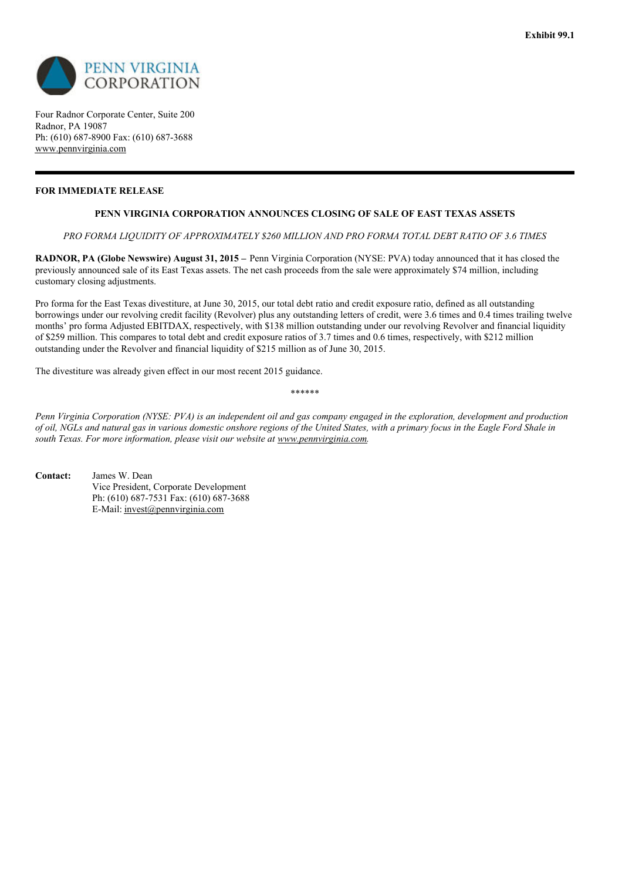

Four Radnor Corporate Center, Suite 200 Radnor, PA 19087 Ph: (610) 687-8900 Fax: (610) 687-3688 www.pennvirginia.com

# **FOR IMMEDIATE RELEASE**

# **PENN VIRGINIA CORPORATION ANNOUNCES CLOSING OF SALE OF EAST TEXAS ASSETS**

*PRO FORMA LIQUIDITY OF APPROXIMATELY \$260 MILLION AND PRO FORMA TOTAL DEBT RATIO OF 3.6 TIMES*

**RADNOR, PA (Globe Newswire) August 31, 2015 –** Penn Virginia Corporation (NYSE: PVA) today announced that it has closed the previously announced sale of its East Texas assets. The net cash proceeds from the sale were approximately \$74 million, including customary closing adjustments.

Pro forma for the East Texas divestiture, at June 30, 2015, our total debt ratio and credit exposure ratio, defined as all outstanding borrowings under our revolving credit facility (Revolver) plus any outstanding letters of credit, were 3.6 times and 0.4 times trailing twelve months' pro forma Adjusted EBITDAX, respectively, with \$138 million outstanding under our revolving Revolver and financial liquidity of \$259 million. This compares to total debt and credit exposure ratios of 3.7 times and 0.6 times, respectively, with \$212 million outstanding under the Revolver and financial liquidity of \$215 million as of June 30, 2015.

The divestiture was already given effect in our most recent 2015 guidance.

\*\*\*\*\*\*

Penn Virginia Corporation (NYSE: PVA) is an independent oil and gas company engaged in the exploration, development and production of oil, NGLs and natural gas in various domestic onshore regions of the United States, with a primary focus in the Eagle Ford Shale in *south Texas. For more information, please visit our website at www.pennvirginia.com.*

**Contact:** James W. Dean Vice President, Corporate Development Ph: (610) 687-7531 Fax: (610) 687-3688 E-Mail: invest@pennvirginia.com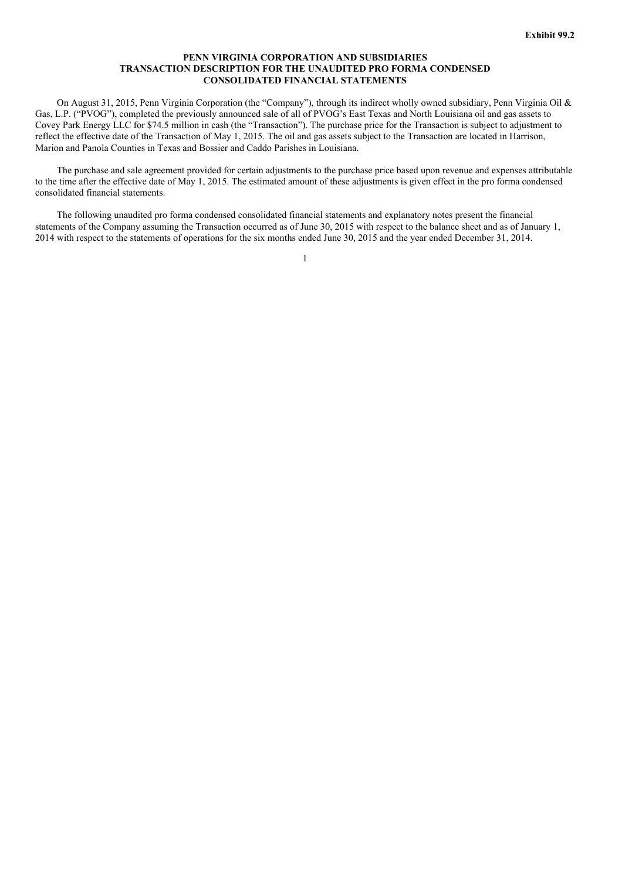#### **PENN VIRGINIA CORPORATION AND SUBSIDIARIES TRANSACTION DESCRIPTION FOR THE UNAUDITED PRO FORMA CONDENSED CONSOLIDATED FINANCIAL STATEMENTS**

On August 31, 2015, Penn Virginia Corporation (the "Company"), through its indirect wholly owned subsidiary, Penn Virginia Oil & Gas, L.P. ("PVOG"), completed the previously announced sale of all of PVOG's East Texas and North Louisiana oil and gas assets to Covey Park Energy LLC for \$74.5 million in cash (the "Transaction"). The purchase price for the Transaction is subject to adjustment to reflect the effective date of the Transaction of May 1, 2015. The oil and gas assets subject to the Transaction are located in Harrison, Marion and Panola Counties in Texas and Bossier and Caddo Parishes in Louisiana.

The purchase and sale agreement provided for certain adjustments to the purchase price based upon revenue and expenses attributable to the time after the effective date of May 1, 2015. The estimated amount of these adjustments is given effect in the pro forma condensed consolidated financial statements.

The following unaudited pro forma condensed consolidated financial statements and explanatory notes present the financial statements of the Company assuming the Transaction occurred as of June 30, 2015 with respect to the balance sheet and as of January 1, 2014 with respect to the statements of operations for the six months ended June 30, 2015 and the year ended December 31, 2014.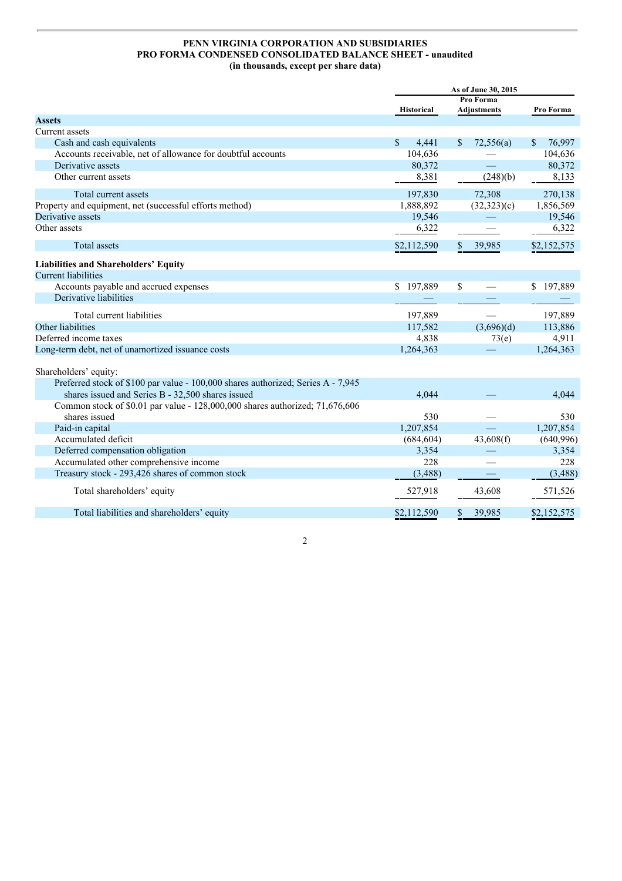# **PENN VIRGINIA CORPORATION AND SUBSIDIARIES PRO FORMA CONDENSED CONSOLIDATED BALANCE SHEET - unaudited (in thousands, except per share data)**

|                                                                                  | As of June 30, 2015    |                            |               |
|----------------------------------------------------------------------------------|------------------------|----------------------------|---------------|
|                                                                                  |                        | Pro Forma                  |               |
|                                                                                  | <b>Historical</b>      | <b>Adjustments</b>         | Pro Forma     |
| <b>Assets</b>                                                                    |                        |                            |               |
| Current assets                                                                   |                        |                            |               |
| Cash and cash equivalents                                                        | $\mathcal{S}$<br>4,441 | 72,556(a)<br><sup>\$</sup> | 76,997<br>\$. |
| Accounts receivable, net of allowance for doubtful accounts                      | 104,636                |                            | 104,636       |
| Derivative assets                                                                | 80,372                 |                            | 80,372        |
| Other current assets                                                             | 8,381                  | (248)(b)                   | 8,133         |
| Total current assets                                                             | 197,830                | 72,308                     | 270,138       |
| Property and equipment, net (successful efforts method)                          | 1,888,892              | (32,323)(c)                | 1,856,569     |
| Derivative assets                                                                | 19,546                 |                            | 19,546        |
| Other assets                                                                     | 6,322                  |                            | 6,322         |
| <b>Total</b> assets                                                              | \$2,112,590            | \$39,985                   | \$2,152,575   |
| Liabilities and Shareholders' Equity                                             |                        |                            |               |
| <b>Current liabilities</b>                                                       |                        |                            |               |
| Accounts payable and accrued expenses                                            | \$197,889              | \$                         | \$197,889     |
| Derivative liabilities                                                           |                        |                            |               |
| Total current liabilities                                                        | 197,889                |                            | 197,889       |
| Other liabilities                                                                | 117,582                | (3,696)(d)                 | 113,886       |
| Deferred income taxes                                                            | 4,838                  | 73(e)                      | 4,911         |
| Long-term debt, net of unamortized issuance costs                                | 1,264,363              |                            | 1,264,363     |
| Shareholders' equity:                                                            |                        |                            |               |
| Preferred stock of \$100 par value - 100,000 shares authorized; Series A - 7,945 |                        |                            |               |
| shares issued and Series B - 32,500 shares issued                                | 4,044                  |                            | 4.044         |
| Common stock of \$0.01 par value - 128,000,000 shares authorized; 71,676,606     |                        |                            |               |
| shares issued                                                                    | 530                    |                            | 530           |
| Paid-in capital                                                                  | 1,207,854              |                            | 1,207,854     |
| Accumulated deficit                                                              | (684, 604)             | 43,608(f)                  | (640,996)     |
| Deferred compensation obligation                                                 | 3,354                  |                            | 3,354         |
| Accumulated other comprehensive income                                           | 228                    |                            | 228           |
| Treasury stock - 293,426 shares of common stock                                  | (3,488)                |                            | (3,488)       |
| Total shareholders' equity                                                       | 527,918                | 43,608                     | 571,526       |
|                                                                                  |                        |                            |               |
| Total liabilities and shareholders' equity                                       | \$2,112,590            | 39,985                     | \$2,152,575   |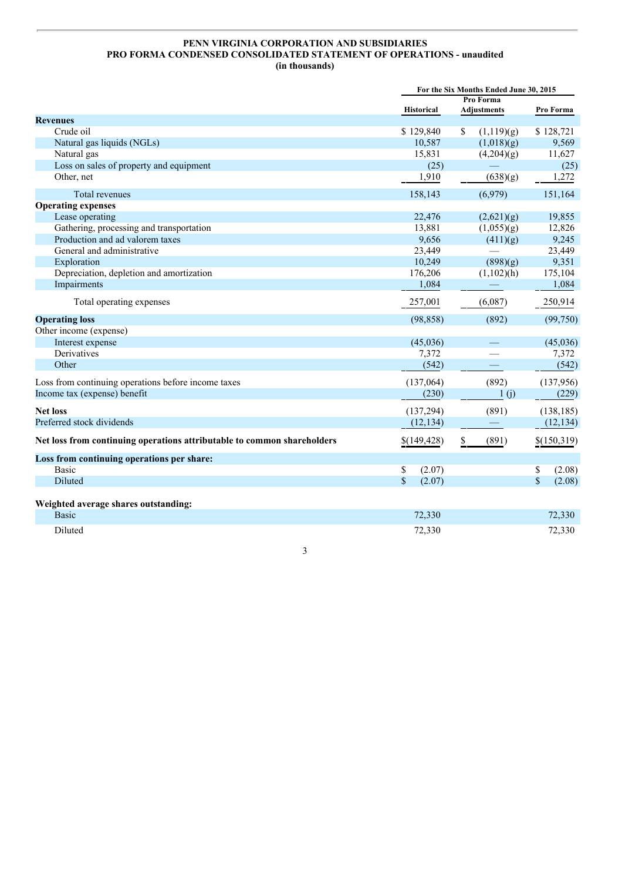# **PENN VIRGINIA CORPORATION AND SUBSIDIARIES PRO FORMA CONDENSED CONSOLIDATED STATEMENT OF OPERATIONS - unaudited (in thousands)**

|                                                                         | For the Six Months Ended June 30, 2015 |                    |                       |
|-------------------------------------------------------------------------|----------------------------------------|--------------------|-----------------------|
|                                                                         |                                        | Pro Forma          |                       |
|                                                                         | <b>Historical</b>                      | <b>Adjustments</b> | Pro Forma             |
| <b>Revenues</b>                                                         |                                        |                    |                       |
| Crude oil                                                               | \$129,840                              | S<br>(1,119)(g)    | \$128,721             |
| Natural gas liquids (NGLs)                                              | 10,587                                 | (1,018)(g)         | 9,569                 |
| Natural gas                                                             | 15,831                                 | (4,204)(g)         | 11,627                |
| Loss on sales of property and equipment                                 | (25)                                   |                    | (25)                  |
| Other, net                                                              | 1,910                                  | (638)(g)           | 1,272                 |
| Total revenues                                                          | 158,143                                | (6,979)            | 151,164               |
| <b>Operating expenses</b>                                               |                                        |                    |                       |
| Lease operating                                                         | 22,476                                 | (2,621)(g)         | 19,855                |
| Gathering, processing and transportation                                | 13,881                                 | (1,055)(g)         | 12,826                |
| Production and ad valorem taxes                                         | 9,656                                  | (411)(g)           | 9,245                 |
| General and administrative                                              | 23,449                                 |                    | 23,449                |
| Exploration                                                             | 10,249                                 | (898)(g)           | 9,351                 |
| Depreciation, depletion and amortization                                | 176,206                                | $(1,102)$ (h)      | 175,104               |
| Impairments                                                             | 1,084                                  |                    | 1,084                 |
| Total operating expenses                                                | 257,001                                | (6,087)            | 250,914               |
| <b>Operating loss</b>                                                   | (98, 858)                              | (892)              | (99,750)              |
| Other income (expense)                                                  |                                        |                    |                       |
| Interest expense                                                        | (45,036)                               |                    | (45,036)              |
| Derivatives                                                             | 7,372                                  |                    | 7,372                 |
| Other                                                                   | (542)                                  |                    | (542)                 |
| Loss from continuing operations before income taxes                     | (137,064)                              | (892)              | (137,956)             |
| Income tax (expense) benefit                                            | (230)                                  | 1(j)               | (229)                 |
| <b>Net loss</b>                                                         | (137, 294)                             | (891)              | (138, 185)            |
| Preferred stock dividends                                               | (12, 134)                              |                    | (12, 134)             |
| Net loss from continuing operations attributable to common shareholders | \$(149, 428)                           | \$<br>(891)        | \$(150,319)           |
| Loss from continuing operations per share:                              |                                        |                    |                       |
| <b>Basic</b>                                                            | (2.07)<br>S                            |                    | (2.08)<br>\$          |
| Diluted                                                                 | $\mathbb{S}$<br>(2.07)                 |                    | $\mathbf S$<br>(2.08) |
| Weighted average shares outstanding:                                    |                                        |                    |                       |
| <b>Basic</b>                                                            | 72,330                                 |                    | 72,330                |
| Diluted                                                                 | 72,330                                 |                    | 72,330                |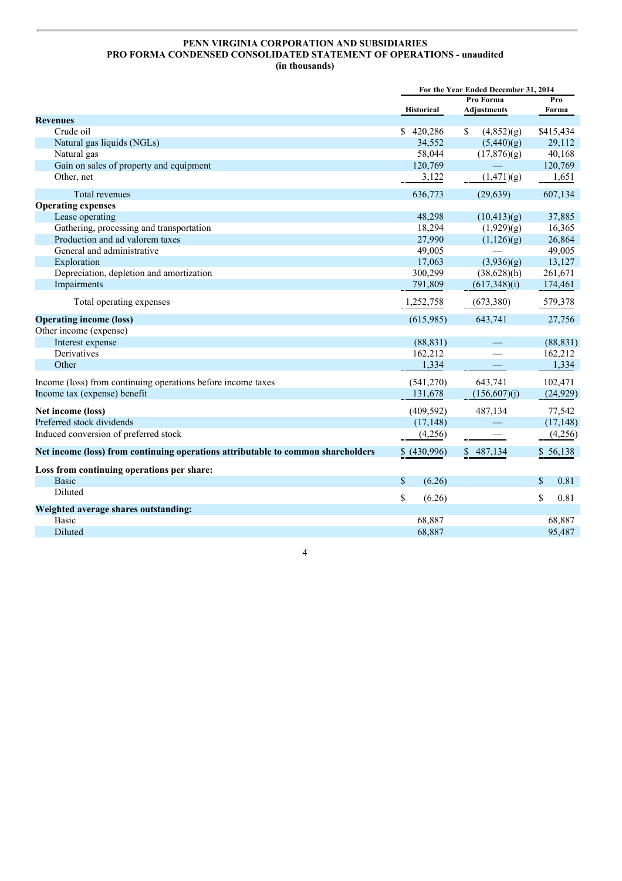# **PENN VIRGINIA CORPORATION AND SUBSIDIARIES PRO FORMA CONDENSED CONSOLIDATED STATEMENT OF OPERATIONS - unaudited (in thousands)**

| Pro Forma<br>Pro<br><b>Historical</b><br>Adjustments<br>Forma<br><b>Revenues</b><br>Crude oil<br>\$420,286<br>\$415,434<br>\$<br>(4,852)(g)<br>Natural gas liquids (NGLs)<br>34,552<br>(5,440)(g)<br>29,112<br>58,044<br>40,168<br>Natural gas<br>(17,876)(g)<br>Gain on sales of property and equipment<br>120,769<br>120,769<br>Other, net<br>3,122<br>1,651<br>(1,471)(g)<br>607,134<br>636,773<br>(29, 639)<br>Total revenues<br><b>Operating expenses</b><br>Lease operating<br>48,298<br>37,885<br>(10,413)(g)<br>Gathering, processing and transportation<br>18,294<br>(1,929)(g)<br>16,365<br>Production and ad valorem taxes<br>27,990<br>26,864<br>(1,126)(g)<br>General and administrative<br>49,005<br>49,005<br>Exploration<br>13,127<br>17,063<br>(3,936)(g)<br>Depreciation, depletion and amortization<br>300,299<br>$(38,628)$ (h)<br>261,671<br>174,461<br>Impairments<br>791,809<br>(617,348)(i)<br>579,378<br>Total operating expenses<br>1,252,758<br>(673,380)<br>(615,985)<br>643,741<br>27,756<br><b>Operating income (loss)</b><br>Other income (expense)<br>Interest expense<br>(88, 831)<br>(88, 831)<br>Derivatives<br>162,212<br>162,212<br>Other<br>1,334<br>1,334<br>643,741<br>102,471<br>Income (loss) from continuing operations before income taxes<br>(541,270)<br>Income tax (expense) benefit<br>131,678<br>(156,607)(j)<br>(24, 929)<br>(409, 592)<br>487,134<br>Net income (loss)<br>77,542<br>(17, 148)<br>Preferred stock dividends<br>(17, 148)<br>Induced conversion of preferred stock<br>(4,256)<br>(4,256)<br>\$487,134<br>Net income (loss) from continuing operations attributable to common shareholders<br>\$ (430,996)<br>\$56,138<br>Loss from continuing operations per share:<br><sup>\$</sup><br>(6.26)<br>$\mathbb{S}$<br>0.81<br><b>Basic</b><br>Diluted<br>\$<br>\$<br>0.81<br>(6.26)<br>Weighted average shares outstanding:<br><b>Basic</b><br>68,887<br>68,887 | For the Year Ended December 31, 2014 |  |  |
|------------------------------------------------------------------------------------------------------------------------------------------------------------------------------------------------------------------------------------------------------------------------------------------------------------------------------------------------------------------------------------------------------------------------------------------------------------------------------------------------------------------------------------------------------------------------------------------------------------------------------------------------------------------------------------------------------------------------------------------------------------------------------------------------------------------------------------------------------------------------------------------------------------------------------------------------------------------------------------------------------------------------------------------------------------------------------------------------------------------------------------------------------------------------------------------------------------------------------------------------------------------------------------------------------------------------------------------------------------------------------------------------------------------------------------------------------------------------------------------------------------------------------------------------------------------------------------------------------------------------------------------------------------------------------------------------------------------------------------------------------------------------------------------------------------------------------------------------------------------------------------------------------------------------------|--------------------------------------|--|--|
|                                                                                                                                                                                                                                                                                                                                                                                                                                                                                                                                                                                                                                                                                                                                                                                                                                                                                                                                                                                                                                                                                                                                                                                                                                                                                                                                                                                                                                                                                                                                                                                                                                                                                                                                                                                                                                                                                                                              |                                      |  |  |
|                                                                                                                                                                                                                                                                                                                                                                                                                                                                                                                                                                                                                                                                                                                                                                                                                                                                                                                                                                                                                                                                                                                                                                                                                                                                                                                                                                                                                                                                                                                                                                                                                                                                                                                                                                                                                                                                                                                              |                                      |  |  |
|                                                                                                                                                                                                                                                                                                                                                                                                                                                                                                                                                                                                                                                                                                                                                                                                                                                                                                                                                                                                                                                                                                                                                                                                                                                                                                                                                                                                                                                                                                                                                                                                                                                                                                                                                                                                                                                                                                                              |                                      |  |  |
|                                                                                                                                                                                                                                                                                                                                                                                                                                                                                                                                                                                                                                                                                                                                                                                                                                                                                                                                                                                                                                                                                                                                                                                                                                                                                                                                                                                                                                                                                                                                                                                                                                                                                                                                                                                                                                                                                                                              |                                      |  |  |
|                                                                                                                                                                                                                                                                                                                                                                                                                                                                                                                                                                                                                                                                                                                                                                                                                                                                                                                                                                                                                                                                                                                                                                                                                                                                                                                                                                                                                                                                                                                                                                                                                                                                                                                                                                                                                                                                                                                              |                                      |  |  |
|                                                                                                                                                                                                                                                                                                                                                                                                                                                                                                                                                                                                                                                                                                                                                                                                                                                                                                                                                                                                                                                                                                                                                                                                                                                                                                                                                                                                                                                                                                                                                                                                                                                                                                                                                                                                                                                                                                                              |                                      |  |  |
|                                                                                                                                                                                                                                                                                                                                                                                                                                                                                                                                                                                                                                                                                                                                                                                                                                                                                                                                                                                                                                                                                                                                                                                                                                                                                                                                                                                                                                                                                                                                                                                                                                                                                                                                                                                                                                                                                                                              |                                      |  |  |
|                                                                                                                                                                                                                                                                                                                                                                                                                                                                                                                                                                                                                                                                                                                                                                                                                                                                                                                                                                                                                                                                                                                                                                                                                                                                                                                                                                                                                                                                                                                                                                                                                                                                                                                                                                                                                                                                                                                              |                                      |  |  |
|                                                                                                                                                                                                                                                                                                                                                                                                                                                                                                                                                                                                                                                                                                                                                                                                                                                                                                                                                                                                                                                                                                                                                                                                                                                                                                                                                                                                                                                                                                                                                                                                                                                                                                                                                                                                                                                                                                                              |                                      |  |  |
|                                                                                                                                                                                                                                                                                                                                                                                                                                                                                                                                                                                                                                                                                                                                                                                                                                                                                                                                                                                                                                                                                                                                                                                                                                                                                                                                                                                                                                                                                                                                                                                                                                                                                                                                                                                                                                                                                                                              |                                      |  |  |
|                                                                                                                                                                                                                                                                                                                                                                                                                                                                                                                                                                                                                                                                                                                                                                                                                                                                                                                                                                                                                                                                                                                                                                                                                                                                                                                                                                                                                                                                                                                                                                                                                                                                                                                                                                                                                                                                                                                              |                                      |  |  |
|                                                                                                                                                                                                                                                                                                                                                                                                                                                                                                                                                                                                                                                                                                                                                                                                                                                                                                                                                                                                                                                                                                                                                                                                                                                                                                                                                                                                                                                                                                                                                                                                                                                                                                                                                                                                                                                                                                                              |                                      |  |  |
|                                                                                                                                                                                                                                                                                                                                                                                                                                                                                                                                                                                                                                                                                                                                                                                                                                                                                                                                                                                                                                                                                                                                                                                                                                                                                                                                                                                                                                                                                                                                                                                                                                                                                                                                                                                                                                                                                                                              |                                      |  |  |
|                                                                                                                                                                                                                                                                                                                                                                                                                                                                                                                                                                                                                                                                                                                                                                                                                                                                                                                                                                                                                                                                                                                                                                                                                                                                                                                                                                                                                                                                                                                                                                                                                                                                                                                                                                                                                                                                                                                              |                                      |  |  |
|                                                                                                                                                                                                                                                                                                                                                                                                                                                                                                                                                                                                                                                                                                                                                                                                                                                                                                                                                                                                                                                                                                                                                                                                                                                                                                                                                                                                                                                                                                                                                                                                                                                                                                                                                                                                                                                                                                                              |                                      |  |  |
|                                                                                                                                                                                                                                                                                                                                                                                                                                                                                                                                                                                                                                                                                                                                                                                                                                                                                                                                                                                                                                                                                                                                                                                                                                                                                                                                                                                                                                                                                                                                                                                                                                                                                                                                                                                                                                                                                                                              |                                      |  |  |
|                                                                                                                                                                                                                                                                                                                                                                                                                                                                                                                                                                                                                                                                                                                                                                                                                                                                                                                                                                                                                                                                                                                                                                                                                                                                                                                                                                                                                                                                                                                                                                                                                                                                                                                                                                                                                                                                                                                              |                                      |  |  |
|                                                                                                                                                                                                                                                                                                                                                                                                                                                                                                                                                                                                                                                                                                                                                                                                                                                                                                                                                                                                                                                                                                                                                                                                                                                                                                                                                                                                                                                                                                                                                                                                                                                                                                                                                                                                                                                                                                                              |                                      |  |  |
|                                                                                                                                                                                                                                                                                                                                                                                                                                                                                                                                                                                                                                                                                                                                                                                                                                                                                                                                                                                                                                                                                                                                                                                                                                                                                                                                                                                                                                                                                                                                                                                                                                                                                                                                                                                                                                                                                                                              |                                      |  |  |
|                                                                                                                                                                                                                                                                                                                                                                                                                                                                                                                                                                                                                                                                                                                                                                                                                                                                                                                                                                                                                                                                                                                                                                                                                                                                                                                                                                                                                                                                                                                                                                                                                                                                                                                                                                                                                                                                                                                              |                                      |  |  |
|                                                                                                                                                                                                                                                                                                                                                                                                                                                                                                                                                                                                                                                                                                                                                                                                                                                                                                                                                                                                                                                                                                                                                                                                                                                                                                                                                                                                                                                                                                                                                                                                                                                                                                                                                                                                                                                                                                                              |                                      |  |  |
|                                                                                                                                                                                                                                                                                                                                                                                                                                                                                                                                                                                                                                                                                                                                                                                                                                                                                                                                                                                                                                                                                                                                                                                                                                                                                                                                                                                                                                                                                                                                                                                                                                                                                                                                                                                                                                                                                                                              |                                      |  |  |
|                                                                                                                                                                                                                                                                                                                                                                                                                                                                                                                                                                                                                                                                                                                                                                                                                                                                                                                                                                                                                                                                                                                                                                                                                                                                                                                                                                                                                                                                                                                                                                                                                                                                                                                                                                                                                                                                                                                              |                                      |  |  |
|                                                                                                                                                                                                                                                                                                                                                                                                                                                                                                                                                                                                                                                                                                                                                                                                                                                                                                                                                                                                                                                                                                                                                                                                                                                                                                                                                                                                                                                                                                                                                                                                                                                                                                                                                                                                                                                                                                                              |                                      |  |  |
|                                                                                                                                                                                                                                                                                                                                                                                                                                                                                                                                                                                                                                                                                                                                                                                                                                                                                                                                                                                                                                                                                                                                                                                                                                                                                                                                                                                                                                                                                                                                                                                                                                                                                                                                                                                                                                                                                                                              |                                      |  |  |
|                                                                                                                                                                                                                                                                                                                                                                                                                                                                                                                                                                                                                                                                                                                                                                                                                                                                                                                                                                                                                                                                                                                                                                                                                                                                                                                                                                                                                                                                                                                                                                                                                                                                                                                                                                                                                                                                                                                              |                                      |  |  |
|                                                                                                                                                                                                                                                                                                                                                                                                                                                                                                                                                                                                                                                                                                                                                                                                                                                                                                                                                                                                                                                                                                                                                                                                                                                                                                                                                                                                                                                                                                                                                                                                                                                                                                                                                                                                                                                                                                                              |                                      |  |  |
|                                                                                                                                                                                                                                                                                                                                                                                                                                                                                                                                                                                                                                                                                                                                                                                                                                                                                                                                                                                                                                                                                                                                                                                                                                                                                                                                                                                                                                                                                                                                                                                                                                                                                                                                                                                                                                                                                                                              |                                      |  |  |
|                                                                                                                                                                                                                                                                                                                                                                                                                                                                                                                                                                                                                                                                                                                                                                                                                                                                                                                                                                                                                                                                                                                                                                                                                                                                                                                                                                                                                                                                                                                                                                                                                                                                                                                                                                                                                                                                                                                              |                                      |  |  |
|                                                                                                                                                                                                                                                                                                                                                                                                                                                                                                                                                                                                                                                                                                                                                                                                                                                                                                                                                                                                                                                                                                                                                                                                                                                                                                                                                                                                                                                                                                                                                                                                                                                                                                                                                                                                                                                                                                                              |                                      |  |  |
|                                                                                                                                                                                                                                                                                                                                                                                                                                                                                                                                                                                                                                                                                                                                                                                                                                                                                                                                                                                                                                                                                                                                                                                                                                                                                                                                                                                                                                                                                                                                                                                                                                                                                                                                                                                                                                                                                                                              |                                      |  |  |
|                                                                                                                                                                                                                                                                                                                                                                                                                                                                                                                                                                                                                                                                                                                                                                                                                                                                                                                                                                                                                                                                                                                                                                                                                                                                                                                                                                                                                                                                                                                                                                                                                                                                                                                                                                                                                                                                                                                              |                                      |  |  |
|                                                                                                                                                                                                                                                                                                                                                                                                                                                                                                                                                                                                                                                                                                                                                                                                                                                                                                                                                                                                                                                                                                                                                                                                                                                                                                                                                                                                                                                                                                                                                                                                                                                                                                                                                                                                                                                                                                                              |                                      |  |  |
|                                                                                                                                                                                                                                                                                                                                                                                                                                                                                                                                                                                                                                                                                                                                                                                                                                                                                                                                                                                                                                                                                                                                                                                                                                                                                                                                                                                                                                                                                                                                                                                                                                                                                                                                                                                                                                                                                                                              |                                      |  |  |
| Diluted<br>68,887<br>95,487                                                                                                                                                                                                                                                                                                                                                                                                                                                                                                                                                                                                                                                                                                                                                                                                                                                                                                                                                                                                                                                                                                                                                                                                                                                                                                                                                                                                                                                                                                                                                                                                                                                                                                                                                                                                                                                                                                  |                                      |  |  |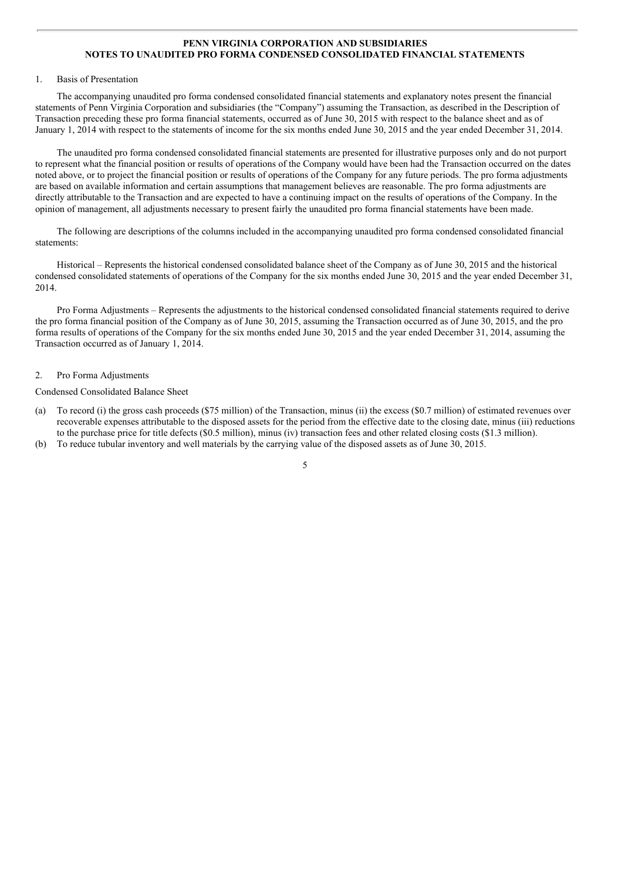#### **PENN VIRGINIA CORPORATION AND SUBSIDIARIES NOTES TO UNAUDITED PRO FORMA CONDENSED CONSOLIDATED FINANCIAL STATEMENTS**

#### 1. Basis of Presentation

The accompanying unaudited pro forma condensed consolidated financial statements and explanatory notes present the financial statements of Penn Virginia Corporation and subsidiaries (the "Company") assuming the Transaction, as described in the Description of Transaction preceding these pro forma financial statements, occurred as of June 30, 2015 with respect to the balance sheet and as of January 1, 2014 with respect to the statements of income for the six months ended June 30, 2015 and the year ended December 31, 2014.

The unaudited pro forma condensed consolidated financial statements are presented for illustrative purposes only and do not purport to represent what the financial position or results of operations of the Company would have been had the Transaction occurred on the dates noted above, or to project the financial position or results of operations of the Company for any future periods. The pro forma adjustments are based on available information and certain assumptions that management believes are reasonable. The pro forma adjustments are directly attributable to the Transaction and are expected to have a continuing impact on the results of operations of the Company. In the opinion of management, all adjustments necessary to present fairly the unaudited pro forma financial statements have been made.

The following are descriptions of the columns included in the accompanying unaudited pro forma condensed consolidated financial statements:

Historical – Represents the historical condensed consolidated balance sheet of the Company as of June 30, 2015 and the historical condensed consolidated statements of operations of the Company for the six months ended June 30, 2015 and the year ended December 31, 2014.

Pro Forma Adjustments – Represents the adjustments to the historical condensed consolidated financial statements required to derive the pro forma financial position of the Company as of June 30, 2015, assuming the Transaction occurred as of June 30, 2015, and the pro forma results of operations of the Company for the six months ended June 30, 2015 and the year ended December 31, 2014, assuming the Transaction occurred as of January 1, 2014.

#### 2. Pro Forma Adjustments

Condensed Consolidated Balance Sheet

- (a) To record (i) the gross cash proceeds (\$75 million) of the Transaction, minus (ii) the excess (\$0.7 million) of estimated revenues over recoverable expenses attributable to the disposed assets for the period from the effective date to the closing date, minus (iii) reductions to the purchase price for title defects (\$0.5 million), minus (iv) transaction fees and other related closing costs (\$1.3 million).
- (b) To reduce tubular inventory and well materials by the carrying value of the disposed assets as of June 30, 2015.